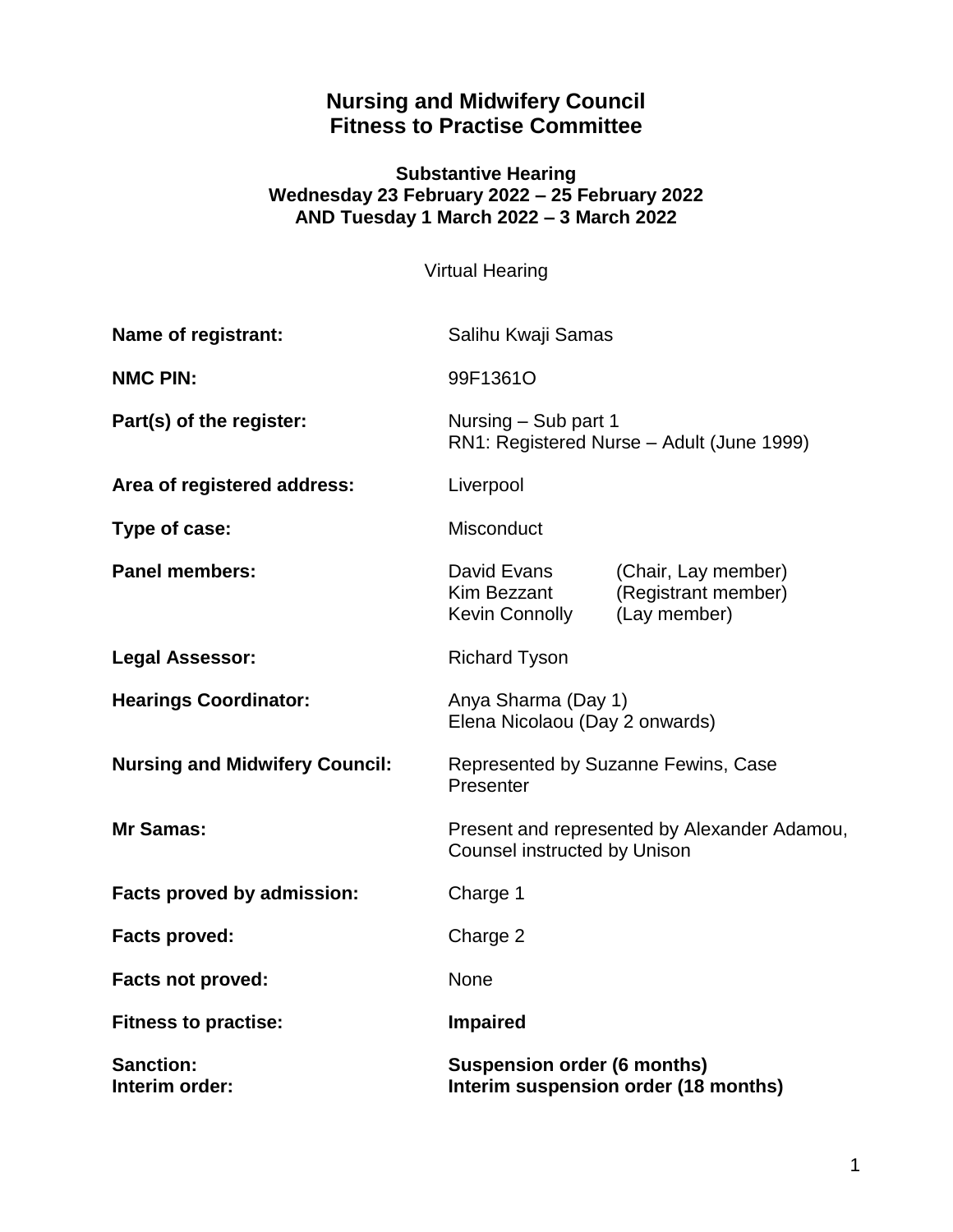# **Nursing and Midwifery Council Fitness to Practise Committee**

## **Substantive Hearing Wednesday 23 February 2022 – 25 February 2022 AND Tuesday 1 March 2022 – 3 March 2022**

Virtual Hearing

| Name of registrant:                   | Salihu Kwaji Samas                                                                  |                                                            |
|---------------------------------------|-------------------------------------------------------------------------------------|------------------------------------------------------------|
| <b>NMC PIN:</b>                       | 99F1361O                                                                            |                                                            |
| Part(s) of the register:              | Nursing - Sub part 1<br>RN1: Registered Nurse - Adult (June 1999)                   |                                                            |
| Area of registered address:           | Liverpool                                                                           |                                                            |
| Type of case:                         | Misconduct                                                                          |                                                            |
| <b>Panel members:</b>                 | David Evans<br>Kim Bezzant<br><b>Kevin Connolly</b>                                 | (Chair, Lay member)<br>(Registrant member)<br>(Lay member) |
| <b>Legal Assessor:</b>                | <b>Richard Tyson</b>                                                                |                                                            |
| <b>Hearings Coordinator:</b>          | Anya Sharma (Day 1)<br>Elena Nicolaou (Day 2 onwards)                               |                                                            |
| <b>Nursing and Midwifery Council:</b> | Represented by Suzanne Fewins, Case<br>Presenter                                    |                                                            |
| Mr Samas:                             | Present and represented by Alexander Adamou,<br><b>Counsel instructed by Unison</b> |                                                            |
| Facts proved by admission:            | Charge 1                                                                            |                                                            |
| <b>Facts proved:</b>                  | Charge 2                                                                            |                                                            |
| Facts not proved:                     | <b>None</b>                                                                         |                                                            |
| <b>Fitness to practise:</b>           | <b>Impaired</b>                                                                     |                                                            |
| <b>Sanction:</b><br>Interim order:    | <b>Suspension order (6 months)</b><br>Interim suspension order (18 months)          |                                                            |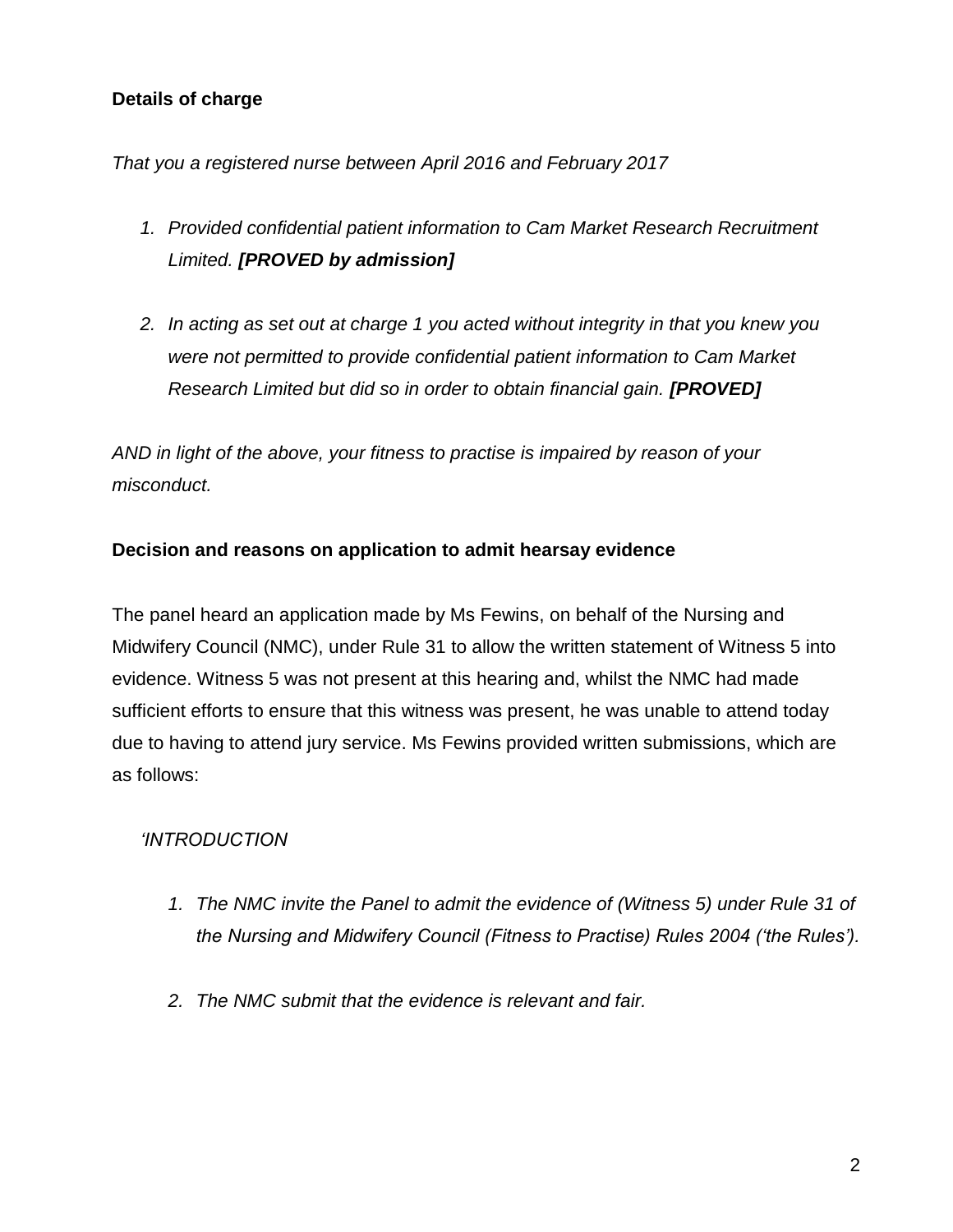# **Details of charge**

# *That you a registered nurse between April 2016 and February 2017*

- *1. Provided confidential patient information to Cam Market Research Recruitment Limited. [PROVED by admission]*
- *2. In acting as set out at charge 1 you acted without integrity in that you knew you were not permitted to provide confidential patient information to Cam Market Research Limited but did so in order to obtain financial gain. [PROVED]*

*AND in light of the above, your fitness to practise is impaired by reason of your misconduct.*

# **Decision and reasons on application to admit hearsay evidence**

The panel heard an application made by Ms Fewins, on behalf of the Nursing and Midwifery Council (NMC), under Rule 31 to allow the written statement of Witness 5 into evidence. Witness 5 was not present at this hearing and, whilst the NMC had made sufficient efforts to ensure that this witness was present, he was unable to attend today due to having to attend jury service. Ms Fewins provided written submissions, which are as follows:

# *'INTRODUCTION*

- *1. The NMC invite the Panel to admit the evidence of (Witness 5) under Rule 31 of the Nursing and Midwifery Council (Fitness to Practise) Rules 2004 ('the Rules').*
- *2. The NMC submit that the evidence is relevant and fair.*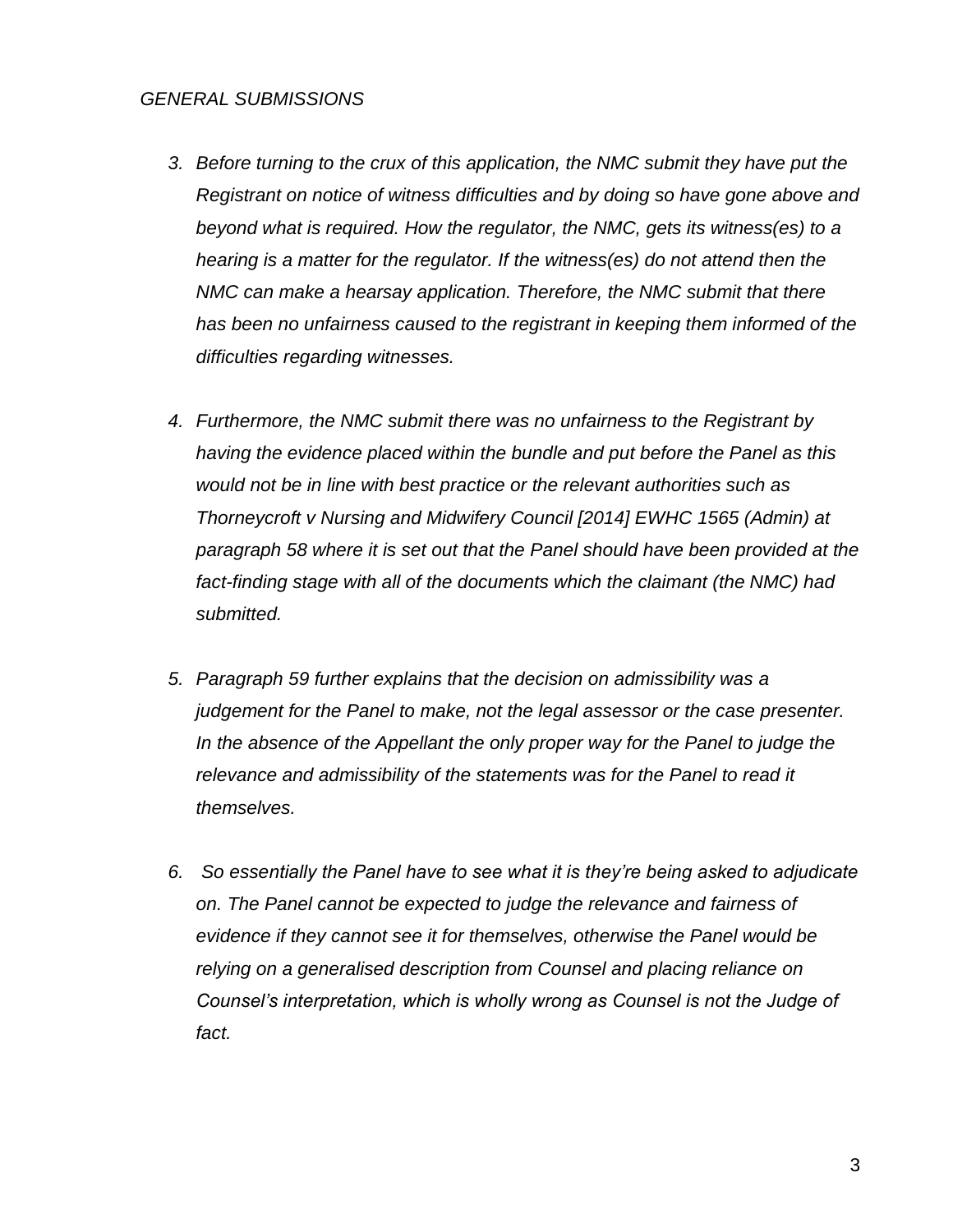#### *GENERAL SUBMISSIONS*

- *3. Before turning to the crux of this application, the NMC submit they have put the Registrant on notice of witness difficulties and by doing so have gone above and beyond what is required. How the regulator, the NMC, gets its witness(es) to a hearing is a matter for the regulator. If the witness(es) do not attend then the NMC can make a hearsay application. Therefore, the NMC submit that there has been no unfairness caused to the registrant in keeping them informed of the difficulties regarding witnesses.*
- *4. Furthermore, the NMC submit there was no unfairness to the Registrant by having the evidence placed within the bundle and put before the Panel as this would not be in line with best practice or the relevant authorities such as Thorneycroft v Nursing and Midwifery Council [2014] EWHC 1565 (Admin) at paragraph 58 where it is set out that the Panel should have been provided at the fact-finding stage with all of the documents which the claimant (the NMC) had submitted.*
- *5. Paragraph 59 further explains that the decision on admissibility was a judgement for the Panel to make, not the legal assessor or the case presenter.*  In the absence of the Appellant the only proper way for the Panel to judge the *relevance and admissibility of the statements was for the Panel to read it themselves.*
- *6. So essentially the Panel have to see what it is they're being asked to adjudicate on. The Panel cannot be expected to judge the relevance and fairness of evidence if they cannot see it for themselves, otherwise the Panel would be relying on a generalised description from Counsel and placing reliance on Counsel's interpretation, which is wholly wrong as Counsel is not the Judge of fact.*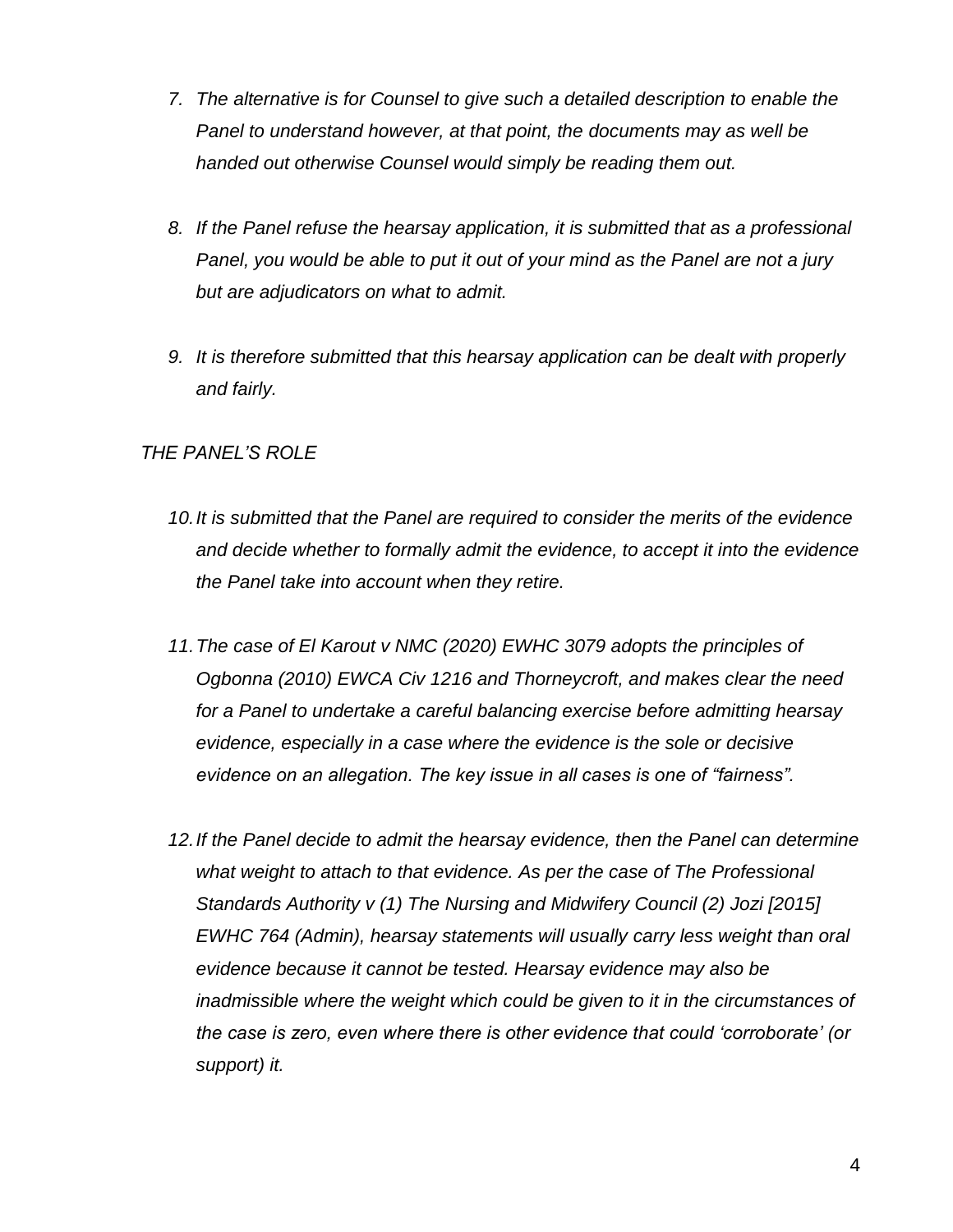- *7. The alternative is for Counsel to give such a detailed description to enable the Panel to understand however, at that point, the documents may as well be handed out otherwise Counsel would simply be reading them out.*
- *8. If the Panel refuse the hearsay application, it is submitted that as a professional Panel, you would be able to put it out of your mind as the Panel are not a jury but are adjudicators on what to admit.*
- *9. It is therefore submitted that this hearsay application can be dealt with properly and fairly.*

# *THE PANEL'S ROLE*

- *10.It is submitted that the Panel are required to consider the merits of the evidence and decide whether to formally admit the evidence, to accept it into the evidence the Panel take into account when they retire.*
- *11.The case of El Karout v NMC (2020) EWHC 3079 adopts the principles of Ogbonna (2010) EWCA Civ 1216 and Thorneycroft, and makes clear the need for a Panel to undertake a careful balancing exercise before admitting hearsay evidence, especially in a case where the evidence is the sole or decisive evidence on an allegation. The key issue in all cases is one of "fairness".*
- *12.If the Panel decide to admit the hearsay evidence, then the Panel can determine what weight to attach to that evidence. As per the case of The Professional Standards Authority v (1) The Nursing and Midwifery Council (2) Jozi [2015] EWHC 764 (Admin), hearsay statements will usually carry less weight than oral evidence because it cannot be tested. Hearsay evidence may also be inadmissible where the weight which could be given to it in the circumstances of the case is zero, even where there is other evidence that could 'corroborate' (or support) it.*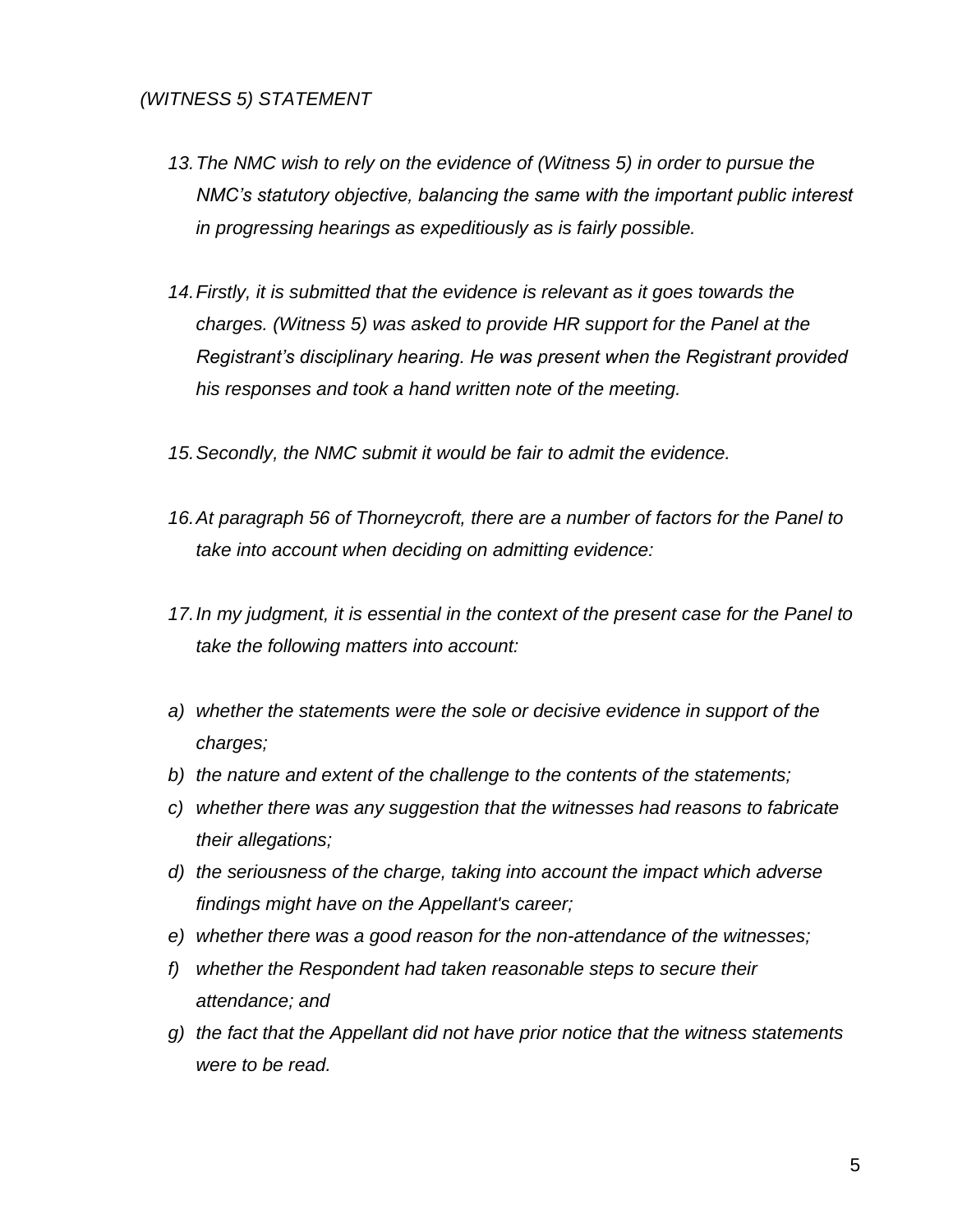## *(WITNESS 5) STATEMENT*

- *13.The NMC wish to rely on the evidence of (Witness 5) in order to pursue the NMC's statutory objective, balancing the same with the important public interest in progressing hearings as expeditiously as is fairly possible.*
- *14.Firstly, it is submitted that the evidence is relevant as it goes towards the charges. (Witness 5) was asked to provide HR support for the Panel at the Registrant's disciplinary hearing. He was present when the Registrant provided his responses and took a hand written note of the meeting.*
- *15.Secondly, the NMC submit it would be fair to admit the evidence.*
- *16.At paragraph 56 of Thorneycroft, there are a number of factors for the Panel to take into account when deciding on admitting evidence:*
- *17.In my judgment, it is essential in the context of the present case for the Panel to take the following matters into account:*
- *a) whether the statements were the sole or decisive evidence in support of the charges;*
- *b) the nature and extent of the challenge to the contents of the statements;*
- *c) whether there was any suggestion that the witnesses had reasons to fabricate their allegations;*
- *d) the seriousness of the charge, taking into account the impact which adverse findings might have on the Appellant's career;*
- *e) whether there was a good reason for the non-attendance of the witnesses;*
- *f) whether the Respondent had taken reasonable steps to secure their attendance; and*
- *g) the fact that the Appellant did not have prior notice that the witness statements were to be read.*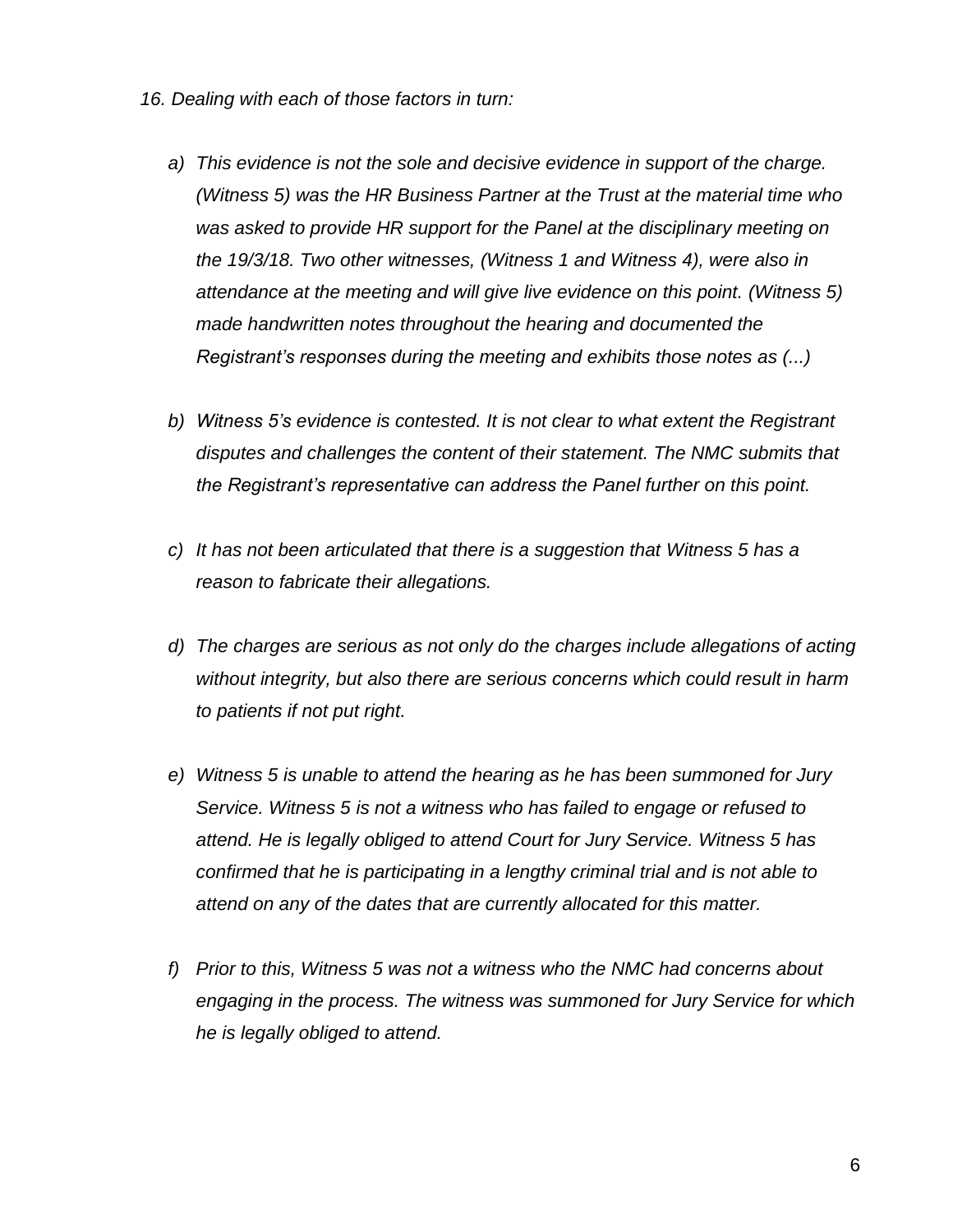- *16. Dealing with each of those factors in turn:* 
	- *a) This evidence is not the sole and decisive evidence in support of the charge. (Witness 5) was the HR Business Partner at the Trust at the material time who was asked to provide HR support for the Panel at the disciplinary meeting on the 19/3/18. Two other witnesses, (Witness 1 and Witness 4), were also in attendance at the meeting and will give live evidence on this point. (Witness 5) made handwritten notes throughout the hearing and documented the Registrant's responses during the meeting and exhibits those notes as (...)*
	- *b) Witness 5's evidence is contested. It is not clear to what extent the Registrant disputes and challenges the content of their statement. The NMC submits that the Registrant's representative can address the Panel further on this point.*
	- *c) It has not been articulated that there is a suggestion that Witness 5 has a reason to fabricate their allegations.*
	- *d) The charges are serious as not only do the charges include allegations of acting without integrity, but also there are serious concerns which could result in harm to patients if not put right.*
	- *e) Witness 5 is unable to attend the hearing as he has been summoned for Jury Service. Witness 5 is not a witness who has failed to engage or refused to attend. He is legally obliged to attend Court for Jury Service. Witness 5 has confirmed that he is participating in a lengthy criminal trial and is not able to attend on any of the dates that are currently allocated for this matter.*
	- *f) Prior to this, Witness 5 was not a witness who the NMC had concerns about engaging in the process. The witness was summoned for Jury Service for which he is legally obliged to attend.*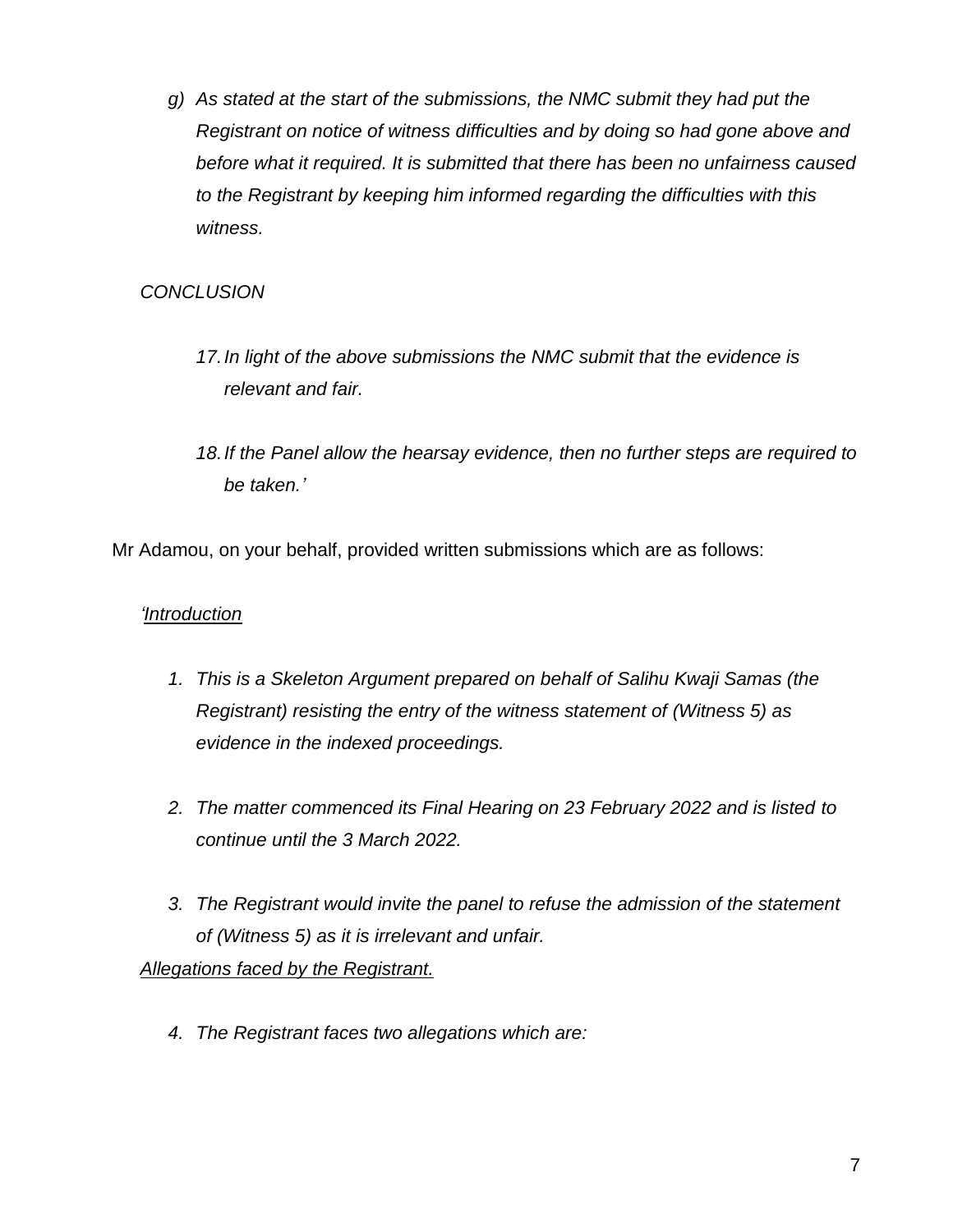*g) As stated at the start of the submissions, the NMC submit they had put the Registrant on notice of witness difficulties and by doing so had gone above and before what it required. It is submitted that there has been no unfairness caused to the Registrant by keeping him informed regarding the difficulties with this witness.* 

# *CONCLUSION*

- *17.In light of the above submissions the NMC submit that the evidence is relevant and fair.*
- *18.If the Panel allow the hearsay evidence, then no further steps are required to be taken.'*

Mr Adamou, on your behalf, provided written submissions which are as follows:

## *'Introduction*

- *1. This is a Skeleton Argument prepared on behalf of Salihu Kwaji Samas (the Registrant) resisting the entry of the witness statement of (Witness 5) as evidence in the indexed proceedings.*
- *2. The matter commenced its Final Hearing on 23 February 2022 and is listed to continue until the 3 March 2022.*
- *3. The Registrant would invite the panel to refuse the admission of the statement of (Witness 5) as it is irrelevant and unfair.*

*Allegations faced by the Registrant.*

*4. The Registrant faces two allegations which are:*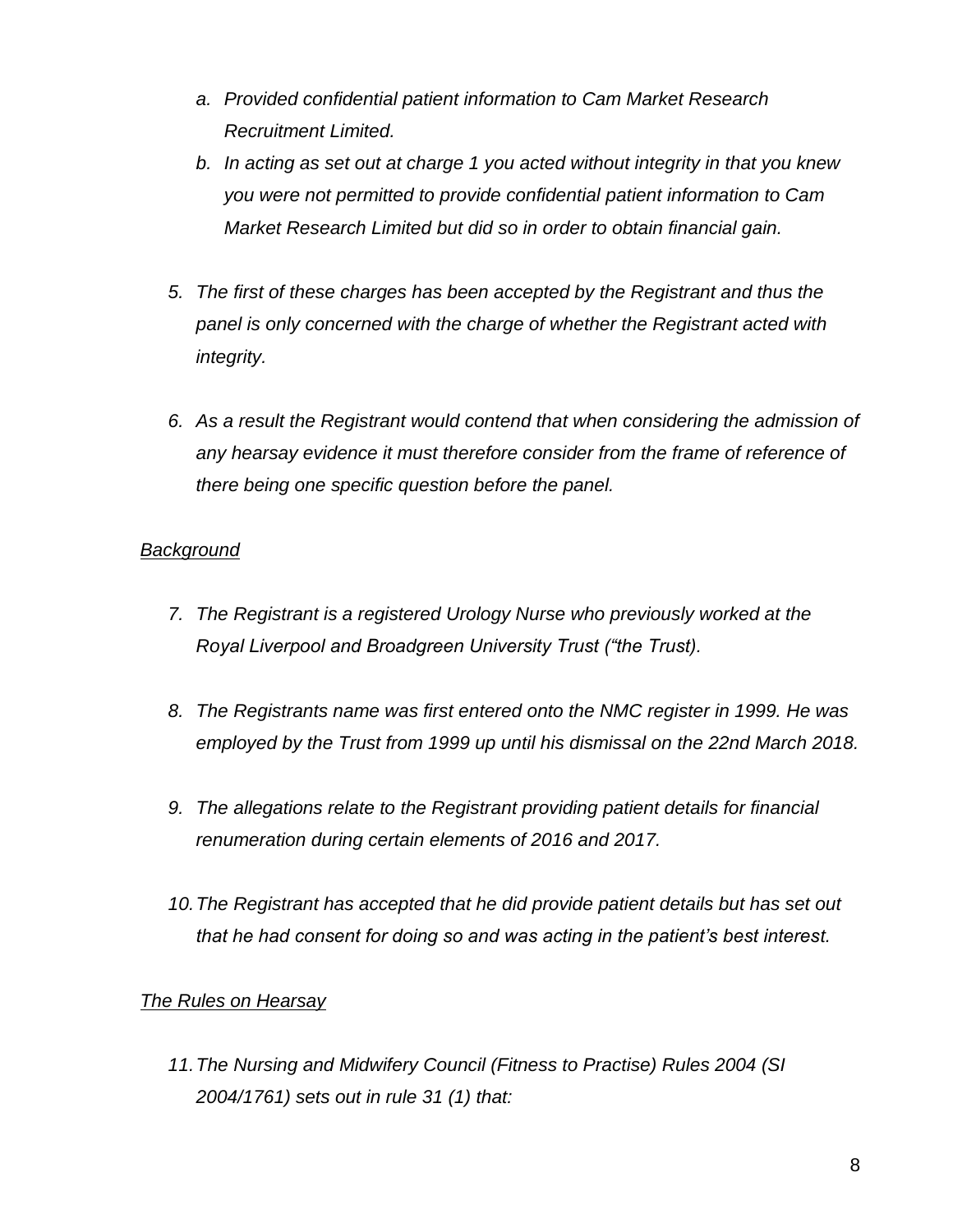- *a. Provided confidential patient information to Cam Market Research Recruitment Limited.*
- *b. In acting as set out at charge 1 you acted without integrity in that you knew you were not permitted to provide confidential patient information to Cam Market Research Limited but did so in order to obtain financial gain.*
- *5. The first of these charges has been accepted by the Registrant and thus the panel is only concerned with the charge of whether the Registrant acted with integrity.*
- *6. As a result the Registrant would contend that when considering the admission of any hearsay evidence it must therefore consider from the frame of reference of there being one specific question before the panel.*

## *Background*

- *7. The Registrant is a registered Urology Nurse who previously worked at the Royal Liverpool and Broadgreen University Trust ("the Trust).*
- *8. The Registrants name was first entered onto the NMC register in 1999. He was employed by the Trust from 1999 up until his dismissal on the 22nd March 2018.*
- *9. The allegations relate to the Registrant providing patient details for financial renumeration during certain elements of 2016 and 2017.*
- *10.The Registrant has accepted that he did provide patient details but has set out that he had consent for doing so and was acting in the patient's best interest.*

# *The Rules on Hearsay*

*11.The Nursing and Midwifery Council (Fitness to Practise) Rules 2004 (SI 2004/1761) sets out in rule 31 (1) that:*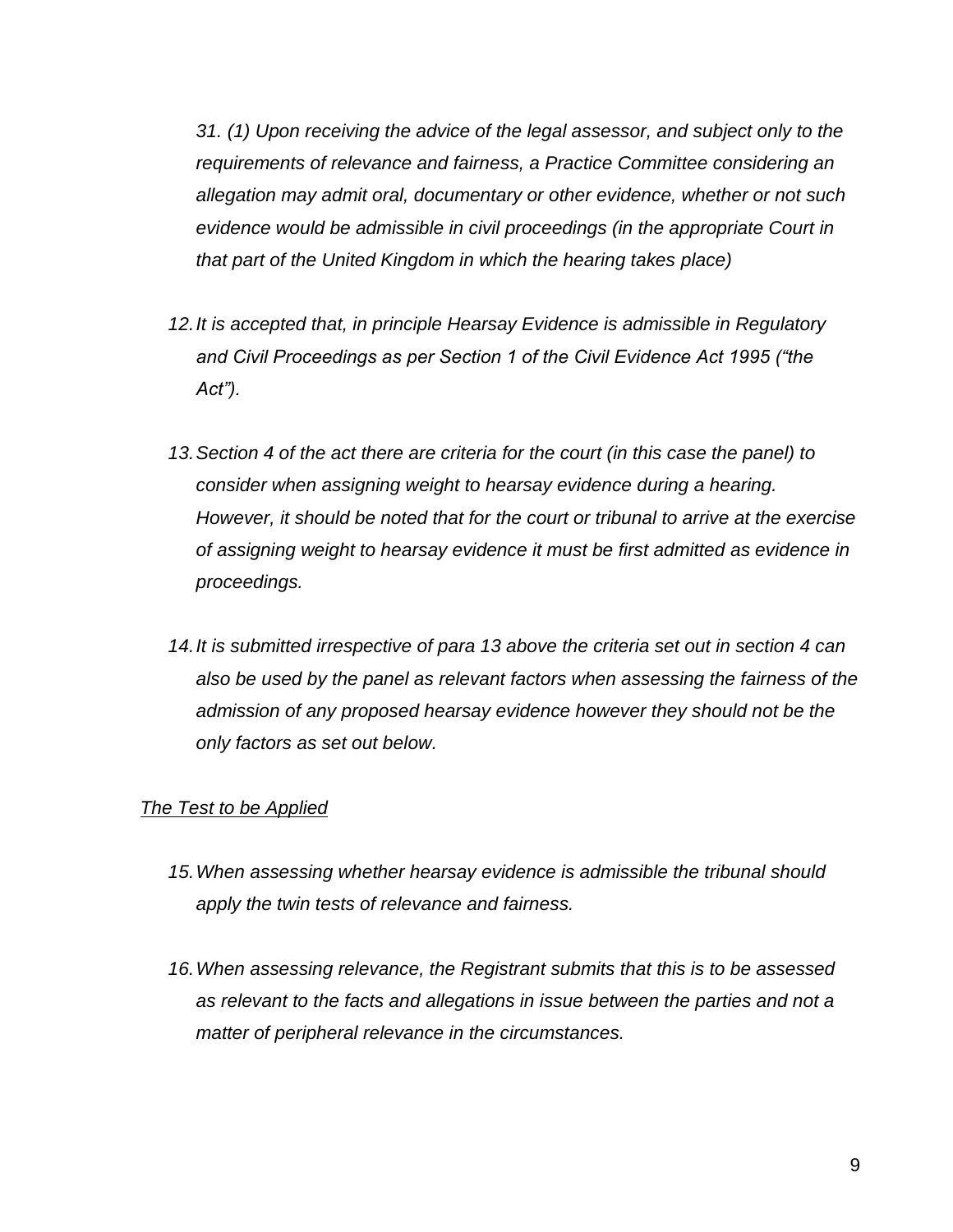*31. (1) Upon receiving the advice of the legal assessor, and subject only to the requirements of relevance and fairness, a Practice Committee considering an allegation may admit oral, documentary or other evidence, whether or not such evidence would be admissible in civil proceedings (in the appropriate Court in that part of the United Kingdom in which the hearing takes place)*

- *12.It is accepted that, in principle Hearsay Evidence is admissible in Regulatory and Civil Proceedings as per Section 1 of the Civil Evidence Act 1995 ("the Act").*
- *13.Section 4 of the act there are criteria for the court (in this case the panel) to consider when assigning weight to hearsay evidence during a hearing. However, it should be noted that for the court or tribunal to arrive at the exercise of assigning weight to hearsay evidence it must be first admitted as evidence in proceedings.*
- *14.It is submitted irrespective of para 13 above the criteria set out in section 4 can also be used by the panel as relevant factors when assessing the fairness of the admission of any proposed hearsay evidence however they should not be the only factors as set out below.*

#### *The Test to be Applied*

- *15.When assessing whether hearsay evidence is admissible the tribunal should apply the twin tests of relevance and fairness.*
- *16.When assessing relevance, the Registrant submits that this is to be assessed as relevant to the facts and allegations in issue between the parties and not a matter of peripheral relevance in the circumstances.*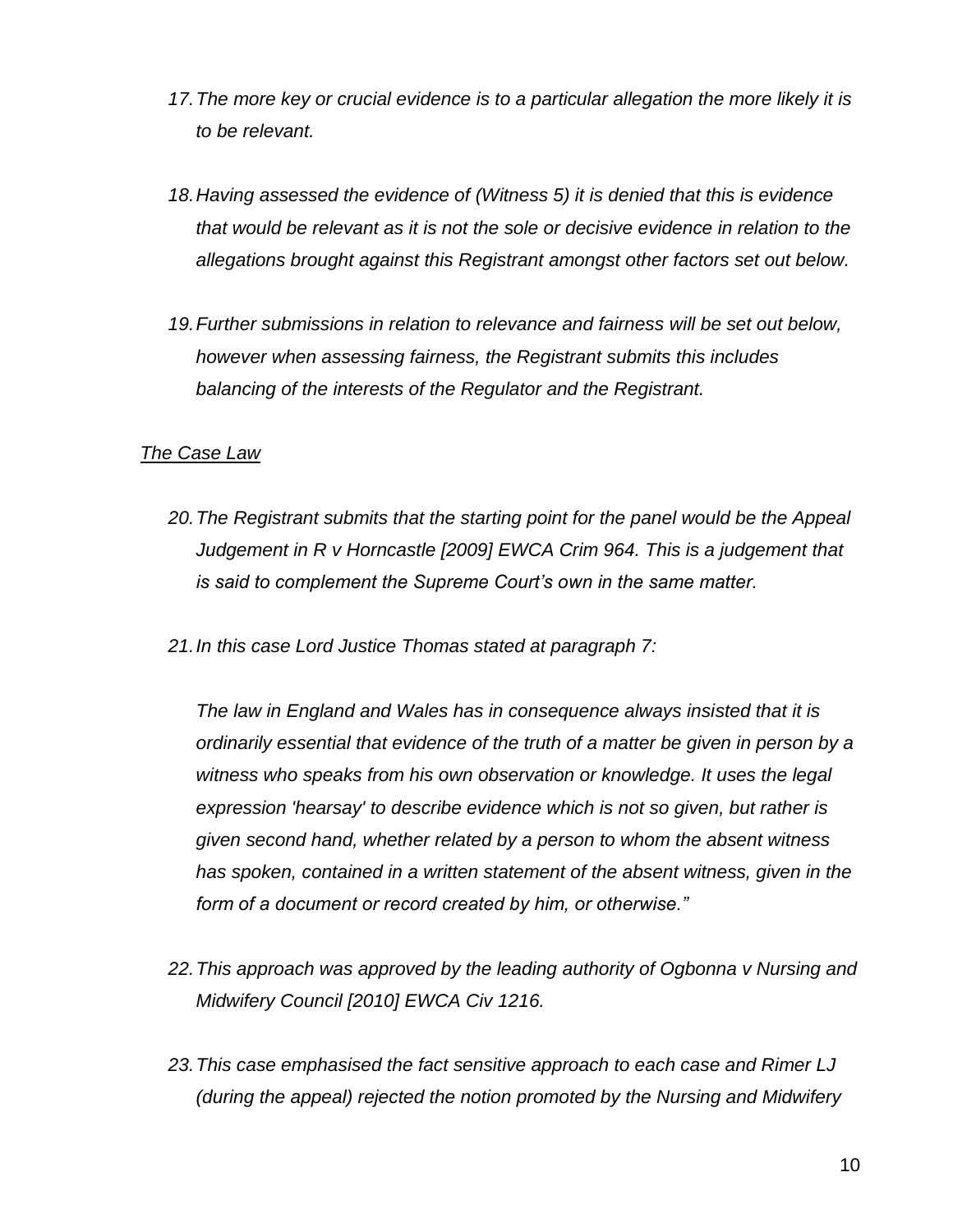- *17.The more key or crucial evidence is to a particular allegation the more likely it is to be relevant.*
- *18.Having assessed the evidence of (Witness 5) it is denied that this is evidence that would be relevant as it is not the sole or decisive evidence in relation to the allegations brought against this Registrant amongst other factors set out below.*
- *19.Further submissions in relation to relevance and fairness will be set out below, however when assessing fairness, the Registrant submits this includes balancing of the interests of the Regulator and the Registrant.*

## *The Case Law*

- *20.The Registrant submits that the starting point for the panel would be the Appeal Judgement in R v Horncastle [2009] EWCA Crim 964. This is a judgement that is said to complement the Supreme Court's own in the same matter.*
- *21.In this case Lord Justice Thomas stated at paragraph 7:*

*The law in England and Wales has in consequence always insisted that it is ordinarily essential that evidence of the truth of a matter be given in person by a witness who speaks from his own observation or knowledge. It uses the legal expression 'hearsay' to describe evidence which is not so given, but rather is given second hand, whether related by a person to whom the absent witness has spoken, contained in a written statement of the absent witness, given in the form of a document or record created by him, or otherwise."*

- *22.This approach was approved by the leading authority of Ogbonna v Nursing and Midwifery Council [2010] EWCA Civ 1216.*
- *23.This case emphasised the fact sensitive approach to each case and Rimer LJ (during the appeal) rejected the notion promoted by the Nursing and Midwifery*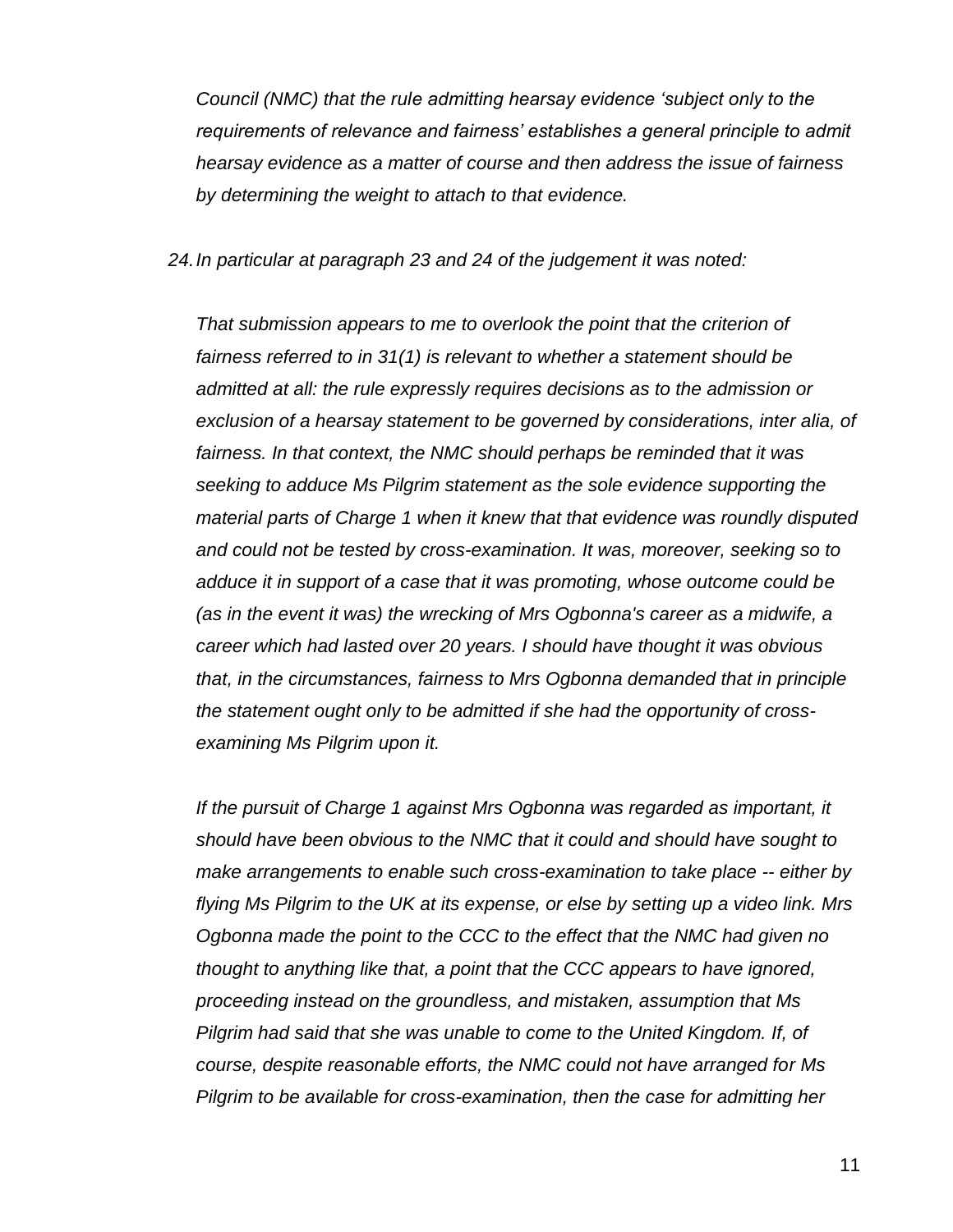*Council (NMC) that the rule admitting hearsay evidence 'subject only to the requirements of relevance and fairness' establishes a general principle to admit hearsay evidence as a matter of course and then address the issue of fairness by determining the weight to attach to that evidence.*

*24.In particular at paragraph 23 and 24 of the judgement it was noted:*

*That submission appears to me to overlook the point that the criterion of fairness referred to in 31(1) is relevant to whether a statement should be admitted at all: the rule expressly requires decisions as to the admission or exclusion of a hearsay statement to be governed by considerations, inter alia, of fairness. In that context, the NMC should perhaps be reminded that it was seeking to adduce Ms Pilgrim statement as the sole evidence supporting the material parts of Charge 1 when it knew that that evidence was roundly disputed and could not be tested by cross-examination. It was, moreover, seeking so to adduce it in support of a case that it was promoting, whose outcome could be (as in the event it was) the wrecking of Mrs Ogbonna's career as a midwife, a career which had lasted over 20 years. I should have thought it was obvious that, in the circumstances, fairness to Mrs Ogbonna demanded that in principle the statement ought only to be admitted if she had the opportunity of crossexamining Ms Pilgrim upon it.*

*If the pursuit of Charge 1 against Mrs Ogbonna was regarded as important, it should have been obvious to the NMC that it could and should have sought to make arrangements to enable such cross-examination to take place -- either by flying Ms Pilgrim to the UK at its expense, or else by setting up a video link. Mrs Ogbonna made the point to the CCC to the effect that the NMC had given no thought to anything like that, a point that the CCC appears to have ignored, proceeding instead on the groundless, and mistaken, assumption that Ms Pilgrim had said that she was unable to come to the United Kingdom. If, of course, despite reasonable efforts, the NMC could not have arranged for Ms Pilgrim to be available for cross-examination, then the case for admitting her*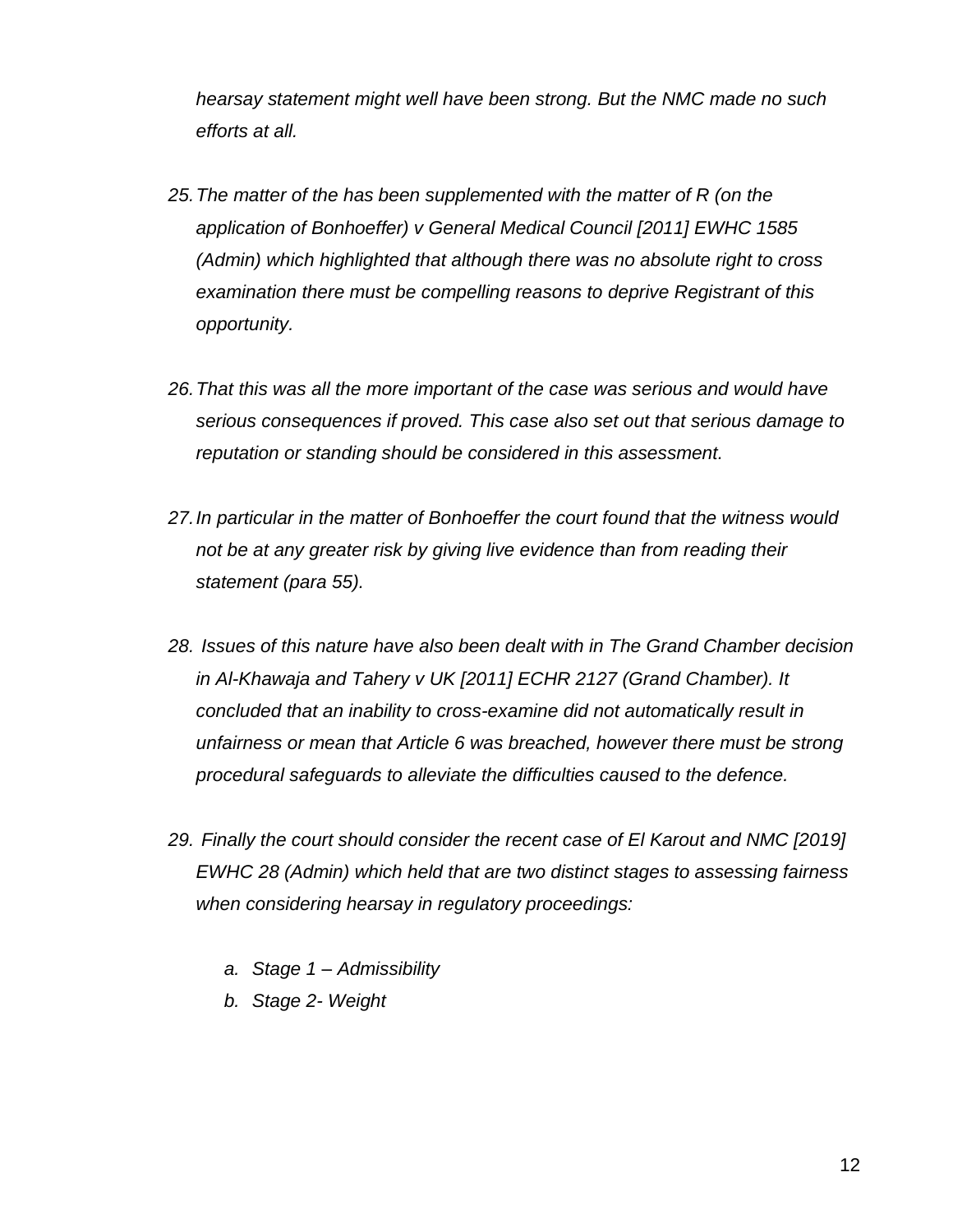*hearsay statement might well have been strong. But the NMC made no such efforts at all.*

- *25.The matter of the has been supplemented with the matter of R (on the application of Bonhoeffer) v General Medical Council [2011] EWHC 1585 (Admin) which highlighted that although there was no absolute right to cross examination there must be compelling reasons to deprive Registrant of this opportunity.*
- *26.That this was all the more important of the case was serious and would have serious consequences if proved. This case also set out that serious damage to reputation or standing should be considered in this assessment.*
- *27.In particular in the matter of Bonhoeffer the court found that the witness would not be at any greater risk by giving live evidence than from reading their statement (para 55).*
- *28. Issues of this nature have also been dealt with in The Grand Chamber decision in Al-Khawaja and Tahery v UK [2011] ECHR 2127 (Grand Chamber). It concluded that an inability to cross-examine did not automatically result in unfairness or mean that Article 6 was breached, however there must be strong procedural safeguards to alleviate the difficulties caused to the defence.*
- *29. Finally the court should consider the recent case of El Karout and NMC [2019] EWHC 28 (Admin) which held that are two distinct stages to assessing fairness when considering hearsay in regulatory proceedings:*
	- *a. Stage 1 – Admissibility*
	- *b. Stage 2- Weight*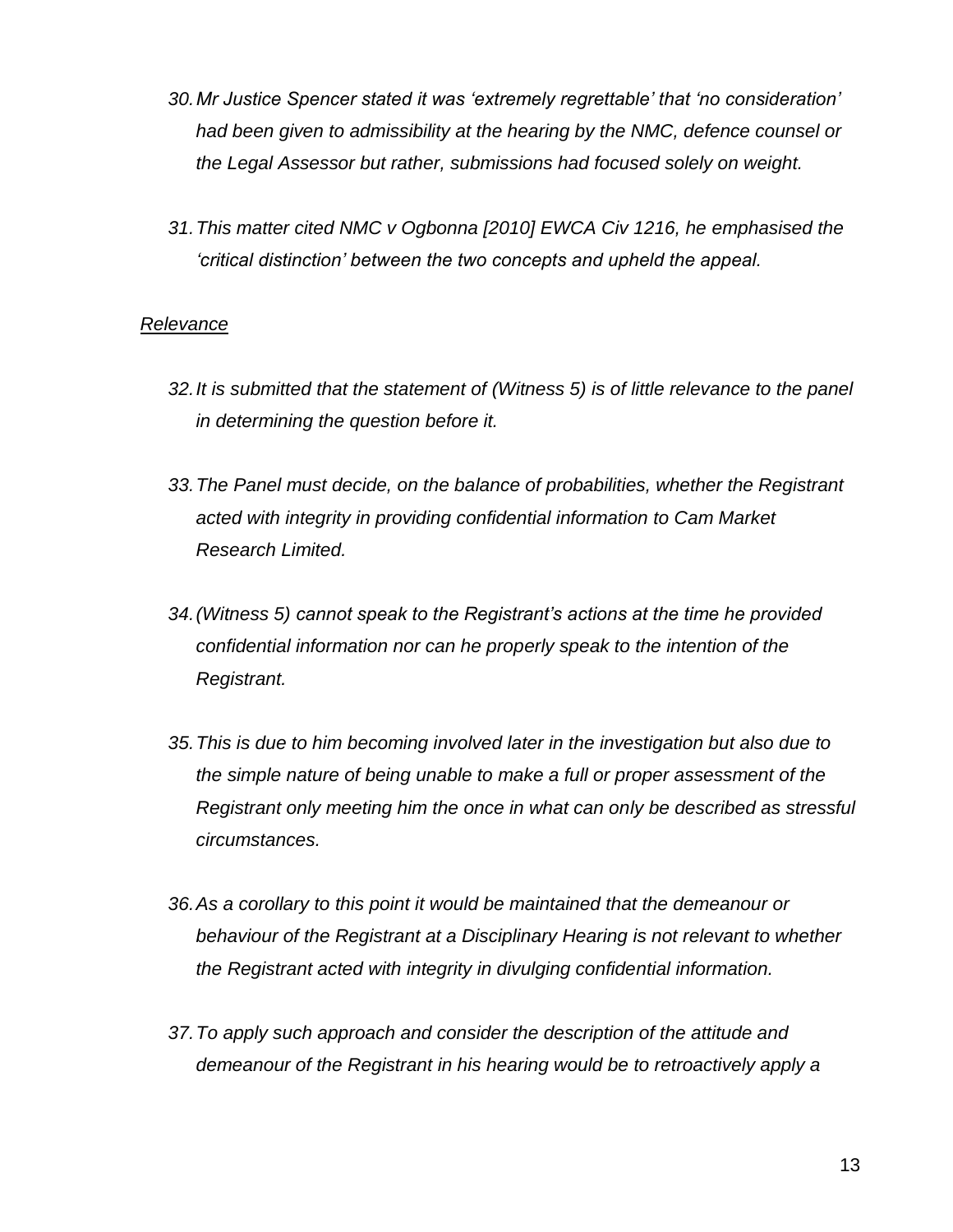- *30.Mr Justice Spencer stated it was 'extremely regrettable' that 'no consideration' had been given to admissibility at the hearing by the NMC, defence counsel or the Legal Assessor but rather, submissions had focused solely on weight.*
- *31.This matter cited NMC v Ogbonna [2010] EWCA Civ 1216, he emphasised the 'critical distinction' between the two concepts and upheld the appeal.*

#### *Relevance*

- *32.It is submitted that the statement of (Witness 5) is of little relevance to the panel in determining the question before it.*
- *33.The Panel must decide, on the balance of probabilities, whether the Registrant acted with integrity in providing confidential information to Cam Market Research Limited.*
- *34.(Witness 5) cannot speak to the Registrant's actions at the time he provided confidential information nor can he properly speak to the intention of the Registrant.*
- *35.This is due to him becoming involved later in the investigation but also due to the simple nature of being unable to make a full or proper assessment of the Registrant only meeting him the once in what can only be described as stressful circumstances.*
- *36.As a corollary to this point it would be maintained that the demeanour or behaviour of the Registrant at a Disciplinary Hearing is not relevant to whether the Registrant acted with integrity in divulging confidential information.*
- *37.To apply such approach and consider the description of the attitude and demeanour of the Registrant in his hearing would be to retroactively apply a*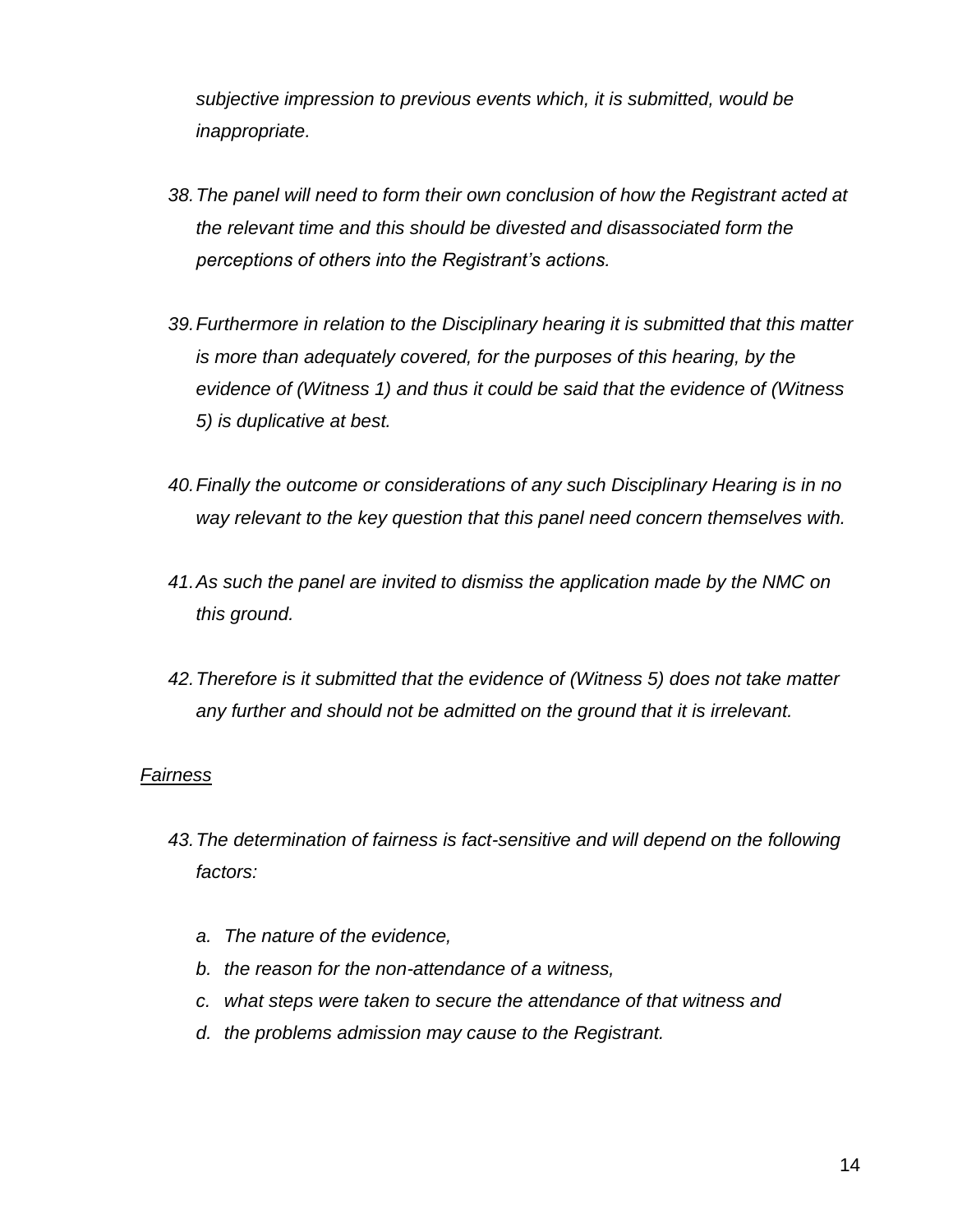*subjective impression to previous events which, it is submitted, would be inappropriate.*

- *38.The panel will need to form their own conclusion of how the Registrant acted at the relevant time and this should be divested and disassociated form the perceptions of others into the Registrant's actions.*
- *39.Furthermore in relation to the Disciplinary hearing it is submitted that this matter is more than adequately covered, for the purposes of this hearing, by the evidence of (Witness 1) and thus it could be said that the evidence of (Witness 5) is duplicative at best.*
- *40.Finally the outcome or considerations of any such Disciplinary Hearing is in no way relevant to the key question that this panel need concern themselves with.*
- *41.As such the panel are invited to dismiss the application made by the NMC on this ground.*
- *42.Therefore is it submitted that the evidence of (Witness 5) does not take matter any further and should not be admitted on the ground that it is irrelevant.*

## *Fairness*

- *43.The determination of fairness is fact-sensitive and will depend on the following factors:*
	- *a. The nature of the evidence,*
	- *b. the reason for the non-attendance of a witness,*
	- *c. what steps were taken to secure the attendance of that witness and*
	- *d. the problems admission may cause to the Registrant.*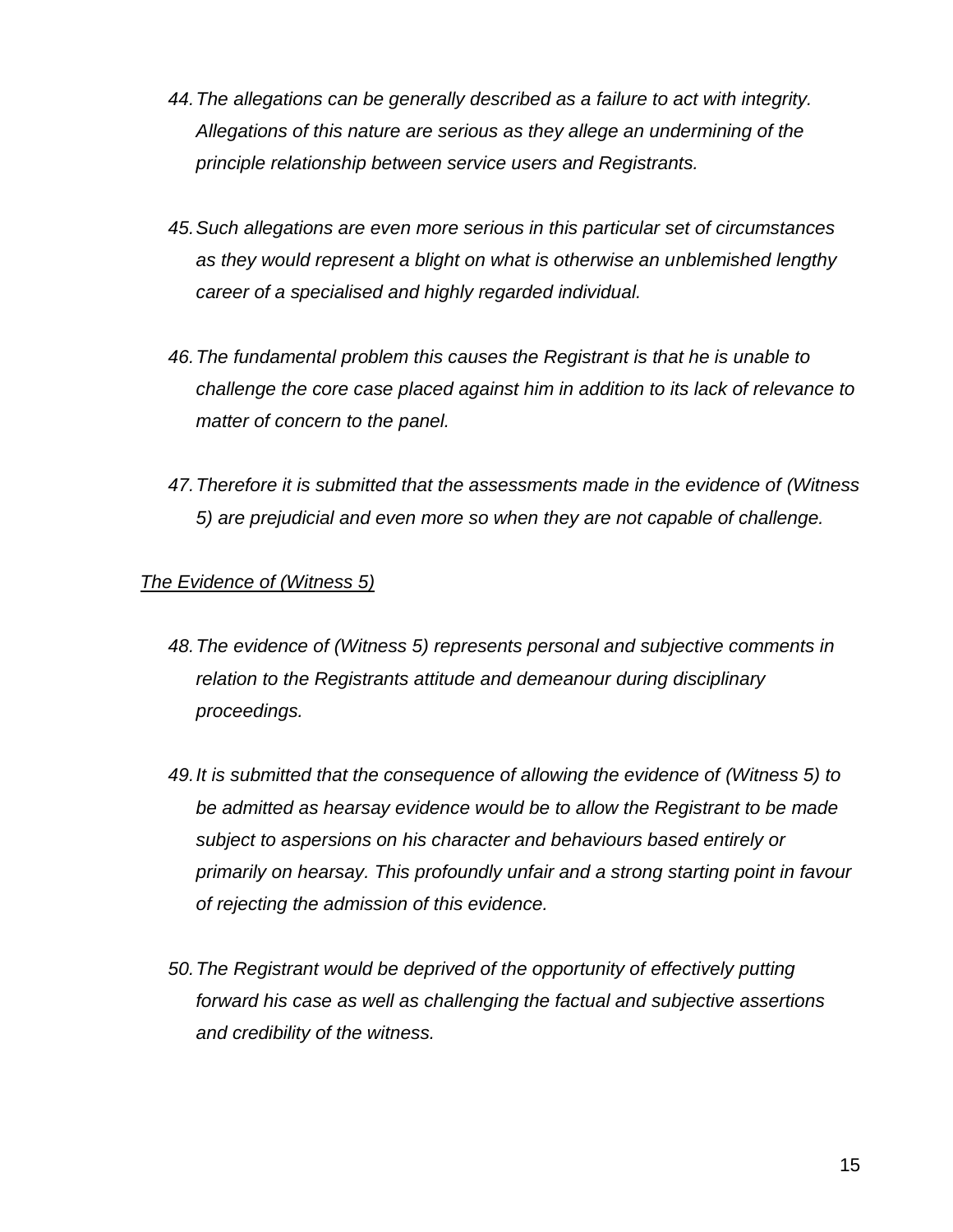- *44.The allegations can be generally described as a failure to act with integrity. Allegations of this nature are serious as they allege an undermining of the principle relationship between service users and Registrants.*
- *45.Such allegations are even more serious in this particular set of circumstances as they would represent a blight on what is otherwise an unblemished lengthy career of a specialised and highly regarded individual.*
- *46.The fundamental problem this causes the Registrant is that he is unable to challenge the core case placed against him in addition to its lack of relevance to matter of concern to the panel.*
- *47.Therefore it is submitted that the assessments made in the evidence of (Witness 5) are prejudicial and even more so when they are not capable of challenge.*

# *The Evidence of (Witness 5)*

- *48.The evidence of (Witness 5) represents personal and subjective comments in relation to the Registrants attitude and demeanour during disciplinary proceedings.*
- *49.It is submitted that the consequence of allowing the evidence of (Witness 5) to be admitted as hearsay evidence would be to allow the Registrant to be made subject to aspersions on his character and behaviours based entirely or primarily on hearsay. This profoundly unfair and a strong starting point in favour of rejecting the admission of this evidence.*
- *50.The Registrant would be deprived of the opportunity of effectively putting forward his case as well as challenging the factual and subjective assertions and credibility of the witness.*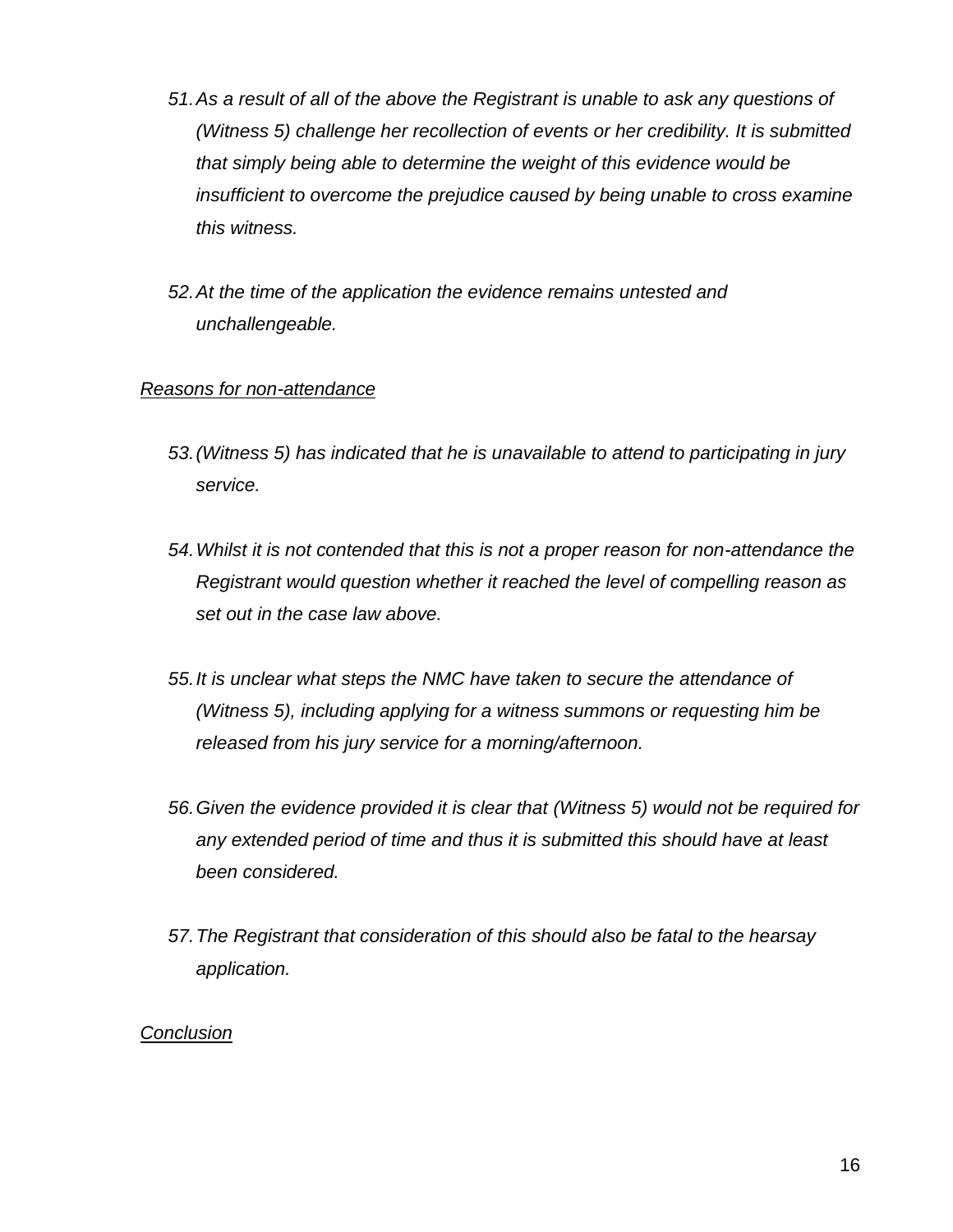- *51.As a result of all of the above the Registrant is unable to ask any questions of (Witness 5) challenge her recollection of events or her credibility. It is submitted that simply being able to determine the weight of this evidence would be insufficient to overcome the prejudice caused by being unable to cross examine this witness.*
- *52.At the time of the application the evidence remains untested and unchallengeable.*

## *Reasons for non-attendance*

- *53.(Witness 5) has indicated that he is unavailable to attend to participating in jury service.*
- *54.Whilst it is not contended that this is not a proper reason for non-attendance the Registrant would question whether it reached the level of compelling reason as set out in the case law above.*
- *55.It is unclear what steps the NMC have taken to secure the attendance of (Witness 5), including applying for a witness summons or requesting him be released from his jury service for a morning/afternoon.*
- *56.Given the evidence provided it is clear that (Witness 5) would not be required for any extended period of time and thus it is submitted this should have at least been considered.*
- *57.The Registrant that consideration of this should also be fatal to the hearsay application.*

## *Conclusion*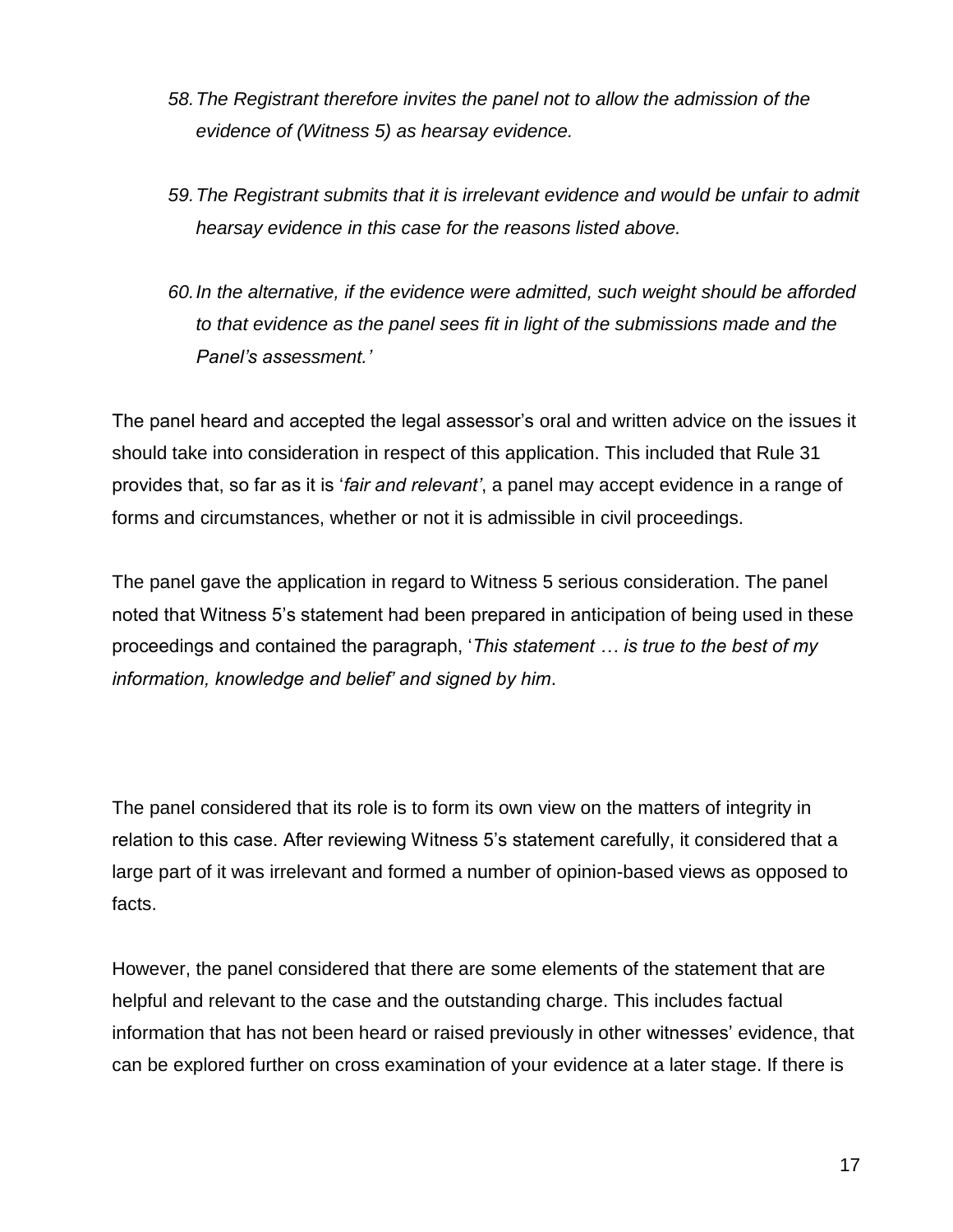- *58.The Registrant therefore invites the panel not to allow the admission of the evidence of (Witness 5) as hearsay evidence.*
- *59.The Registrant submits that it is irrelevant evidence and would be unfair to admit hearsay evidence in this case for the reasons listed above.*
- *60.In the alternative, if the evidence were admitted, such weight should be afforded to that evidence as the panel sees fit in light of the submissions made and the Panel's assessment.'*

The panel heard and accepted the legal assessor's oral and written advice on the issues it should take into consideration in respect of this application. This included that Rule 31 provides that, so far as it is '*fair and relevant'*, a panel may accept evidence in a range of forms and circumstances, whether or not it is admissible in civil proceedings.

The panel gave the application in regard to Witness 5 serious consideration. The panel noted that Witness 5's statement had been prepared in anticipation of being used in these proceedings and contained the paragraph, '*This statement … is true to the best of my information, knowledge and belief' and signed by him*.

The panel considered that its role is to form its own view on the matters of integrity in relation to this case. After reviewing Witness 5's statement carefully, it considered that a large part of it was irrelevant and formed a number of opinion-based views as opposed to facts.

However, the panel considered that there are some elements of the statement that are helpful and relevant to the case and the outstanding charge. This includes factual information that has not been heard or raised previously in other witnesses' evidence, that can be explored further on cross examination of your evidence at a later stage. If there is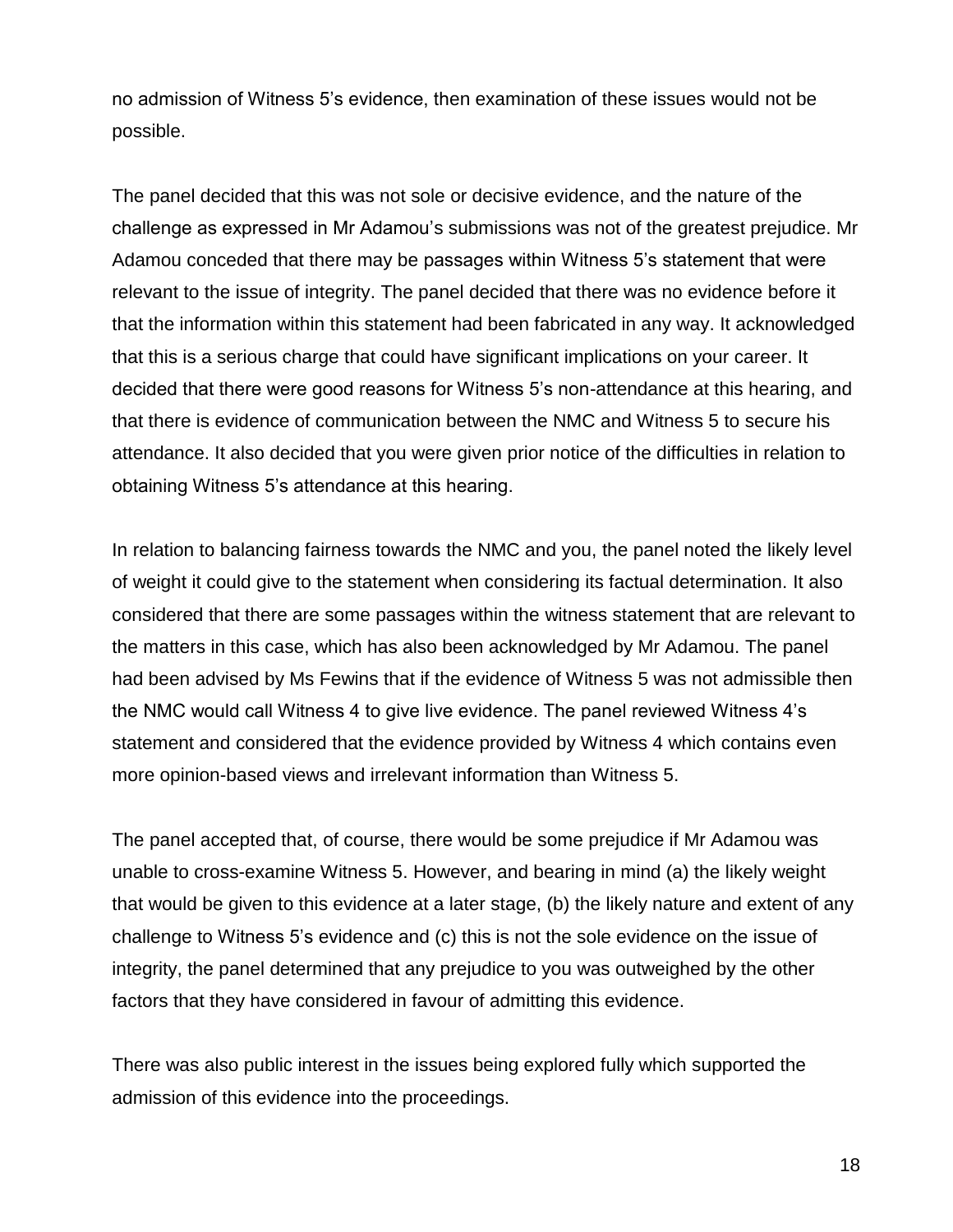no admission of Witness 5's evidence, then examination of these issues would not be possible.

The panel decided that this was not sole or decisive evidence, and the nature of the challenge as expressed in Mr Adamou's submissions was not of the greatest prejudice. Mr Adamou conceded that there may be passages within Witness 5's statement that were relevant to the issue of integrity. The panel decided that there was no evidence before it that the information within this statement had been fabricated in any way. It acknowledged that this is a serious charge that could have significant implications on your career. It decided that there were good reasons for Witness 5's non-attendance at this hearing, and that there is evidence of communication between the NMC and Witness 5 to secure his attendance. It also decided that you were given prior notice of the difficulties in relation to obtaining Witness 5's attendance at this hearing.

In relation to balancing fairness towards the NMC and you, the panel noted the likely level of weight it could give to the statement when considering its factual determination. It also considered that there are some passages within the witness statement that are relevant to the matters in this case, which has also been acknowledged by Mr Adamou. The panel had been advised by Ms Fewins that if the evidence of Witness 5 was not admissible then the NMC would call Witness 4 to give live evidence. The panel reviewed Witness 4's statement and considered that the evidence provided by Witness 4 which contains even more opinion-based views and irrelevant information than Witness 5.

The panel accepted that, of course, there would be some prejudice if Mr Adamou was unable to cross-examine Witness 5. However, and bearing in mind (a) the likely weight that would be given to this evidence at a later stage, (b) the likely nature and extent of any challenge to Witness 5's evidence and (c) this is not the sole evidence on the issue of integrity, the panel determined that any prejudice to you was outweighed by the other factors that they have considered in favour of admitting this evidence.

There was also public interest in the issues being explored fully which supported the admission of this evidence into the proceedings.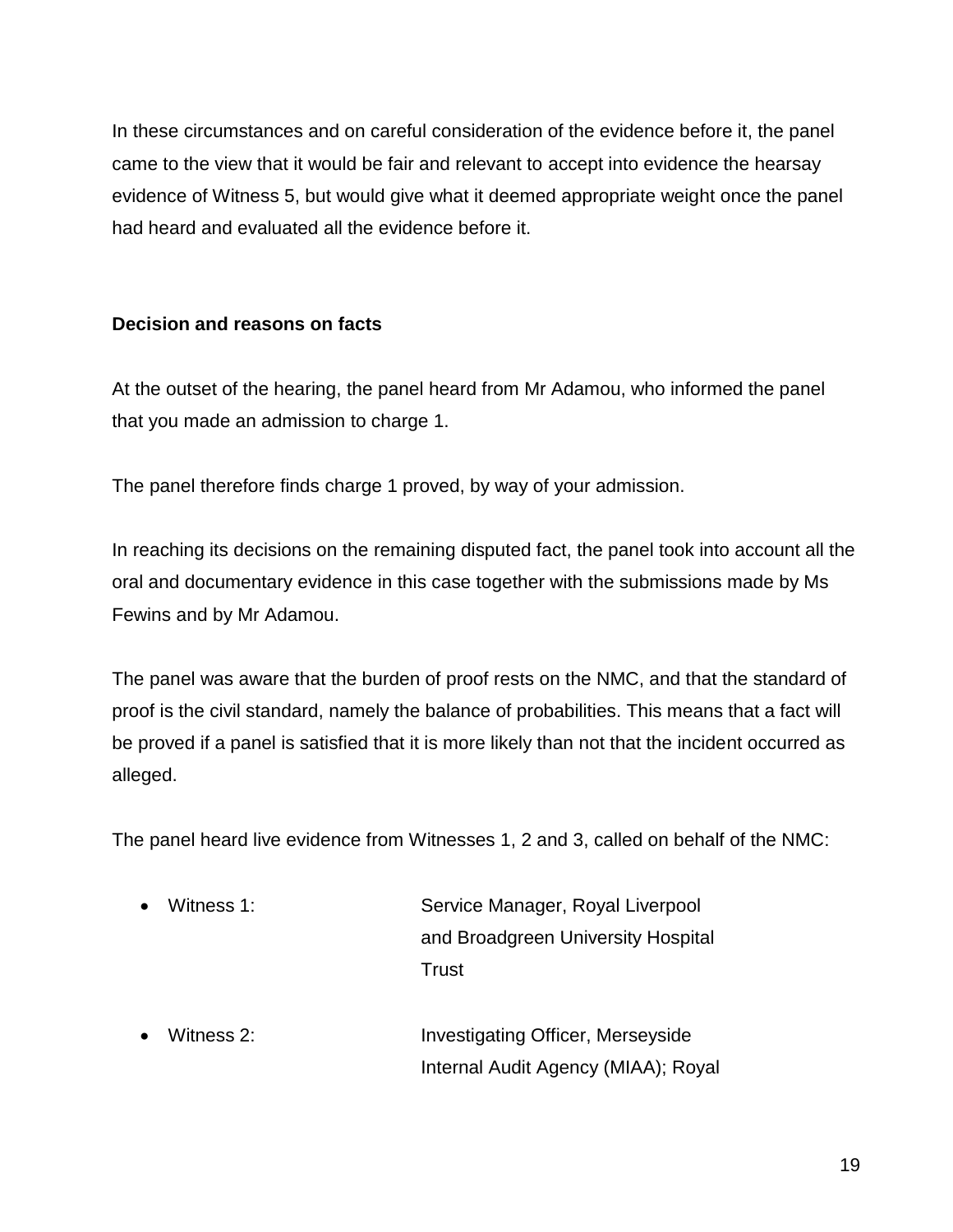In these circumstances and on careful consideration of the evidence before it, the panel came to the view that it would be fair and relevant to accept into evidence the hearsay evidence of Witness 5, but would give what it deemed appropriate weight once the panel had heard and evaluated all the evidence before it.

# **Decision and reasons on facts**

At the outset of the hearing, the panel heard from Mr Adamou, who informed the panel that you made an admission to charge 1.

The panel therefore finds charge 1 proved, by way of your admission.

In reaching its decisions on the remaining disputed fact, the panel took into account all the oral and documentary evidence in this case together with the submissions made by Ms Fewins and by Mr Adamou.

The panel was aware that the burden of proof rests on the NMC, and that the standard of proof is the civil standard, namely the balance of probabilities. This means that a fact will be proved if a panel is satisfied that it is more likely than not that the incident occurred as alleged.

The panel heard live evidence from Witnesses 1, 2 and 3, called on behalf of the NMC:

- Witness 1: Service Manager, Royal Liverpool and Broadgreen University Hospital **Trust**
- Witness 2: Investigating Officer, Merseyside Internal Audit Agency (MIAA); Royal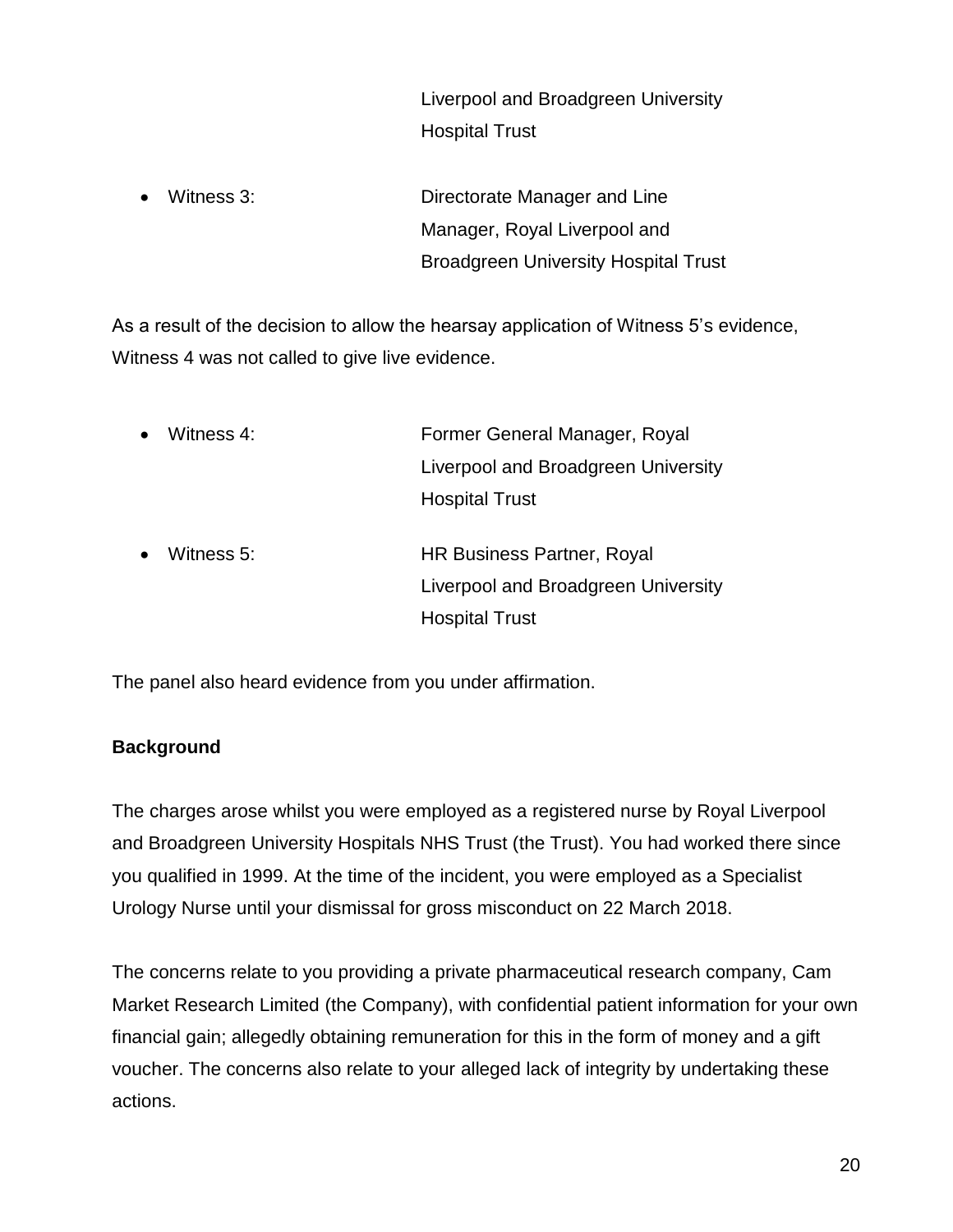Liverpool and Broadgreen University Hospital Trust

 Witness 3: Directorate Manager and Line Manager, Royal Liverpool and Broadgreen University Hospital Trust

As a result of the decision to allow the hearsay application of Witness 5's evidence, Witness 4 was not called to give live evidence.

| $\bullet$ | Witness 4: | Former General Manager, Royal       |  |
|-----------|------------|-------------------------------------|--|
|           |            | Liverpool and Broadgreen University |  |
|           |            | <b>Hospital Trust</b>               |  |
| $\bullet$ | Witness 5: | HR Business Partner, Royal          |  |
|           |            | Liverpool and Broadgreen University |  |

The panel also heard evidence from you under affirmation.

# **Background**

The charges arose whilst you were employed as a registered nurse by Royal Liverpool and Broadgreen University Hospitals NHS Trust (the Trust). You had worked there since you qualified in 1999. At the time of the incident, you were employed as a Specialist Urology Nurse until your dismissal for gross misconduct on 22 March 2018.

Hospital Trust

The concerns relate to you providing a private pharmaceutical research company, Cam Market Research Limited (the Company), with confidential patient information for your own financial gain; allegedly obtaining remuneration for this in the form of money and a gift voucher. The concerns also relate to your alleged lack of integrity by undertaking these actions.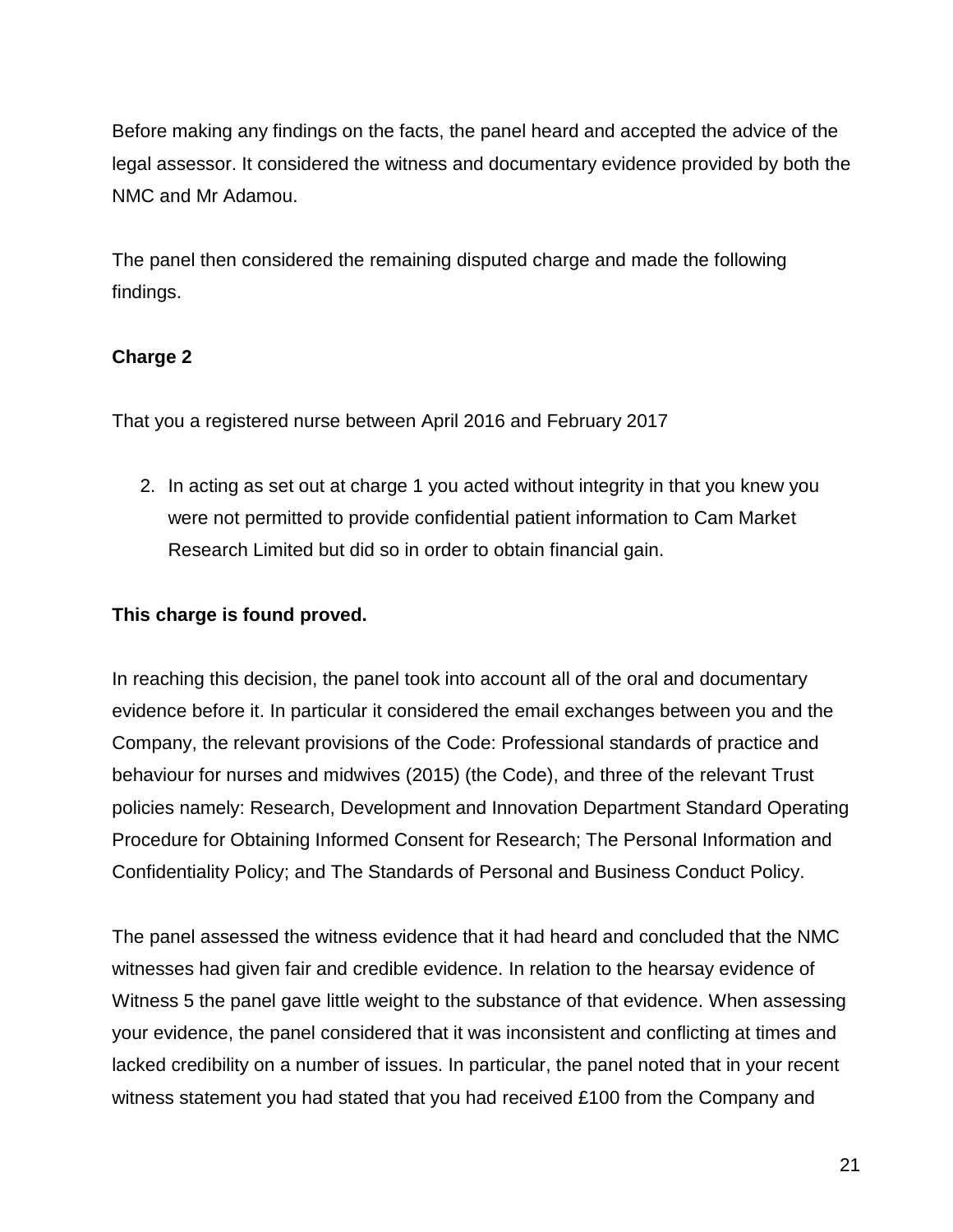Before making any findings on the facts, the panel heard and accepted the advice of the legal assessor. It considered the witness and documentary evidence provided by both the NMC and Mr Adamou.

The panel then considered the remaining disputed charge and made the following findings.

# **Charge 2**

That you a registered nurse between April 2016 and February 2017

2. In acting as set out at charge 1 you acted without integrity in that you knew you were not permitted to provide confidential patient information to Cam Market Research Limited but did so in order to obtain financial gain.

# **This charge is found proved.**

In reaching this decision, the panel took into account all of the oral and documentary evidence before it. In particular it considered the email exchanges between you and the Company, the relevant provisions of the Code: Professional standards of practice and behaviour for nurses and midwives (2015) (the Code), and three of the relevant Trust policies namely: Research, Development and Innovation Department Standard Operating Procedure for Obtaining Informed Consent for Research; The Personal Information and Confidentiality Policy; and The Standards of Personal and Business Conduct Policy.

The panel assessed the witness evidence that it had heard and concluded that the NMC witnesses had given fair and credible evidence. In relation to the hearsay evidence of Witness 5 the panel gave little weight to the substance of that evidence. When assessing your evidence, the panel considered that it was inconsistent and conflicting at times and lacked credibility on a number of issues. In particular, the panel noted that in your recent witness statement you had stated that you had received £100 from the Company and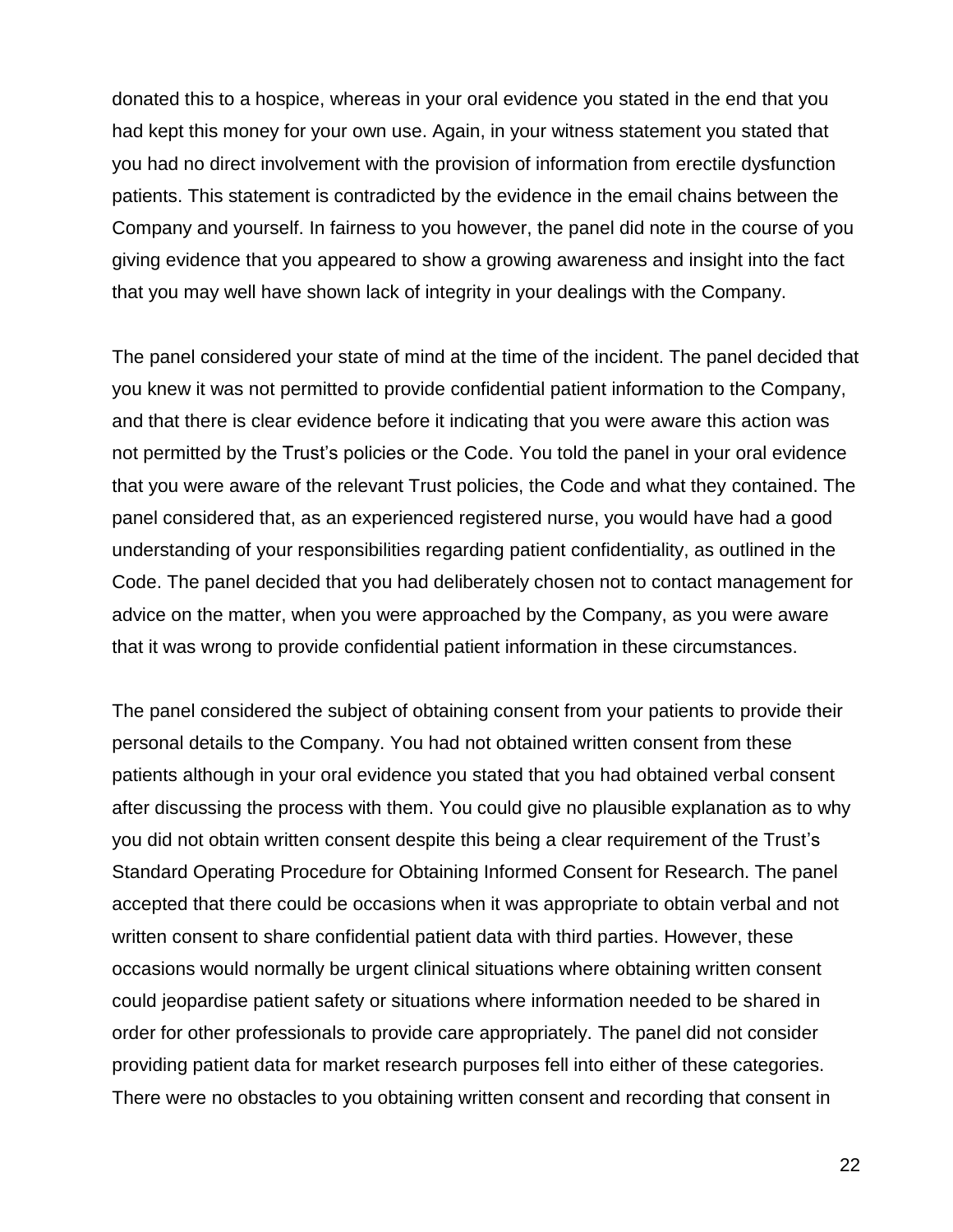donated this to a hospice, whereas in your oral evidence you stated in the end that you had kept this money for your own use. Again, in your witness statement you stated that you had no direct involvement with the provision of information from erectile dysfunction patients. This statement is contradicted by the evidence in the email chains between the Company and yourself. In fairness to you however, the panel did note in the course of you giving evidence that you appeared to show a growing awareness and insight into the fact that you may well have shown lack of integrity in your dealings with the Company.

The panel considered your state of mind at the time of the incident. The panel decided that you knew it was not permitted to provide confidential patient information to the Company, and that there is clear evidence before it indicating that you were aware this action was not permitted by the Trust's policies or the Code. You told the panel in your oral evidence that you were aware of the relevant Trust policies, the Code and what they contained. The panel considered that, as an experienced registered nurse, you would have had a good understanding of your responsibilities regarding patient confidentiality, as outlined in the Code. The panel decided that you had deliberately chosen not to contact management for advice on the matter, when you were approached by the Company, as you were aware that it was wrong to provide confidential patient information in these circumstances.

The panel considered the subject of obtaining consent from your patients to provide their personal details to the Company. You had not obtained written consent from these patients although in your oral evidence you stated that you had obtained verbal consent after discussing the process with them. You could give no plausible explanation as to why you did not obtain written consent despite this being a clear requirement of the Trust's Standard Operating Procedure for Obtaining Informed Consent for Research. The panel accepted that there could be occasions when it was appropriate to obtain verbal and not written consent to share confidential patient data with third parties. However, these occasions would normally be urgent clinical situations where obtaining written consent could jeopardise patient safety or situations where information needed to be shared in order for other professionals to provide care appropriately. The panel did not consider providing patient data for market research purposes fell into either of these categories. There were no obstacles to you obtaining written consent and recording that consent in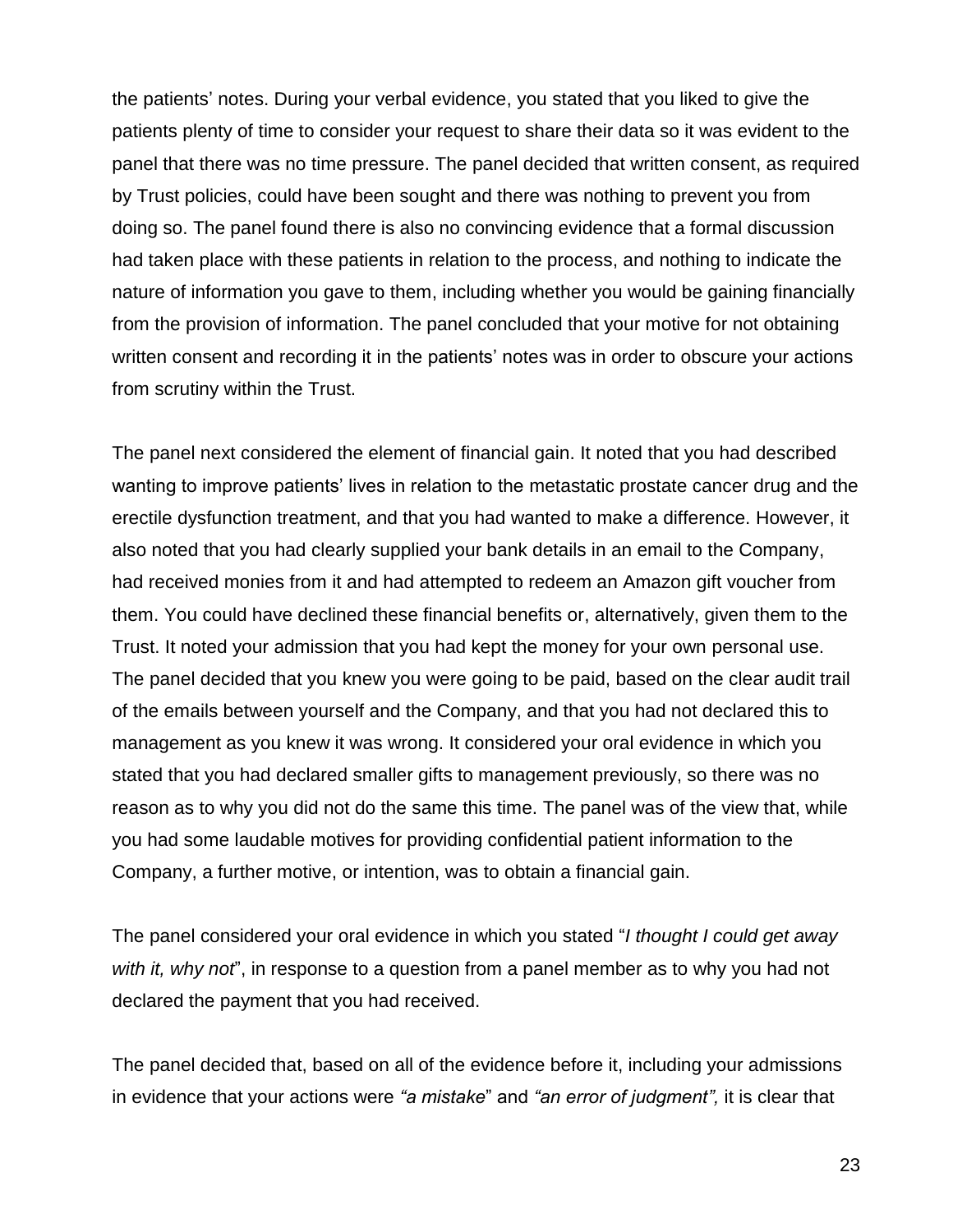the patients' notes. During your verbal evidence, you stated that you liked to give the patients plenty of time to consider your request to share their data so it was evident to the panel that there was no time pressure. The panel decided that written consent, as required by Trust policies, could have been sought and there was nothing to prevent you from doing so. The panel found there is also no convincing evidence that a formal discussion had taken place with these patients in relation to the process, and nothing to indicate the nature of information you gave to them, including whether you would be gaining financially from the provision of information. The panel concluded that your motive for not obtaining written consent and recording it in the patients' notes was in order to obscure your actions from scrutiny within the Trust.

The panel next considered the element of financial gain. It noted that you had described wanting to improve patients' lives in relation to the metastatic prostate cancer drug and the erectile dysfunction treatment, and that you had wanted to make a difference. However, it also noted that you had clearly supplied your bank details in an email to the Company, had received monies from it and had attempted to redeem an Amazon gift voucher from them. You could have declined these financial benefits or, alternatively, given them to the Trust. It noted your admission that you had kept the money for your own personal use. The panel decided that you knew you were going to be paid, based on the clear audit trail of the emails between yourself and the Company, and that you had not declared this to management as you knew it was wrong. It considered your oral evidence in which you stated that you had declared smaller gifts to management previously, so there was no reason as to why you did not do the same this time. The panel was of the view that, while you had some laudable motives for providing confidential patient information to the Company, a further motive, or intention, was to obtain a financial gain.

The panel considered your oral evidence in which you stated "*I thought I could get away with it, why not*", in response to a question from a panel member as to why you had not declared the payment that you had received.

The panel decided that, based on all of the evidence before it, including your admissions in evidence that your actions were *"a mistake*" and *"an error of judgment",* it is clear that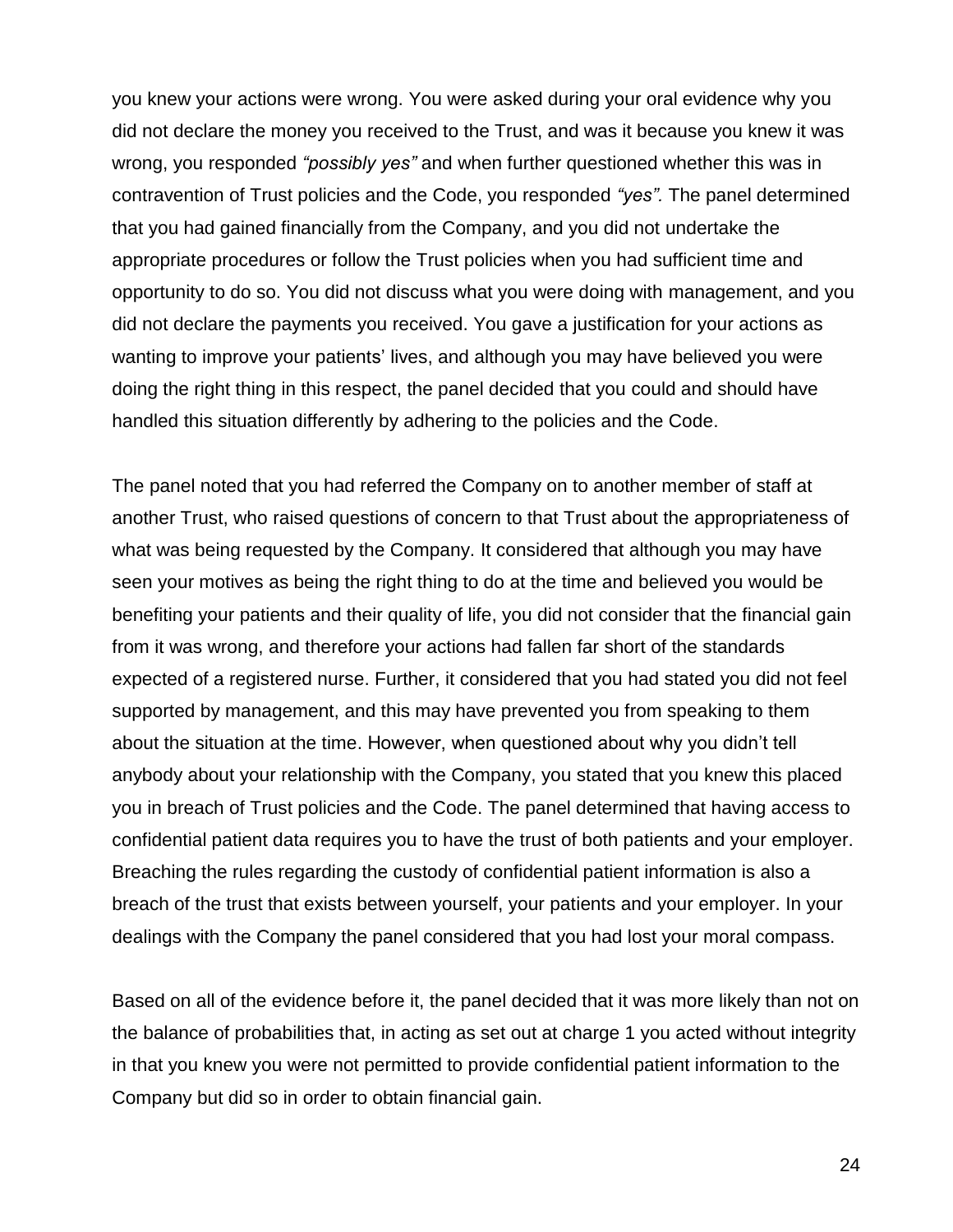you knew your actions were wrong. You were asked during your oral evidence why you did not declare the money you received to the Trust, and was it because you knew it was wrong, you responded *"possibly yes"* and when further questioned whether this was in contravention of Trust policies and the Code, you responded *"yes".* The panel determined that you had gained financially from the Company, and you did not undertake the appropriate procedures or follow the Trust policies when you had sufficient time and opportunity to do so. You did not discuss what you were doing with management, and you did not declare the payments you received. You gave a justification for your actions as wanting to improve your patients' lives, and although you may have believed you were doing the right thing in this respect, the panel decided that you could and should have handled this situation differently by adhering to the policies and the Code.

The panel noted that you had referred the Company on to another member of staff at another Trust, who raised questions of concern to that Trust about the appropriateness of what was being requested by the Company. It considered that although you may have seen your motives as being the right thing to do at the time and believed you would be benefiting your patients and their quality of life, you did not consider that the financial gain from it was wrong, and therefore your actions had fallen far short of the standards expected of a registered nurse. Further, it considered that you had stated you did not feel supported by management, and this may have prevented you from speaking to them about the situation at the time. However, when questioned about why you didn't tell anybody about your relationship with the Company, you stated that you knew this placed you in breach of Trust policies and the Code. The panel determined that having access to confidential patient data requires you to have the trust of both patients and your employer. Breaching the rules regarding the custody of confidential patient information is also a breach of the trust that exists between yourself, your patients and your employer. In your dealings with the Company the panel considered that you had lost your moral compass.

Based on all of the evidence before it, the panel decided that it was more likely than not on the balance of probabilities that, in acting as set out at charge 1 you acted without integrity in that you knew you were not permitted to provide confidential patient information to the Company but did so in order to obtain financial gain.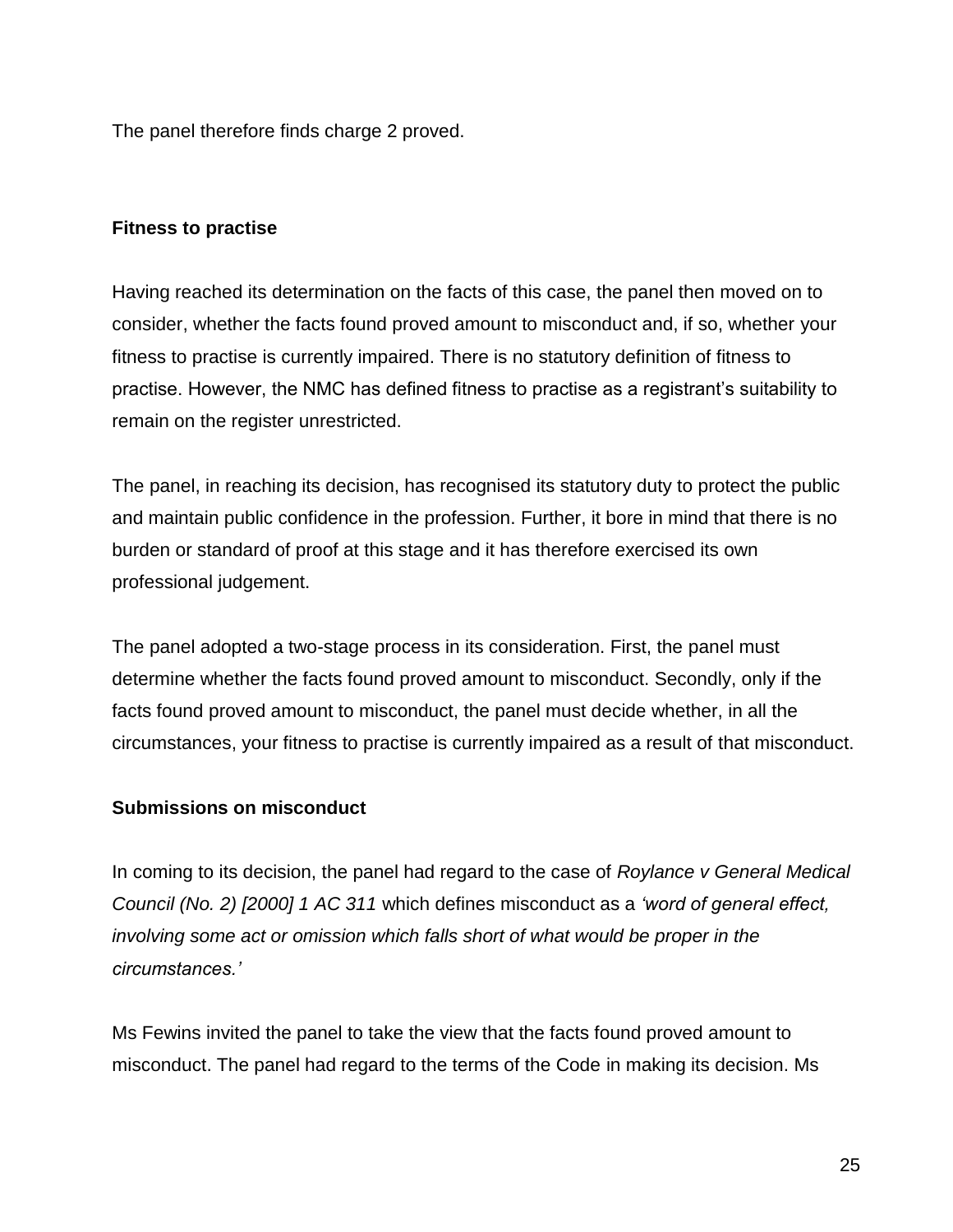The panel therefore finds charge 2 proved.

## **Fitness to practise**

Having reached its determination on the facts of this case, the panel then moved on to consider, whether the facts found proved amount to misconduct and, if so, whether your fitness to practise is currently impaired. There is no statutory definition of fitness to practise. However, the NMC has defined fitness to practise as a registrant's suitability to remain on the register unrestricted.

The panel, in reaching its decision, has recognised its statutory duty to protect the public and maintain public confidence in the profession. Further, it bore in mind that there is no burden or standard of proof at this stage and it has therefore exercised its own professional judgement.

The panel adopted a two-stage process in its consideration. First, the panel must determine whether the facts found proved amount to misconduct. Secondly, only if the facts found proved amount to misconduct, the panel must decide whether, in all the circumstances, your fitness to practise is currently impaired as a result of that misconduct.

## **Submissions on misconduct**

In coming to its decision, the panel had regard to the case of *Roylance v General Medical Council (No. 2) [2000] 1 AC 311* which defines misconduct as a *'word of general effect, involving some act or omission which falls short of what would be proper in the circumstances.'*

Ms Fewins invited the panel to take the view that the facts found proved amount to misconduct. The panel had regard to the terms of the Code in making its decision. Ms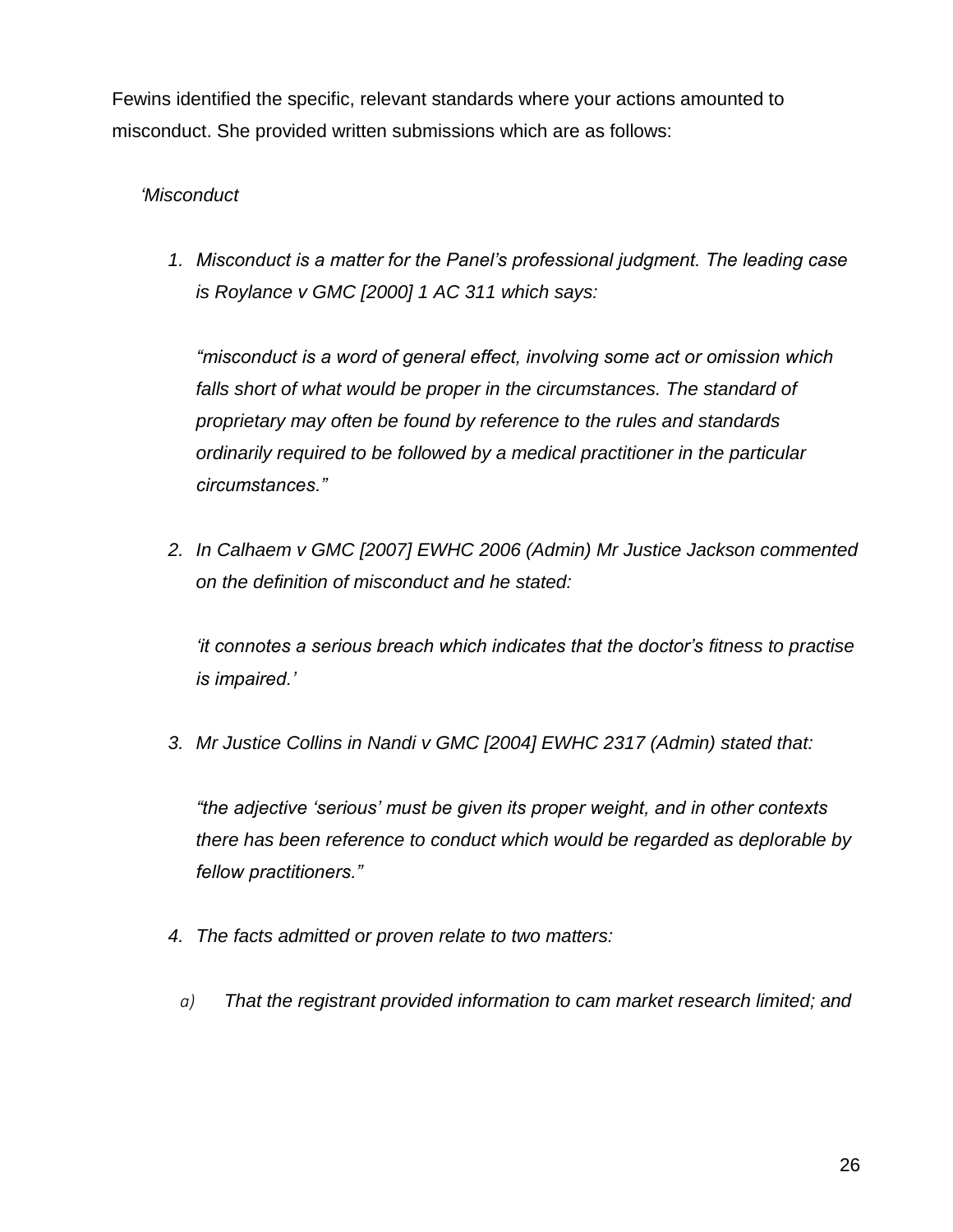Fewins identified the specific, relevant standards where your actions amounted to misconduct. She provided written submissions which are as follows:

# *'Misconduct*

*1. Misconduct is a matter for the Panel's professional judgment. The leading case is Roylance v GMC [2000] 1 AC 311 which says:*

*"misconduct is a word of general effect, involving some act or omission which*  falls short of what would be proper in the circumstances. The standard of *proprietary may often be found by reference to the rules and standards ordinarily required to be followed by a medical practitioner in the particular circumstances."*

*2. In Calhaem v GMC [2007] EWHC 2006 (Admin) Mr Justice Jackson commented on the definition of misconduct and he stated:*

*'it connotes a serious breach which indicates that the doctor's fitness to practise is impaired.'*

*3. Mr Justice Collins in Nandi v GMC [2004] EWHC 2317 (Admin) stated that:* 

*"the adjective 'serious' must be given its proper weight, and in other contexts there has been reference to conduct which would be regarded as deplorable by fellow practitioners."*

- *4. The facts admitted or proven relate to two matters:*
- *a) That the registrant provided information to cam market research limited; and*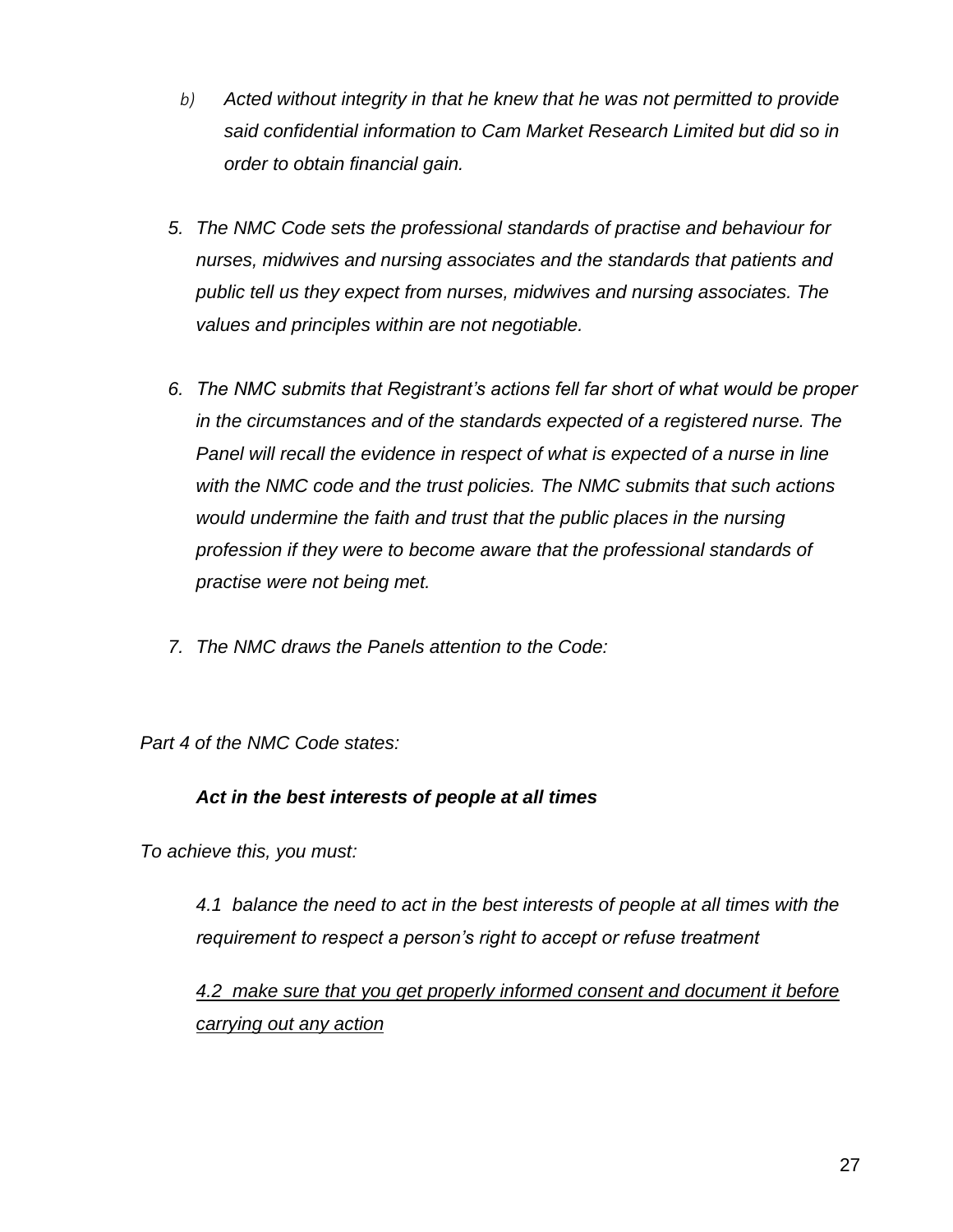- *b) Acted without integrity in that he knew that he was not permitted to provide said confidential information to Cam Market Research Limited but did so in order to obtain financial gain.*
- *5. The NMC Code sets the professional standards of practise and behaviour for nurses, midwives and nursing associates and the standards that patients and public tell us they expect from nurses, midwives and nursing associates. The values and principles within are not negotiable.*
- *6. The NMC submits that Registrant's actions fell far short of what would be proper in the circumstances and of the standards expected of a registered nurse. The Panel will recall the evidence in respect of what is expected of a nurse in line with the NMC code and the trust policies. The NMC submits that such actions would undermine the faith and trust that the public places in the nursing profession if they were to become aware that the professional standards of practise were not being met.*
- *7. The NMC draws the Panels attention to the Code:*

*Part 4 of the NMC Code states:*

## *Act in the best interests of people at all times*

*To achieve this, you must:* 

*4.1 balance the need to act in the best interests of people at all times with the requirement to respect a person's right to accept or refuse treatment* 

*4.2 make sure that you get properly informed consent and document it before carrying out any action*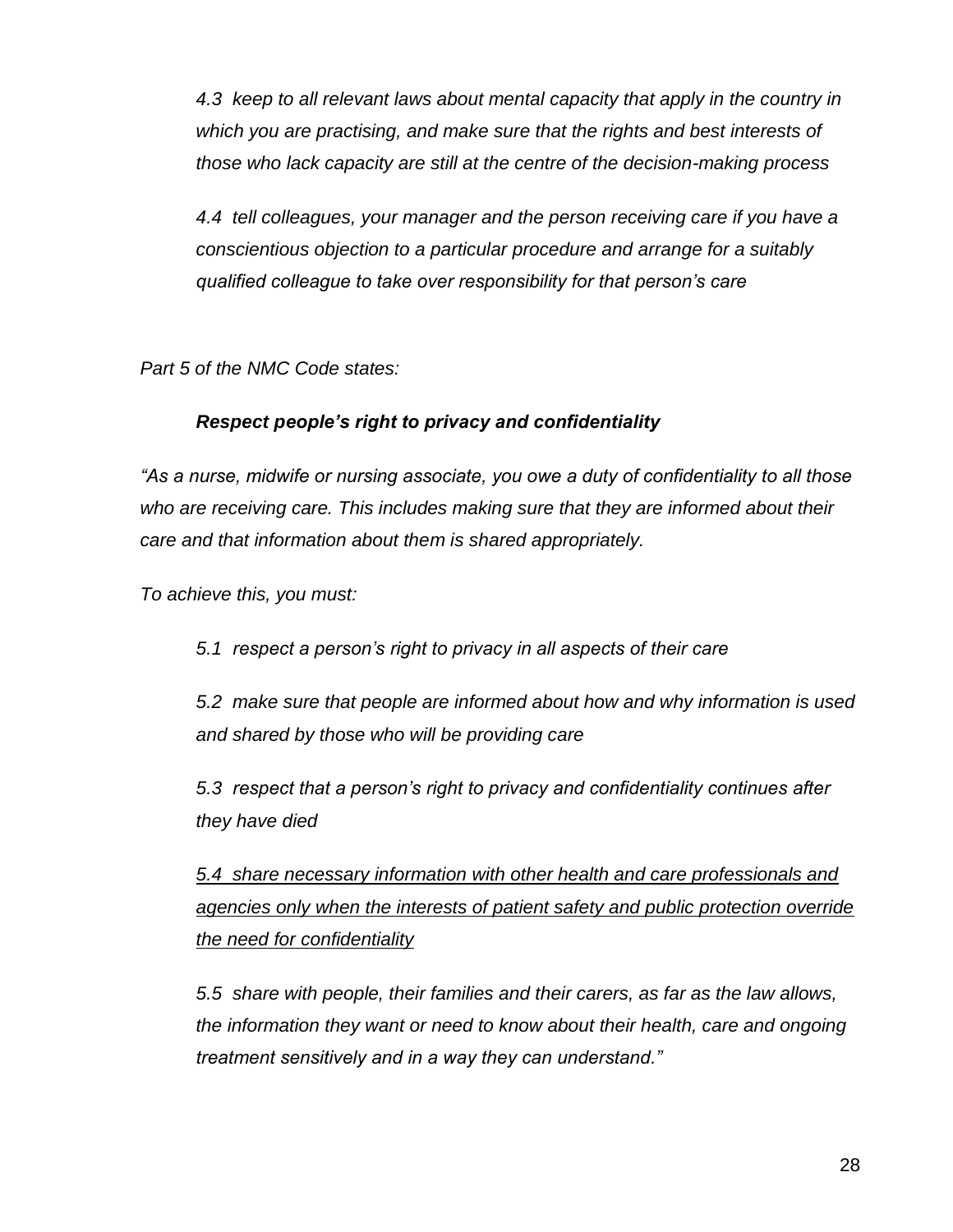*4.3 keep to all relevant laws about mental capacity that apply in the country in which you are practising, and make sure that the rights and best interests of those who lack capacity are still at the centre of the decision-making process* 

*4.4 tell colleagues, your manager and the person receiving care if you have a conscientious objection to a particular procedure and arrange for a suitably qualified colleague to take over responsibility for that person's care* 

*Part 5 of the NMC Code states:*

# *Respect people's right to privacy and confidentiality*

*"As a nurse, midwife or nursing associate, you owe a duty of confidentiality to all those who are receiving care. This includes making sure that they are informed about their care and that information about them is shared appropriately.* 

*To achieve this, you must:* 

*5.1 respect a person's right to privacy in all aspects of their care* 

*5.2 make sure that people are informed about how and why information is used and shared by those who will be providing care* 

*5.3 respect that a person's right to privacy and confidentiality continues after they have died* 

*5.4 share necessary information with other health and care professionals and agencies only when the interests of patient safety and public protection override the need for confidentiality*

*5.5 share with people, their families and their carers, as far as the law allows, the information they want or need to know about their health, care and ongoing treatment sensitively and in a way they can understand."*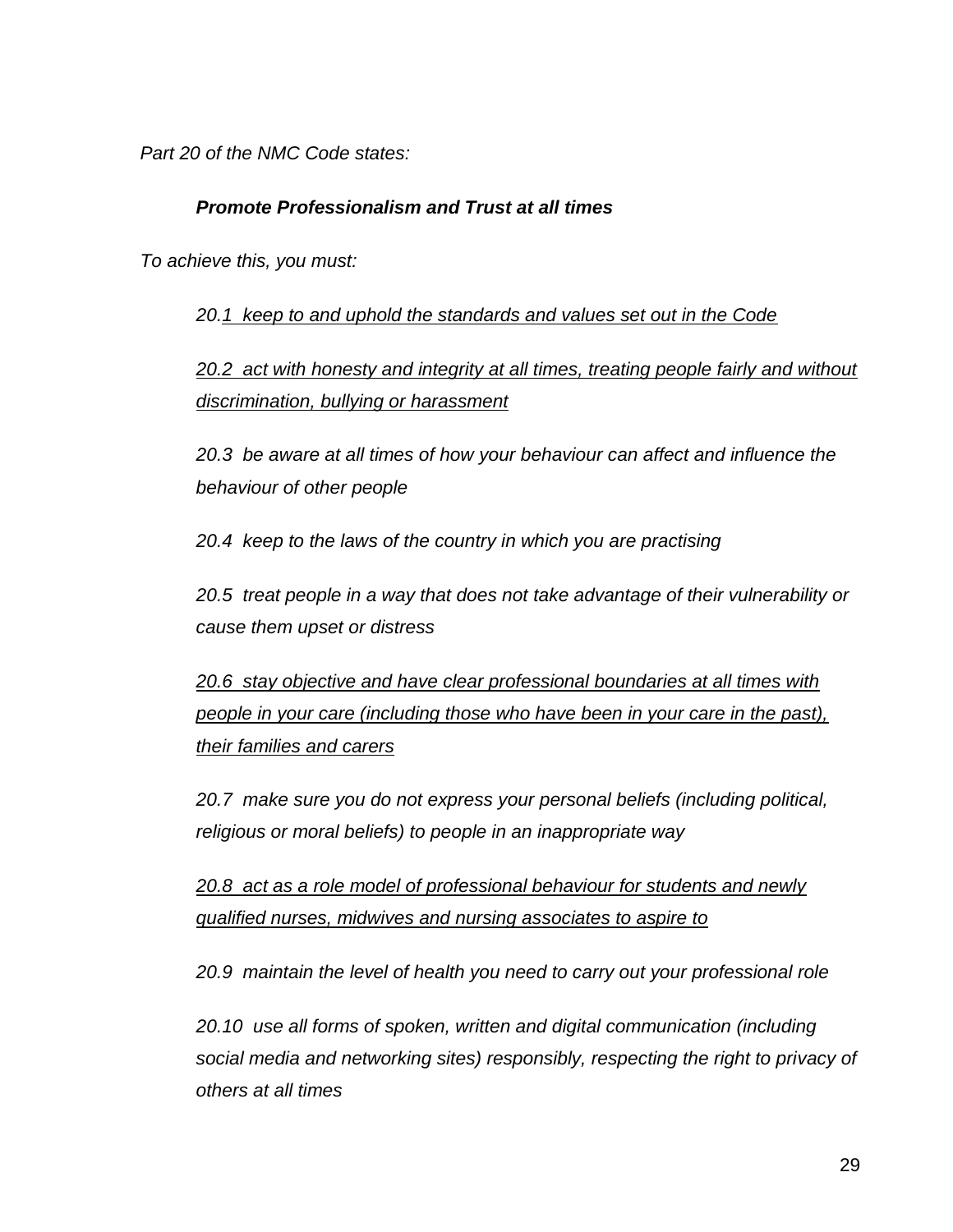*Part 20 of the NMC Code states:*

## *Promote Professionalism and Trust at all times*

*To achieve this, you must:* 

*20.1 keep to and uphold the standards and values set out in the Code*

*20.2 act with honesty and integrity at all times, treating people fairly and without discrimination, bullying or harassment* 

*20.3 be aware at all times of how your behaviour can affect and influence the behaviour of other people* 

*20.4 keep to the laws of the country in which you are practising* 

*20.5 treat people in a way that does not take advantage of their vulnerability or cause them upset or distress* 

*20.6 stay objective and have clear professional boundaries at all times with people in your care (including those who have been in your care in the past), their families and carers* 

*20.7 make sure you do not express your personal beliefs (including political, religious or moral beliefs) to people in an inappropriate way* 

*20.8 act as a role model of professional behaviour for students and newly qualified nurses, midwives and nursing associates to aspire to* 

*20.9 maintain the level of health you need to carry out your professional role* 

*20.10 use all forms of spoken, written and digital communication (including social media and networking sites) responsibly, respecting the right to privacy of others at all times*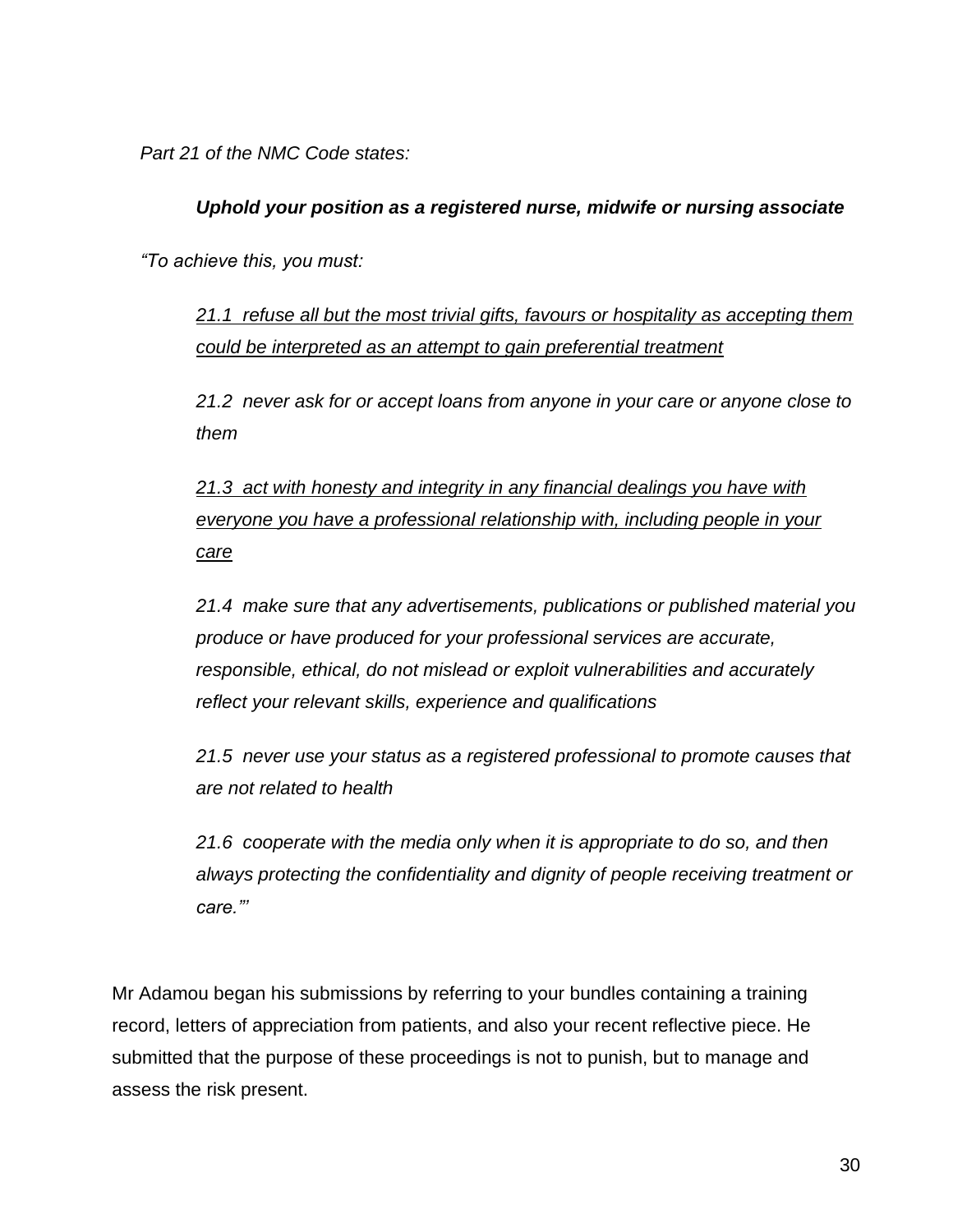*Part 21 of the NMC Code states:*

# *Uphold your position as a registered nurse, midwife or nursing associate*

*"To achieve this, you must:* 

*21.1 refuse all but the most trivial gifts, favours or hospitality as accepting them could be interpreted as an attempt to gain preferential treatment* 

*21.2 never ask for or accept loans from anyone in your care or anyone close to them* 

*21.3 act with honesty and integrity in any financial dealings you have with everyone you have a professional relationship with, including people in your care* 

*21.4 make sure that any advertisements, publications or published material you produce or have produced for your professional services are accurate, responsible, ethical, do not mislead or exploit vulnerabilities and accurately reflect your relevant skills, experience and qualifications* 

*21.5 never use your status as a registered professional to promote causes that are not related to health* 

*21.6 cooperate with the media only when it is appropriate to do so, and then always protecting the confidentiality and dignity of people receiving treatment or care."'*

Mr Adamou began his submissions by referring to your bundles containing a training record, letters of appreciation from patients, and also your recent reflective piece. He submitted that the purpose of these proceedings is not to punish, but to manage and assess the risk present.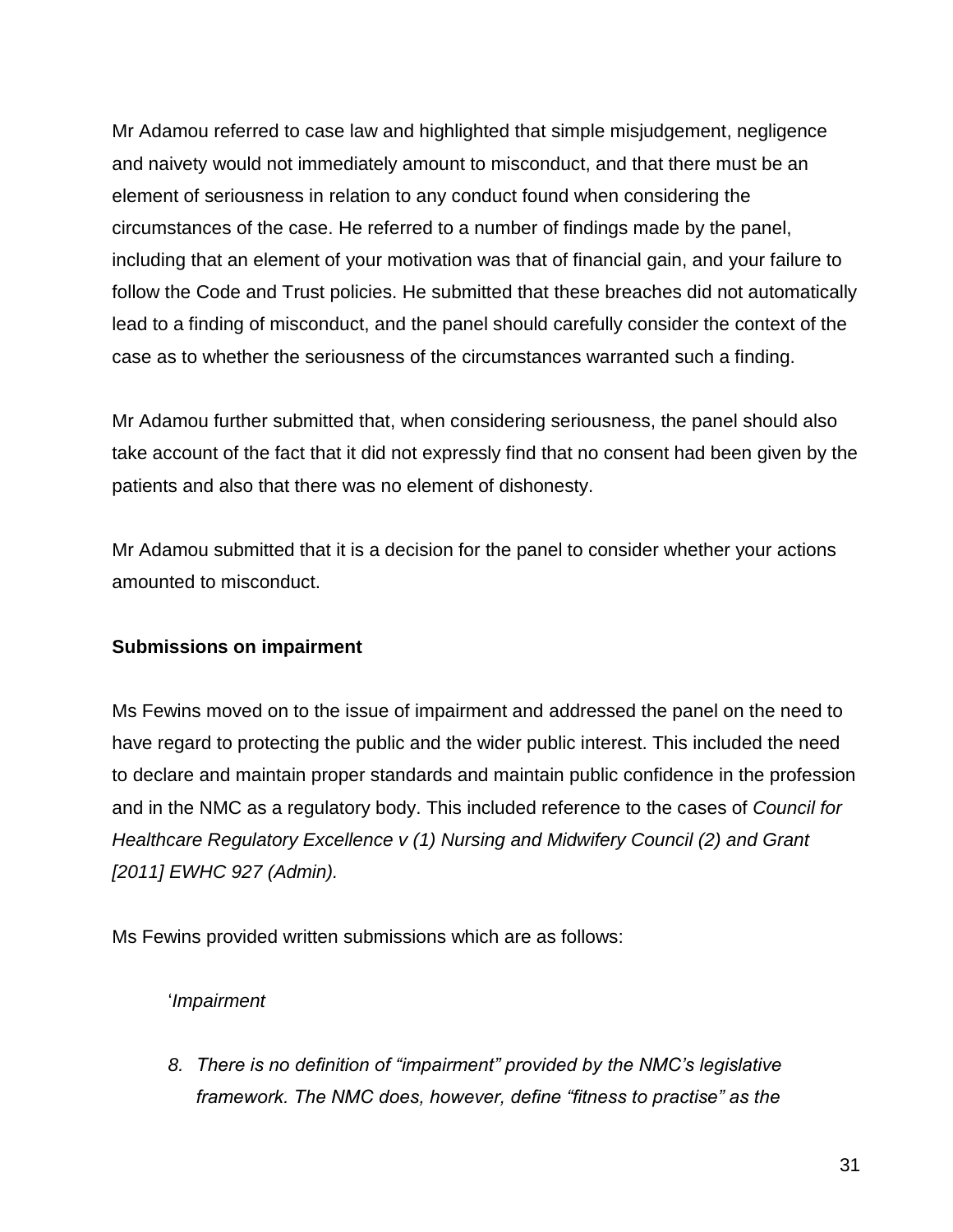Mr Adamou referred to case law and highlighted that simple misjudgement, negligence and naivety would not immediately amount to misconduct, and that there must be an element of seriousness in relation to any conduct found when considering the circumstances of the case. He referred to a number of findings made by the panel, including that an element of your motivation was that of financial gain, and your failure to follow the Code and Trust policies. He submitted that these breaches did not automatically lead to a finding of misconduct, and the panel should carefully consider the context of the case as to whether the seriousness of the circumstances warranted such a finding.

Mr Adamou further submitted that, when considering seriousness, the panel should also take account of the fact that it did not expressly find that no consent had been given by the patients and also that there was no element of dishonesty.

Mr Adamou submitted that it is a decision for the panel to consider whether your actions amounted to misconduct.

# **Submissions on impairment**

Ms Fewins moved on to the issue of impairment and addressed the panel on the need to have regard to protecting the public and the wider public interest. This included the need to declare and maintain proper standards and maintain public confidence in the profession and in the NMC as a regulatory body. This included reference to the cases of *Council for Healthcare Regulatory Excellence v (1) Nursing and Midwifery Council (2) and Grant [2011] EWHC 927 (Admin).*

Ms Fewins provided written submissions which are as follows:

## '*Impairment*

*8. There is no definition of "impairment" provided by the NMC's legislative framework. The NMC does, however, define "fitness to practise" as the*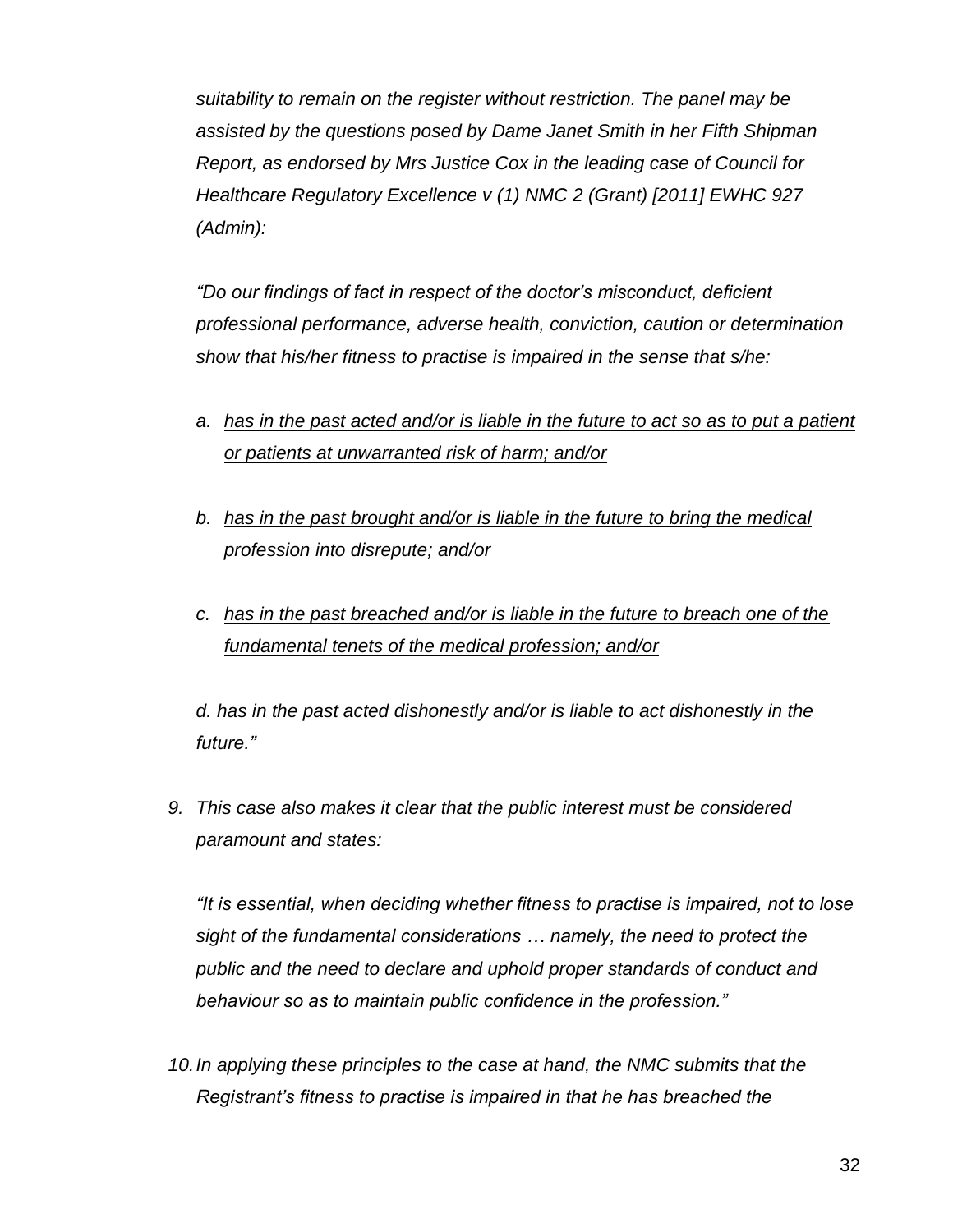*suitability to remain on the register without restriction. The panel may be assisted by the questions posed by Dame Janet Smith in her Fifth Shipman Report, as endorsed by Mrs Justice Cox in the leading case of Council for Healthcare Regulatory Excellence v (1) NMC 2 (Grant) [2011] EWHC 927 (Admin):*

*"Do our findings of fact in respect of the doctor's misconduct, deficient professional performance, adverse health, conviction, caution or determination show that his/her fitness to practise is impaired in the sense that s/he:*

- *a. has in the past acted and/or is liable in the future to act so as to put a patient or patients at unwarranted risk of harm; and/or*
- *b. has in the past brought and/or is liable in the future to bring the medical profession into disrepute; and/or*
- *c. has in the past breached and/or is liable in the future to breach one of the fundamental tenets of the medical profession; and/or*

*d. has in the past acted dishonestly and/or is liable to act dishonestly in the future."*

*9. This case also makes it clear that the public interest must be considered paramount and states:*

*"It is essential, when deciding whether fitness to practise is impaired, not to lose sight of the fundamental considerations … namely, the need to protect the public and the need to declare and uphold proper standards of conduct and behaviour so as to maintain public confidence in the profession."*

*10.In applying these principles to the case at hand, the NMC submits that the Registrant's fitness to practise is impaired in that he has breached the*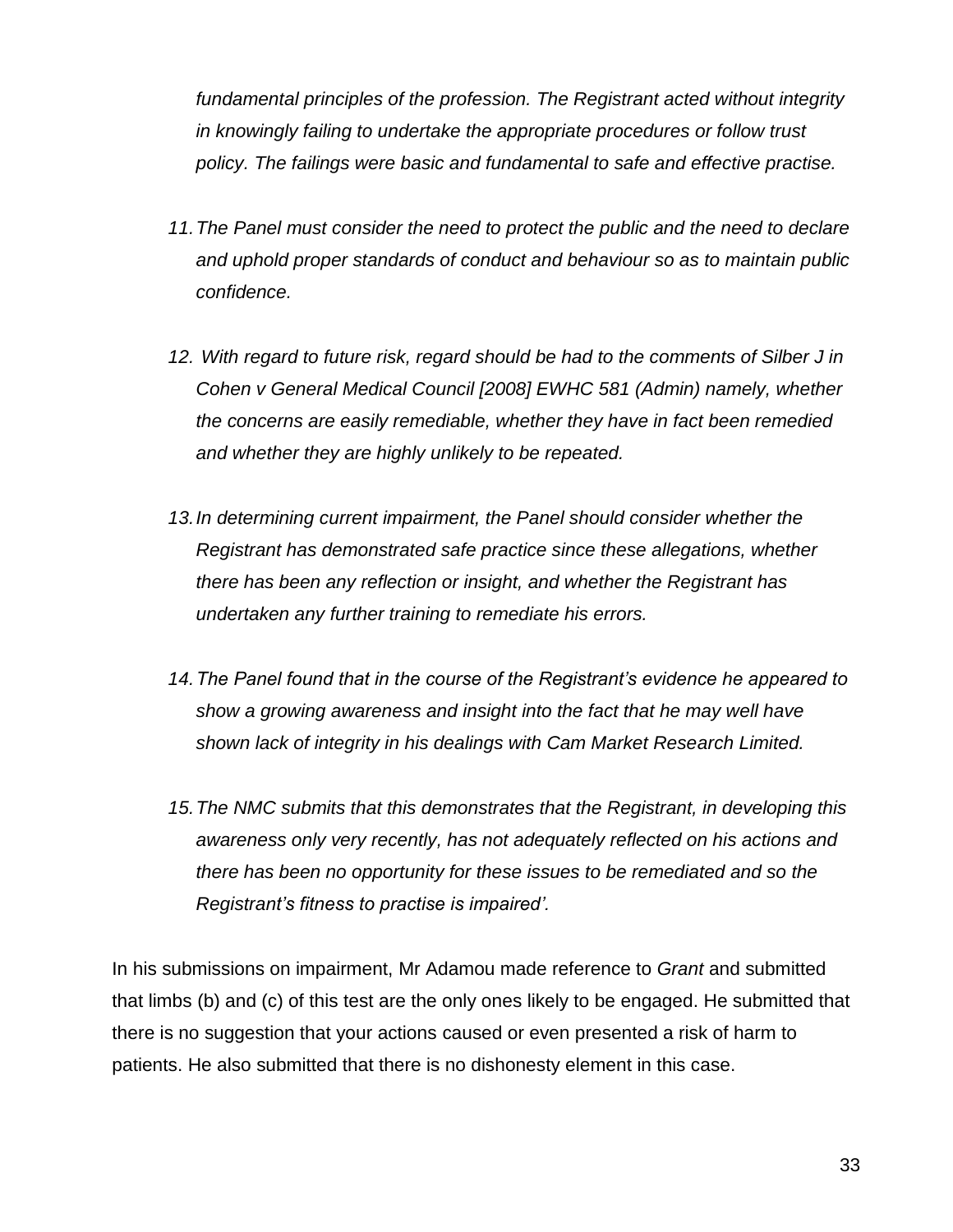*fundamental principles of the profession. The Registrant acted without integrity in knowingly failing to undertake the appropriate procedures or follow trust policy. The failings were basic and fundamental to safe and effective practise.*

- *11.The Panel must consider the need to protect the public and the need to declare and uphold proper standards of conduct and behaviour so as to maintain public confidence.*
- *12. With regard to future risk, regard should be had to the comments of Silber J in Cohen v General Medical Council [2008] EWHC 581 (Admin) namely, whether the concerns are easily remediable, whether they have in fact been remedied and whether they are highly unlikely to be repeated.*
- 13. In determining current impairment, the Panel should consider whether the *Registrant has demonstrated safe practice since these allegations, whether there has been any reflection or insight, and whether the Registrant has undertaken any further training to remediate his errors.*
- *14.The Panel found that in the course of the Registrant's evidence he appeared to show a growing awareness and insight into the fact that he may well have shown lack of integrity in his dealings with Cam Market Research Limited.*
- *15.The NMC submits that this demonstrates that the Registrant, in developing this awareness only very recently, has not adequately reflected on his actions and there has been no opportunity for these issues to be remediated and so the Registrant's fitness to practise is impaired'.*

In his submissions on impairment, Mr Adamou made reference to *Grant* and submitted that limbs (b) and (c) of this test are the only ones likely to be engaged. He submitted that there is no suggestion that your actions caused or even presented a risk of harm to patients. He also submitted that there is no dishonesty element in this case.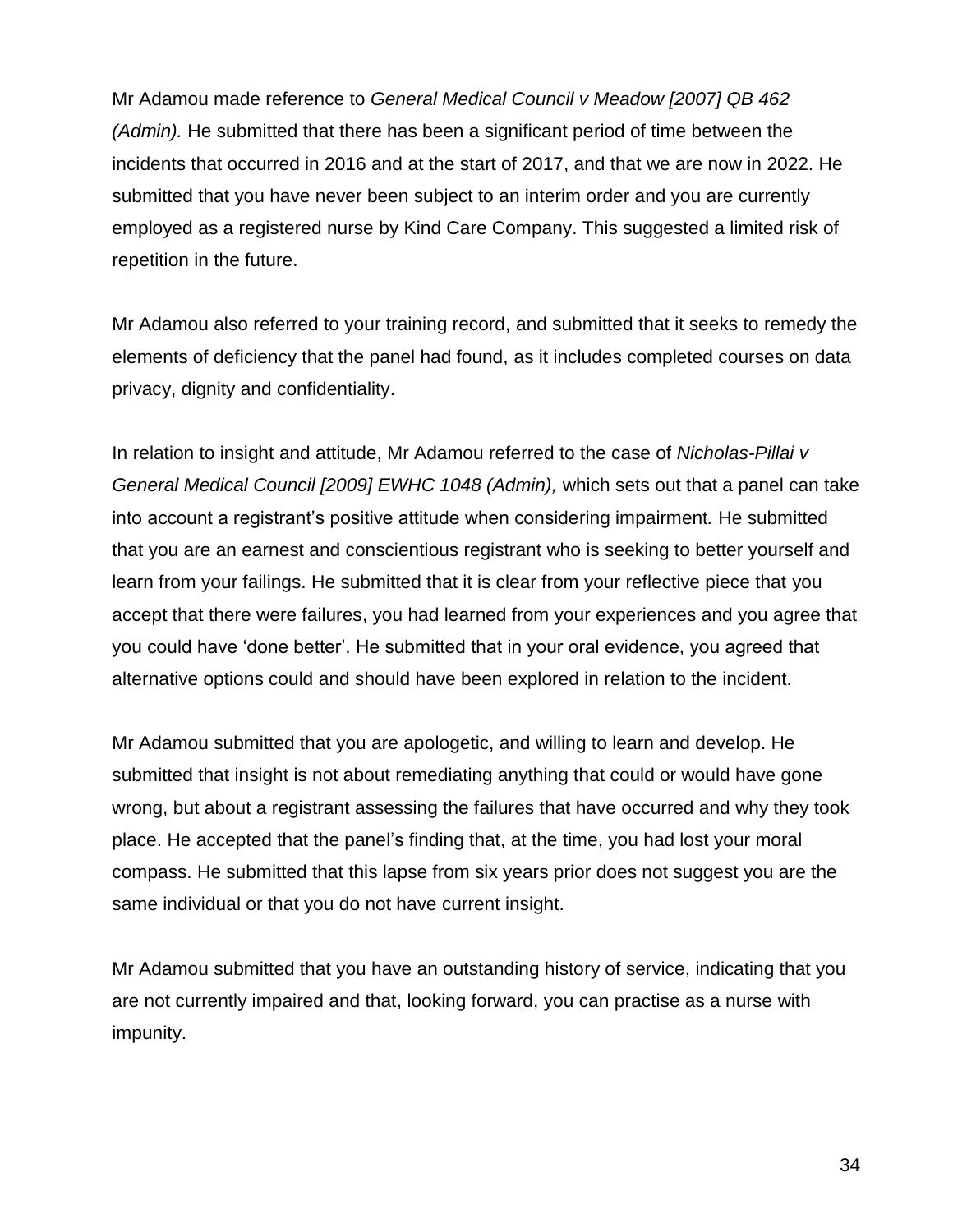Mr Adamou made reference to *General Medical Council v Meadow [2007] QB 462 (Admin).* He submitted that there has been a significant period of time between the incidents that occurred in 2016 and at the start of 2017, and that we are now in 2022. He submitted that you have never been subject to an interim order and you are currently employed as a registered nurse by Kind Care Company. This suggested a limited risk of repetition in the future.

Mr Adamou also referred to your training record, and submitted that it seeks to remedy the elements of deficiency that the panel had found, as it includes completed courses on data privacy, dignity and confidentiality.

In relation to insight and attitude, Mr Adamou referred to the case of *Nicholas-Pillai v General Medical Council [2009] EWHC 1048 (Admin),* which sets out that a panel can take into account a registrant's positive attitude when considering impairment*.* He submitted that you are an earnest and conscientious registrant who is seeking to better yourself and learn from your failings. He submitted that it is clear from your reflective piece that you accept that there were failures, you had learned from your experiences and you agree that you could have 'done better'. He submitted that in your oral evidence, you agreed that alternative options could and should have been explored in relation to the incident.

Mr Adamou submitted that you are apologetic, and willing to learn and develop. He submitted that insight is not about remediating anything that could or would have gone wrong, but about a registrant assessing the failures that have occurred and why they took place. He accepted that the panel's finding that, at the time, you had lost your moral compass. He submitted that this lapse from six years prior does not suggest you are the same individual or that you do not have current insight.

Mr Adamou submitted that you have an outstanding history of service, indicating that you are not currently impaired and that, looking forward, you can practise as a nurse with impunity.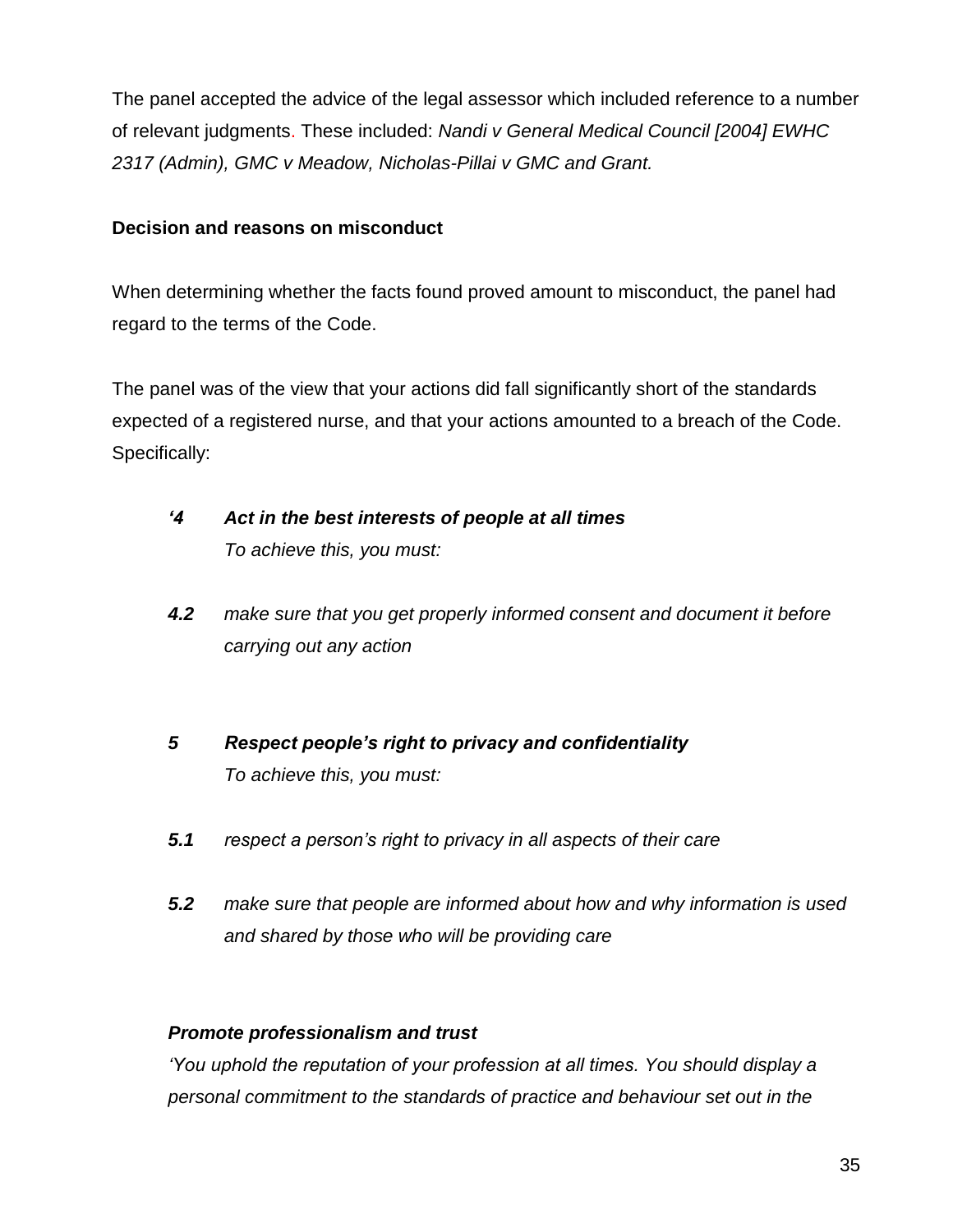The panel accepted the advice of the legal assessor which included reference to a number of relevant judgments. These included: *Nandi v General Medical Council [2004] EWHC 2317 (Admin), GMC v Meadow, Nicholas-Pillai v GMC and Grant.*

# **Decision and reasons on misconduct**

When determining whether the facts found proved amount to misconduct, the panel had regard to the terms of the Code.

The panel was of the view that your actions did fall significantly short of the standards expected of a registered nurse, and that your actions amounted to a breach of the Code. Specifically:

- *'4 Act in the best interests of people at all times To achieve this, you must:*
- *4.2 make sure that you get properly informed consent and document it before carrying out any action*
- *5 Respect people's right to privacy and confidentiality To achieve this, you must:*
- *5.1 respect a person's right to privacy in all aspects of their care*
- *5.2 make sure that people are informed about how and why information is used and shared by those who will be providing care*

# *Promote professionalism and trust*

*'You uphold the reputation of your profession at all times. You should display a personal commitment to the standards of practice and behaviour set out in the*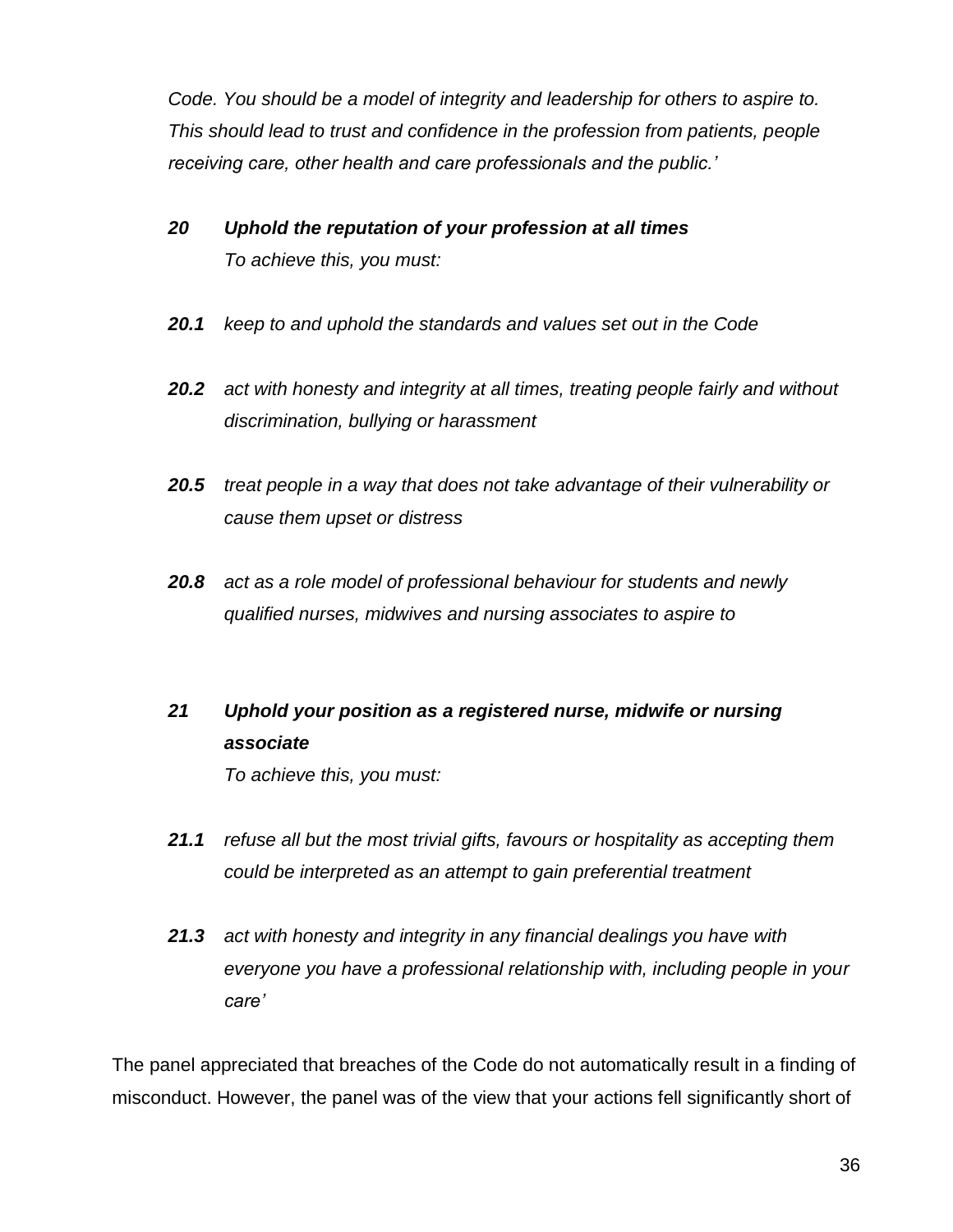*Code. You should be a model of integrity and leadership for others to aspire to. This should lead to trust and confidence in the profession from patients, people receiving care, other health and care professionals and the public.'*

- *20 Uphold the reputation of your profession at all times To achieve this, you must:*
- *20.1 keep to and uphold the standards and values set out in the Code*
- *20.2 act with honesty and integrity at all times, treating people fairly and without discrimination, bullying or harassment*
- *20.5 treat people in a way that does not take advantage of their vulnerability or cause them upset or distress*
- *20.8 act as a role model of professional behaviour for students and newly qualified nurses, midwives and nursing associates to aspire to*

# *21 Uphold your position as a registered nurse, midwife or nursing associate*

*To achieve this, you must:* 

- *21.1 refuse all but the most trivial gifts, favours or hospitality as accepting them could be interpreted as an attempt to gain preferential treatment*
- *21.3 act with honesty and integrity in any financial dealings you have with everyone you have a professional relationship with, including people in your care'*

The panel appreciated that breaches of the Code do not automatically result in a finding of misconduct. However, the panel was of the view that your actions fell significantly short of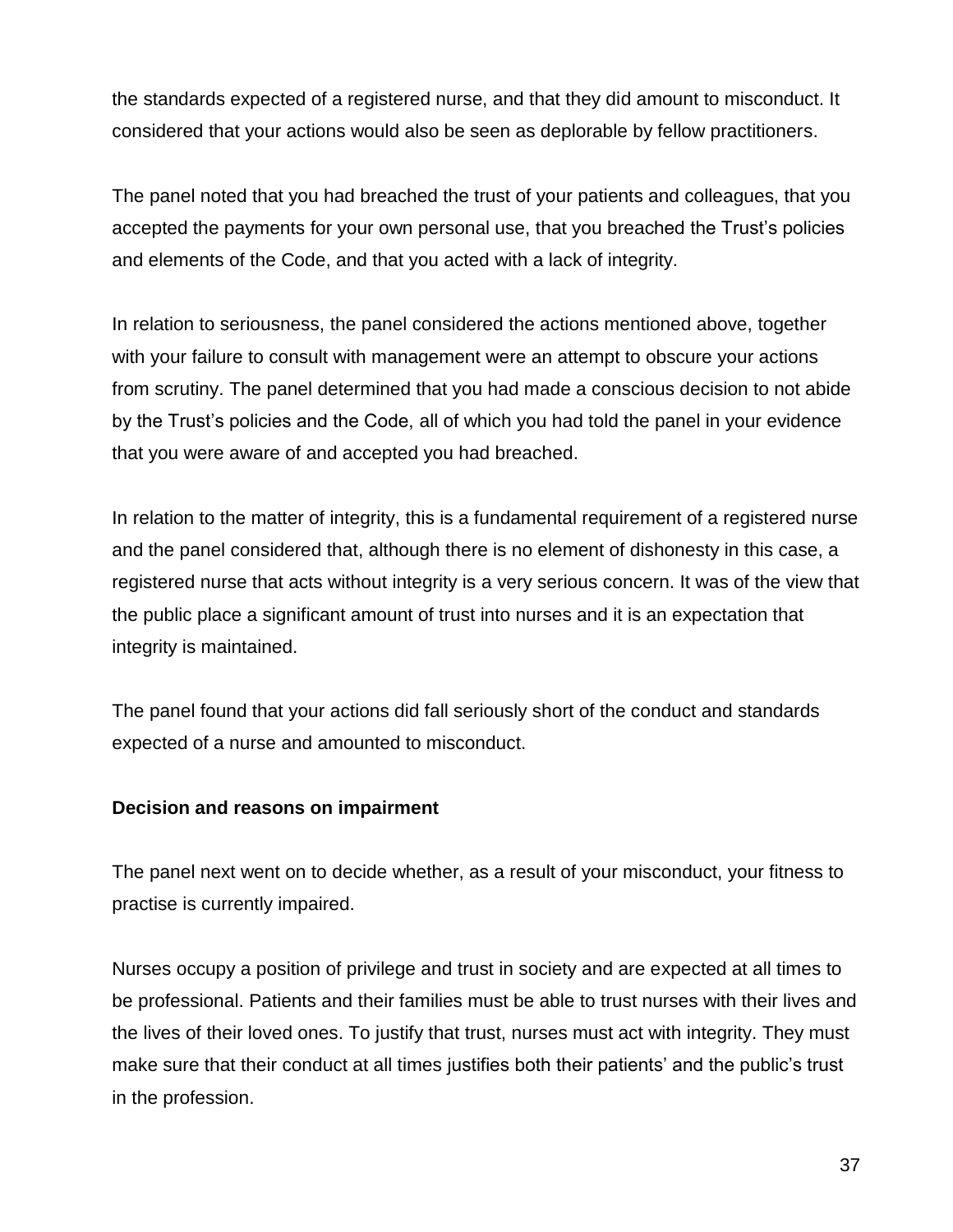the standards expected of a registered nurse, and that they did amount to misconduct. It considered that your actions would also be seen as deplorable by fellow practitioners.

The panel noted that you had breached the trust of your patients and colleagues, that you accepted the payments for your own personal use, that you breached the Trust's policies and elements of the Code, and that you acted with a lack of integrity.

In relation to seriousness, the panel considered the actions mentioned above, together with your failure to consult with management were an attempt to obscure your actions from scrutiny. The panel determined that you had made a conscious decision to not abide by the Trust's policies and the Code, all of which you had told the panel in your evidence that you were aware of and accepted you had breached.

In relation to the matter of integrity, this is a fundamental requirement of a registered nurse and the panel considered that, although there is no element of dishonesty in this case, a registered nurse that acts without integrity is a very serious concern. It was of the view that the public place a significant amount of trust into nurses and it is an expectation that integrity is maintained.

The panel found that your actions did fall seriously short of the conduct and standards expected of a nurse and amounted to misconduct.

## **Decision and reasons on impairment**

The panel next went on to decide whether, as a result of your misconduct, your fitness to practise is currently impaired.

Nurses occupy a position of privilege and trust in society and are expected at all times to be professional. Patients and their families must be able to trust nurses with their lives and the lives of their loved ones. To justify that trust, nurses must act with integrity. They must make sure that their conduct at all times justifies both their patients' and the public's trust in the profession.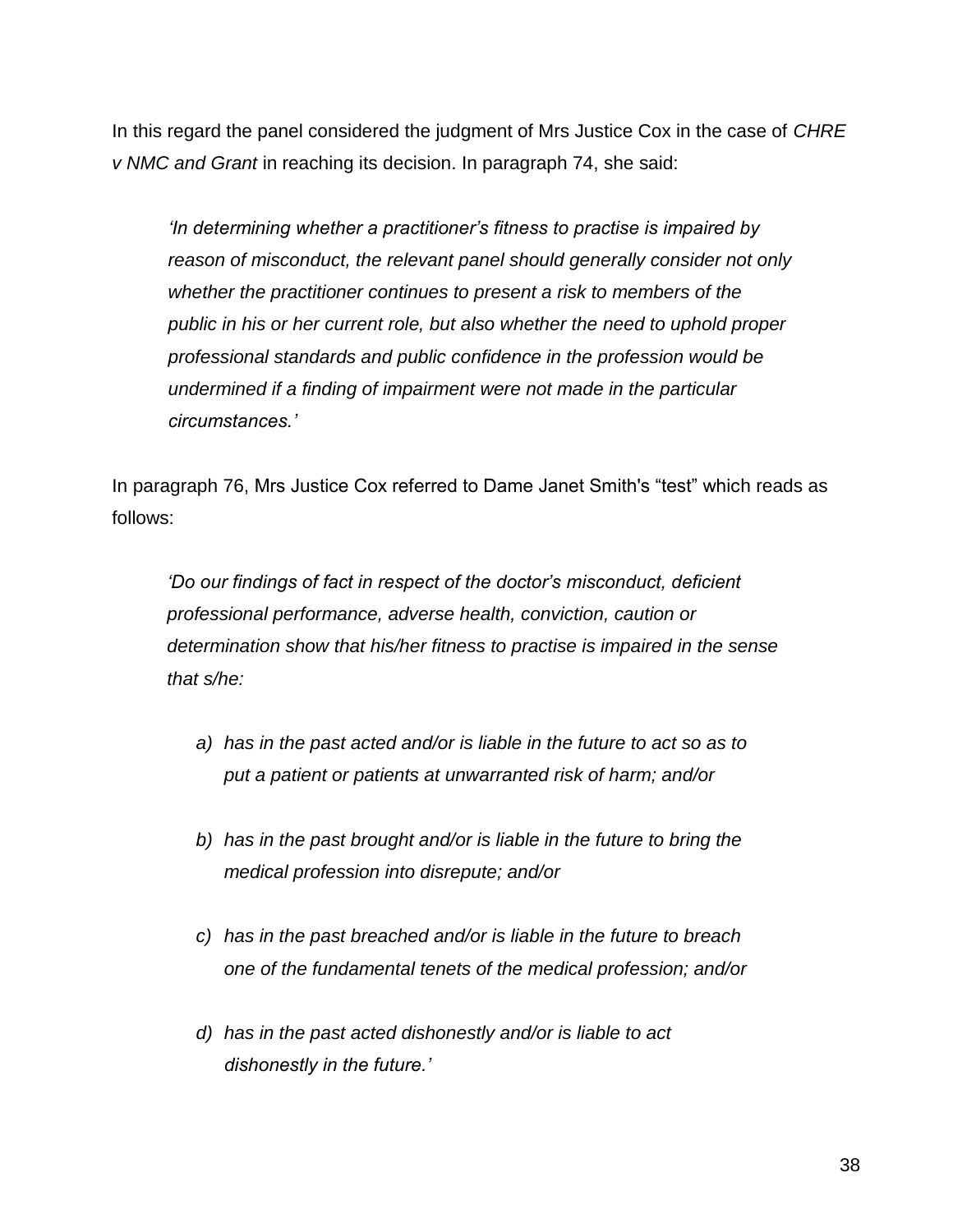In this regard the panel considered the judgment of Mrs Justice Cox in the case of *CHRE v NMC and Grant* in reaching its decision. In paragraph 74, she said:

*'In determining whether a practitioner's fitness to practise is impaired by reason of misconduct, the relevant panel should generally consider not only whether the practitioner continues to present a risk to members of the public in his or her current role, but also whether the need to uphold proper professional standards and public confidence in the profession would be undermined if a finding of impairment were not made in the particular circumstances.'*

In paragraph 76, Mrs Justice Cox referred to Dame Janet Smith's "test" which reads as follows:

*'Do our findings of fact in respect of the doctor's misconduct, deficient professional performance, adverse health, conviction, caution or determination show that his/her fitness to practise is impaired in the sense that s/he:*

- *a) has in the past acted and/or is liable in the future to act so as to put a patient or patients at unwarranted risk of harm; and/or*
- *b) has in the past brought and/or is liable in the future to bring the medical profession into disrepute; and/or*
- *c) has in the past breached and/or is liable in the future to breach one of the fundamental tenets of the medical profession; and/or*
- *d) has in the past acted dishonestly and/or is liable to act dishonestly in the future.'*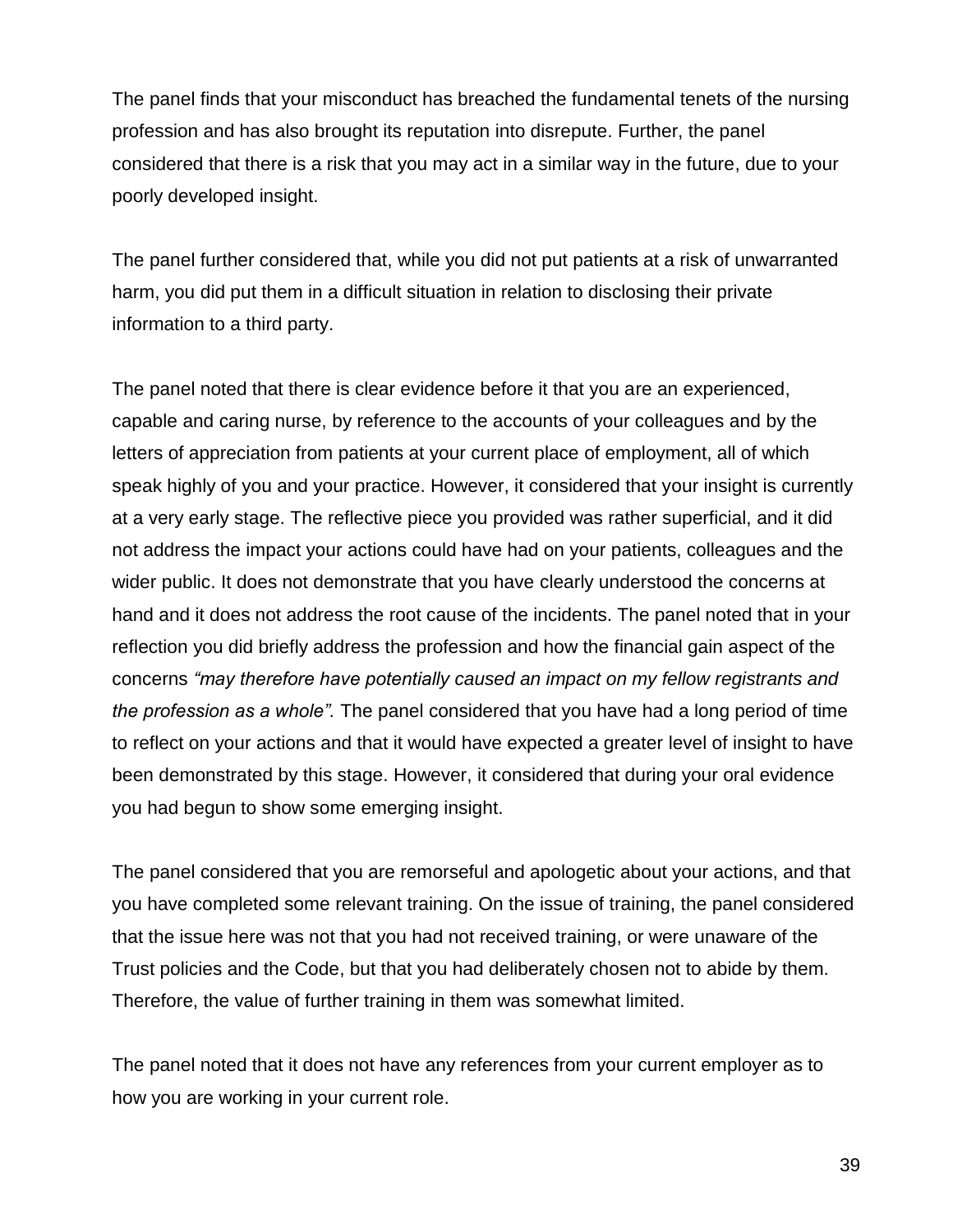The panel finds that your misconduct has breached the fundamental tenets of the nursing profession and has also brought its reputation into disrepute. Further, the panel considered that there is a risk that you may act in a similar way in the future, due to your poorly developed insight.

The panel further considered that, while you did not put patients at a risk of unwarranted harm, you did put them in a difficult situation in relation to disclosing their private information to a third party.

The panel noted that there is clear evidence before it that you are an experienced, capable and caring nurse, by reference to the accounts of your colleagues and by the letters of appreciation from patients at your current place of employment, all of which speak highly of you and your practice. However, it considered that your insight is currently at a very early stage. The reflective piece you provided was rather superficial, and it did not address the impact your actions could have had on your patients, colleagues and the wider public. It does not demonstrate that you have clearly understood the concerns at hand and it does not address the root cause of the incidents. The panel noted that in your reflection you did briefly address the profession and how the financial gain aspect of the concerns *"may therefore have potentially caused an impact on my fellow registrants and the profession as a whole".* The panel considered that you have had a long period of time to reflect on your actions and that it would have expected a greater level of insight to have been demonstrated by this stage. However, it considered that during your oral evidence you had begun to show some emerging insight.

The panel considered that you are remorseful and apologetic about your actions, and that you have completed some relevant training. On the issue of training, the panel considered that the issue here was not that you had not received training, or were unaware of the Trust policies and the Code, but that you had deliberately chosen not to abide by them. Therefore, the value of further training in them was somewhat limited.

The panel noted that it does not have any references from your current employer as to how you are working in your current role.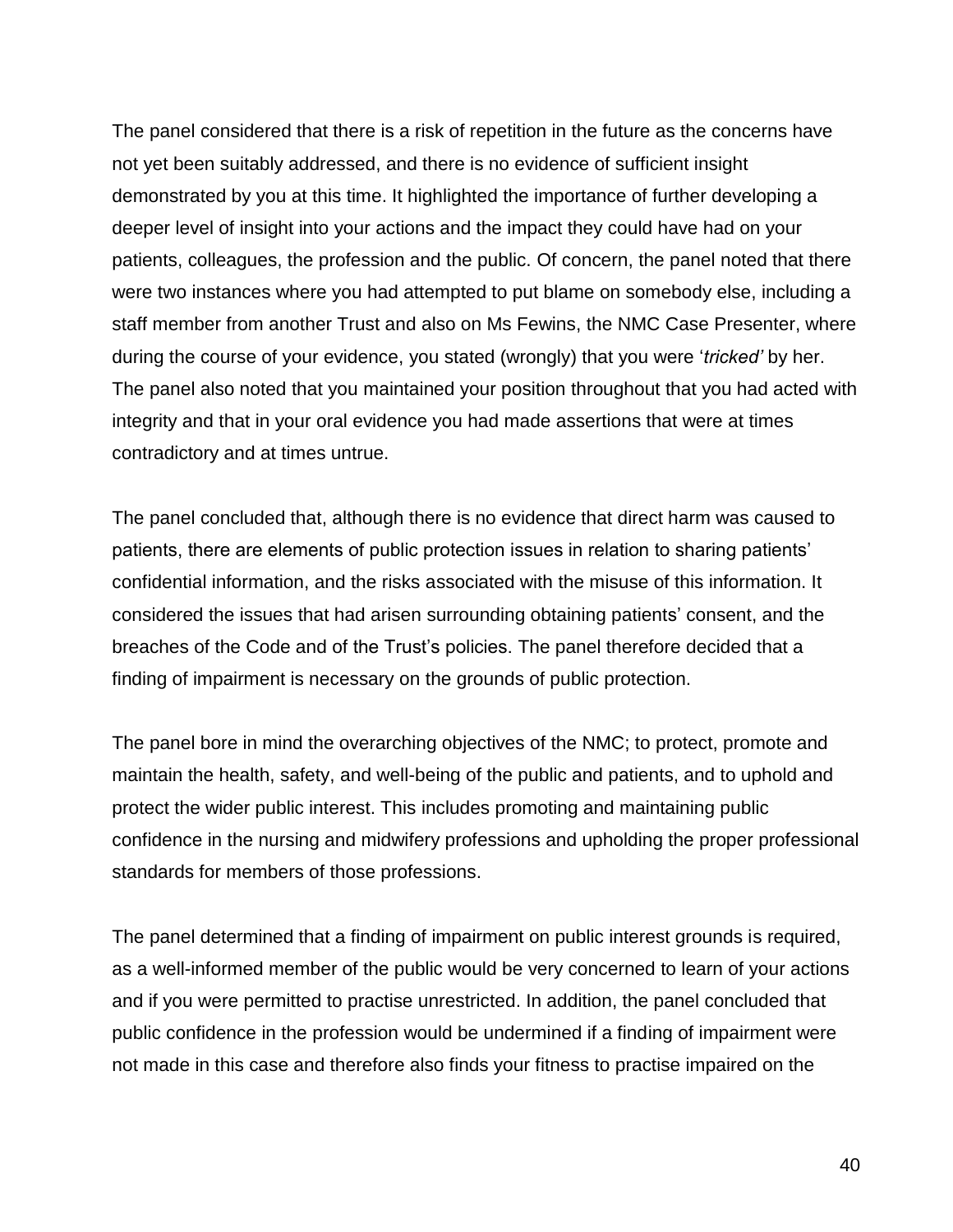The panel considered that there is a risk of repetition in the future as the concerns have not yet been suitably addressed, and there is no evidence of sufficient insight demonstrated by you at this time. It highlighted the importance of further developing a deeper level of insight into your actions and the impact they could have had on your patients, colleagues, the profession and the public. Of concern, the panel noted that there were two instances where you had attempted to put blame on somebody else, including a staff member from another Trust and also on Ms Fewins, the NMC Case Presenter, where during the course of your evidence, you stated (wrongly) that you were '*tricked'* by her. The panel also noted that you maintained your position throughout that you had acted with integrity and that in your oral evidence you had made assertions that were at times contradictory and at times untrue.

The panel concluded that, although there is no evidence that direct harm was caused to patients, there are elements of public protection issues in relation to sharing patients' confidential information, and the risks associated with the misuse of this information. It considered the issues that had arisen surrounding obtaining patients' consent, and the breaches of the Code and of the Trust's policies. The panel therefore decided that a finding of impairment is necessary on the grounds of public protection.

The panel bore in mind the overarching objectives of the NMC; to protect, promote and maintain the health, safety, and well-being of the public and patients, and to uphold and protect the wider public interest. This includes promoting and maintaining public confidence in the nursing and midwifery professions and upholding the proper professional standards for members of those professions.

The panel determined that a finding of impairment on public interest grounds is required, as a well-informed member of the public would be very concerned to learn of your actions and if you were permitted to practise unrestricted. In addition, the panel concluded that public confidence in the profession would be undermined if a finding of impairment were not made in this case and therefore also finds your fitness to practise impaired on the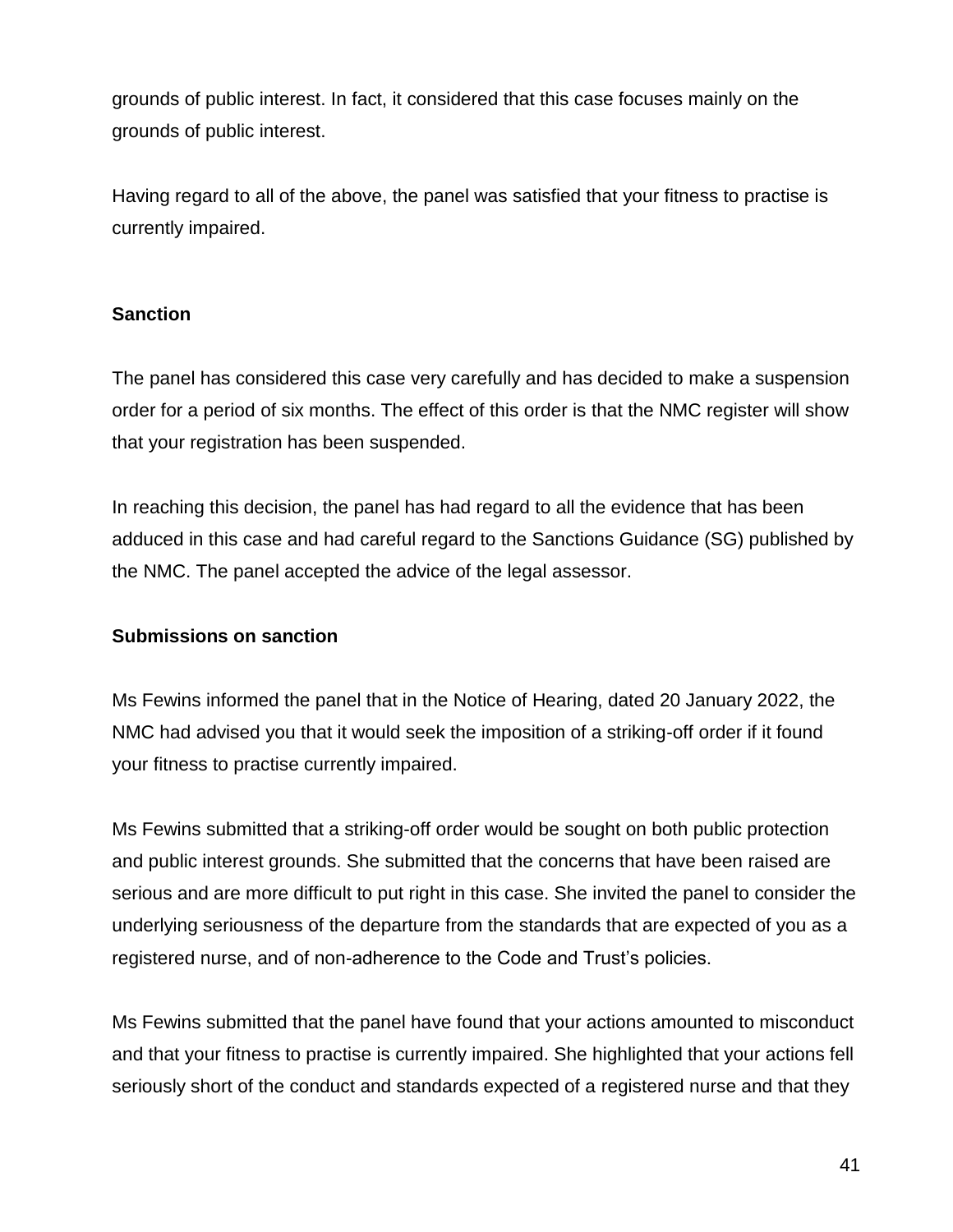grounds of public interest. In fact, it considered that this case focuses mainly on the grounds of public interest.

Having regard to all of the above, the panel was satisfied that your fitness to practise is currently impaired.

# **Sanction**

The panel has considered this case very carefully and has decided to make a suspension order for a period of six months. The effect of this order is that the NMC register will show that your registration has been suspended.

In reaching this decision, the panel has had regard to all the evidence that has been adduced in this case and had careful regard to the Sanctions Guidance (SG) published by the NMC. The panel accepted the advice of the legal assessor.

# **Submissions on sanction**

Ms Fewins informed the panel that in the Notice of Hearing, dated 20 January 2022, the NMC had advised you that it would seek the imposition of a striking-off order if it found your fitness to practise currently impaired.

Ms Fewins submitted that a striking-off order would be sought on both public protection and public interest grounds. She submitted that the concerns that have been raised are serious and are more difficult to put right in this case. She invited the panel to consider the underlying seriousness of the departure from the standards that are expected of you as a registered nurse, and of non-adherence to the Code and Trust's policies.

Ms Fewins submitted that the panel have found that your actions amounted to misconduct and that your fitness to practise is currently impaired. She highlighted that your actions fell seriously short of the conduct and standards expected of a registered nurse and that they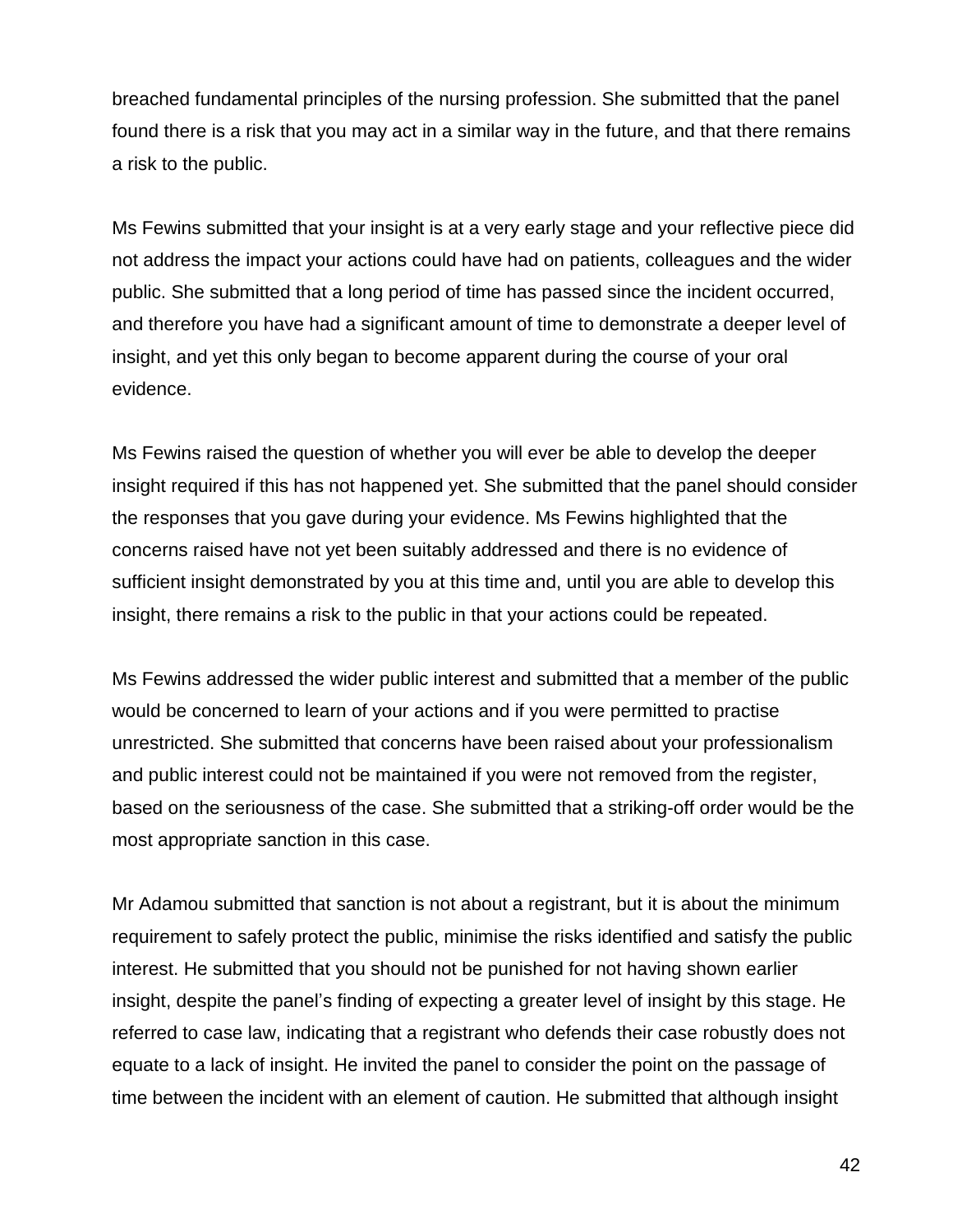breached fundamental principles of the nursing profession. She submitted that the panel found there is a risk that you may act in a similar way in the future, and that there remains a risk to the public.

Ms Fewins submitted that your insight is at a very early stage and your reflective piece did not address the impact your actions could have had on patients, colleagues and the wider public. She submitted that a long period of time has passed since the incident occurred, and therefore you have had a significant amount of time to demonstrate a deeper level of insight, and yet this only began to become apparent during the course of your oral evidence.

Ms Fewins raised the question of whether you will ever be able to develop the deeper insight required if this has not happened yet. She submitted that the panel should consider the responses that you gave during your evidence. Ms Fewins highlighted that the concerns raised have not yet been suitably addressed and there is no evidence of sufficient insight demonstrated by you at this time and, until you are able to develop this insight, there remains a risk to the public in that your actions could be repeated.

Ms Fewins addressed the wider public interest and submitted that a member of the public would be concerned to learn of your actions and if you were permitted to practise unrestricted. She submitted that concerns have been raised about your professionalism and public interest could not be maintained if you were not removed from the register, based on the seriousness of the case. She submitted that a striking-off order would be the most appropriate sanction in this case.

Mr Adamou submitted that sanction is not about a registrant, but it is about the minimum requirement to safely protect the public, minimise the risks identified and satisfy the public interest. He submitted that you should not be punished for not having shown earlier insight, despite the panel's finding of expecting a greater level of insight by this stage. He referred to case law, indicating that a registrant who defends their case robustly does not equate to a lack of insight. He invited the panel to consider the point on the passage of time between the incident with an element of caution. He submitted that although insight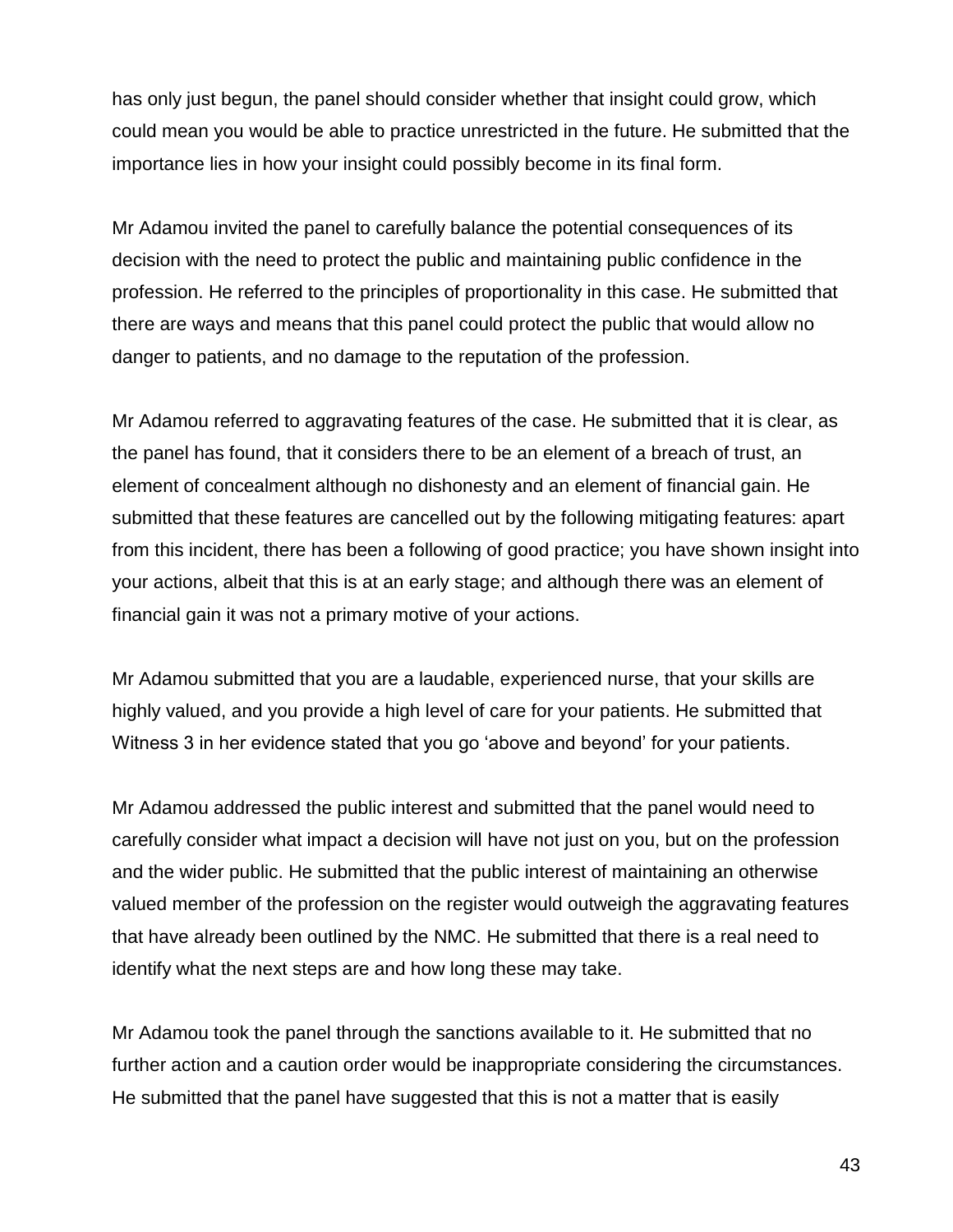has only just begun, the panel should consider whether that insight could grow, which could mean you would be able to practice unrestricted in the future. He submitted that the importance lies in how your insight could possibly become in its final form.

Mr Adamou invited the panel to carefully balance the potential consequences of its decision with the need to protect the public and maintaining public confidence in the profession. He referred to the principles of proportionality in this case. He submitted that there are ways and means that this panel could protect the public that would allow no danger to patients, and no damage to the reputation of the profession.

Mr Adamou referred to aggravating features of the case. He submitted that it is clear, as the panel has found, that it considers there to be an element of a breach of trust, an element of concealment although no dishonesty and an element of financial gain. He submitted that these features are cancelled out by the following mitigating features: apart from this incident, there has been a following of good practice; you have shown insight into your actions, albeit that this is at an early stage; and although there was an element of financial gain it was not a primary motive of your actions.

Mr Adamou submitted that you are a laudable, experienced nurse, that your skills are highly valued, and you provide a high level of care for your patients. He submitted that Witness 3 in her evidence stated that you go 'above and beyond' for your patients.

Mr Adamou addressed the public interest and submitted that the panel would need to carefully consider what impact a decision will have not just on you, but on the profession and the wider public. He submitted that the public interest of maintaining an otherwise valued member of the profession on the register would outweigh the aggravating features that have already been outlined by the NMC. He submitted that there is a real need to identify what the next steps are and how long these may take.

Mr Adamou took the panel through the sanctions available to it. He submitted that no further action and a caution order would be inappropriate considering the circumstances. He submitted that the panel have suggested that this is not a matter that is easily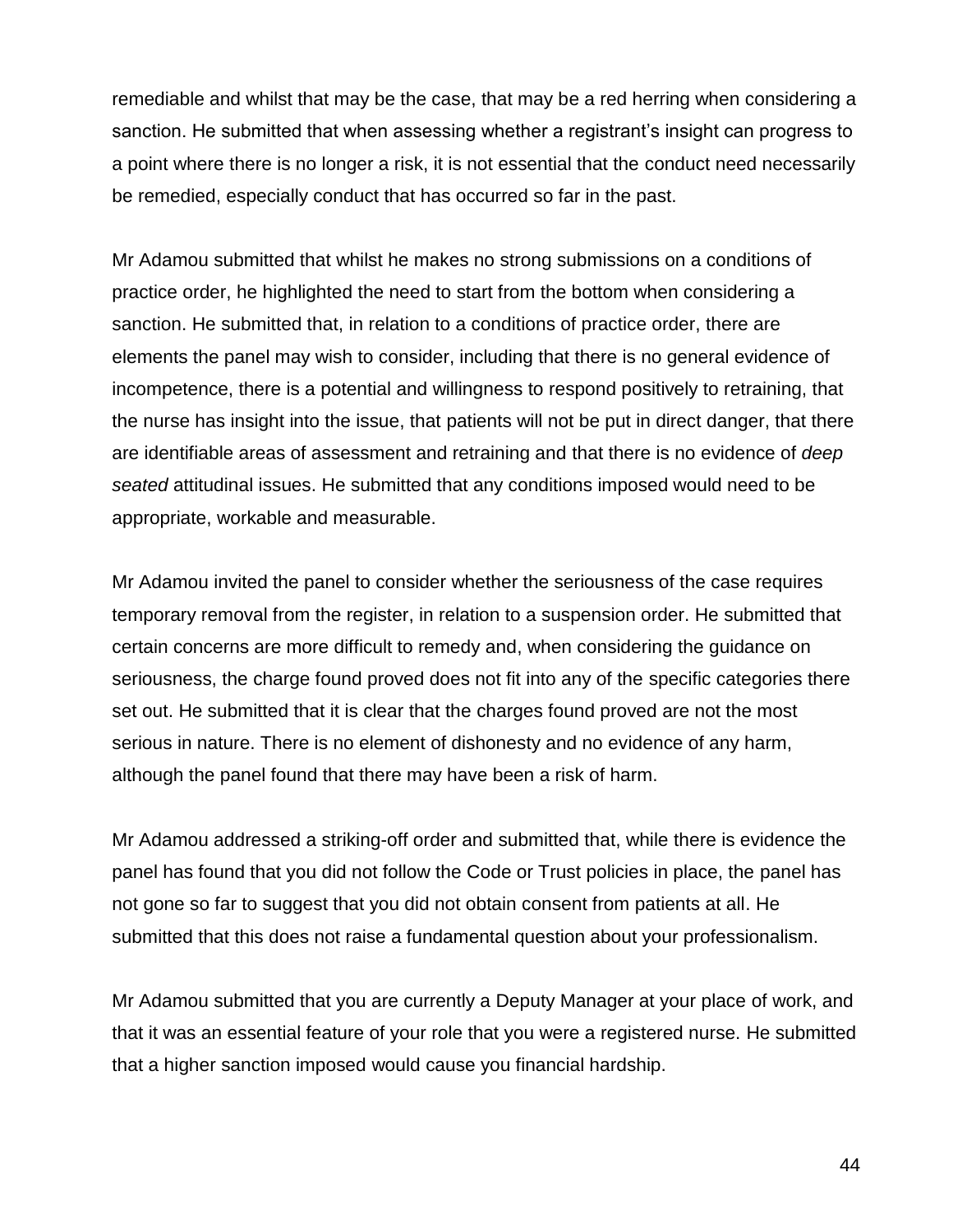remediable and whilst that may be the case, that may be a red herring when considering a sanction. He submitted that when assessing whether a registrant's insight can progress to a point where there is no longer a risk, it is not essential that the conduct need necessarily be remedied, especially conduct that has occurred so far in the past.

Mr Adamou submitted that whilst he makes no strong submissions on a conditions of practice order, he highlighted the need to start from the bottom when considering a sanction. He submitted that, in relation to a conditions of practice order, there are elements the panel may wish to consider, including that there is no general evidence of incompetence, there is a potential and willingness to respond positively to retraining, that the nurse has insight into the issue, that patients will not be put in direct danger, that there are identifiable areas of assessment and retraining and that there is no evidence of *deep seated* attitudinal issues. He submitted that any conditions imposed would need to be appropriate, workable and measurable.

Mr Adamou invited the panel to consider whether the seriousness of the case requires temporary removal from the register, in relation to a suspension order. He submitted that certain concerns are more difficult to remedy and, when considering the guidance on seriousness, the charge found proved does not fit into any of the specific categories there set out. He submitted that it is clear that the charges found proved are not the most serious in nature. There is no element of dishonesty and no evidence of any harm, although the panel found that there may have been a risk of harm.

Mr Adamou addressed a striking-off order and submitted that, while there is evidence the panel has found that you did not follow the Code or Trust policies in place, the panel has not gone so far to suggest that you did not obtain consent from patients at all. He submitted that this does not raise a fundamental question about your professionalism.

Mr Adamou submitted that you are currently a Deputy Manager at your place of work, and that it was an essential feature of your role that you were a registered nurse. He submitted that a higher sanction imposed would cause you financial hardship.

44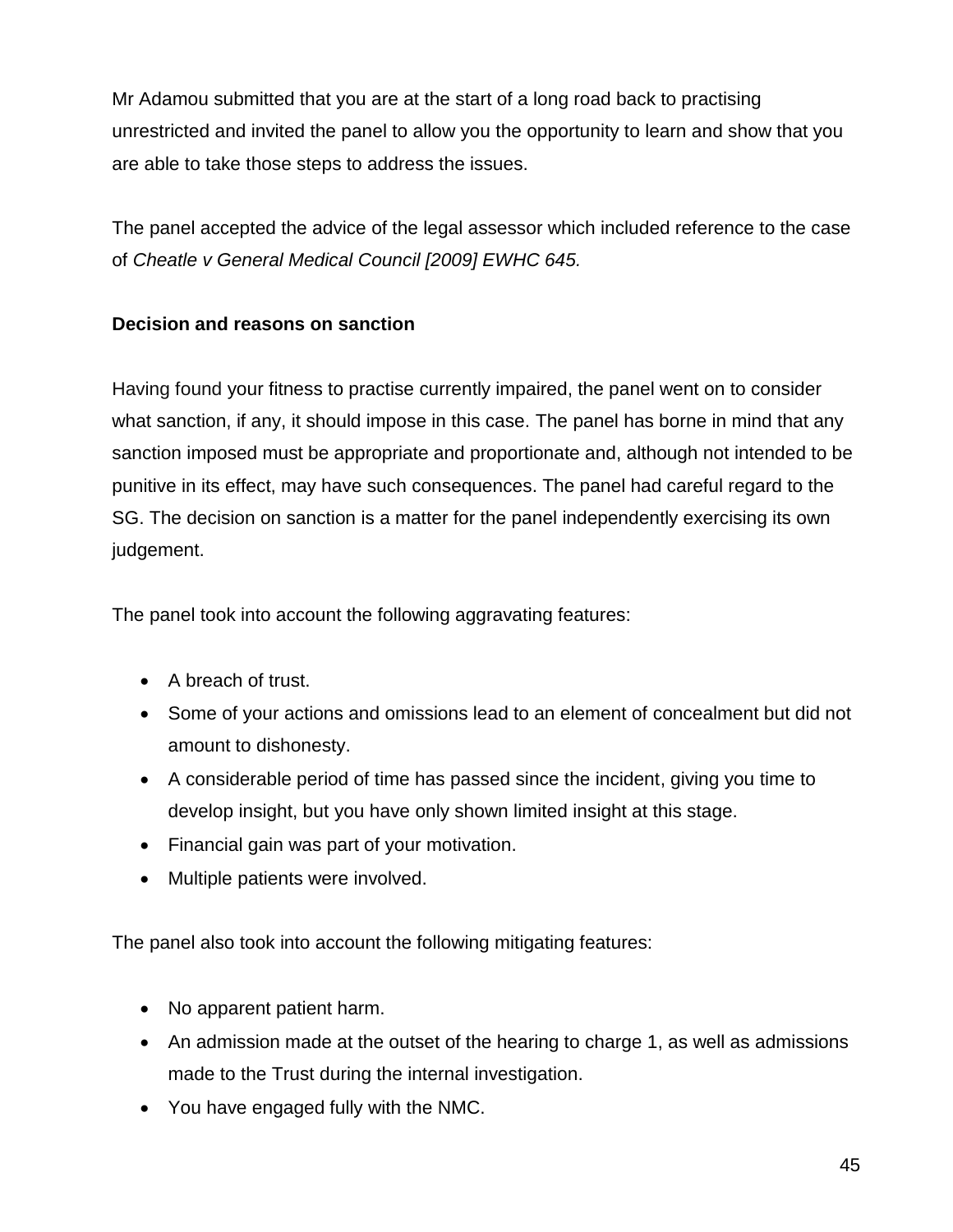Mr Adamou submitted that you are at the start of a long road back to practising unrestricted and invited the panel to allow you the opportunity to learn and show that you are able to take those steps to address the issues.

The panel accepted the advice of the legal assessor which included reference to the case of *Cheatle v General Medical Council [2009] EWHC 645.*

# **Decision and reasons on sanction**

Having found your fitness to practise currently impaired, the panel went on to consider what sanction, if any, it should impose in this case. The panel has borne in mind that any sanction imposed must be appropriate and proportionate and, although not intended to be punitive in its effect, may have such consequences. The panel had careful regard to the SG. The decision on sanction is a matter for the panel independently exercising its own judgement.

The panel took into account the following aggravating features:

- A breach of trust.
- Some of your actions and omissions lead to an element of concealment but did not amount to dishonesty.
- A considerable period of time has passed since the incident, giving you time to develop insight, but you have only shown limited insight at this stage.
- Financial gain was part of your motivation.
- Multiple patients were involved.

The panel also took into account the following mitigating features:

- No apparent patient harm.
- An admission made at the outset of the hearing to charge 1, as well as admissions made to the Trust during the internal investigation.
- You have engaged fully with the NMC.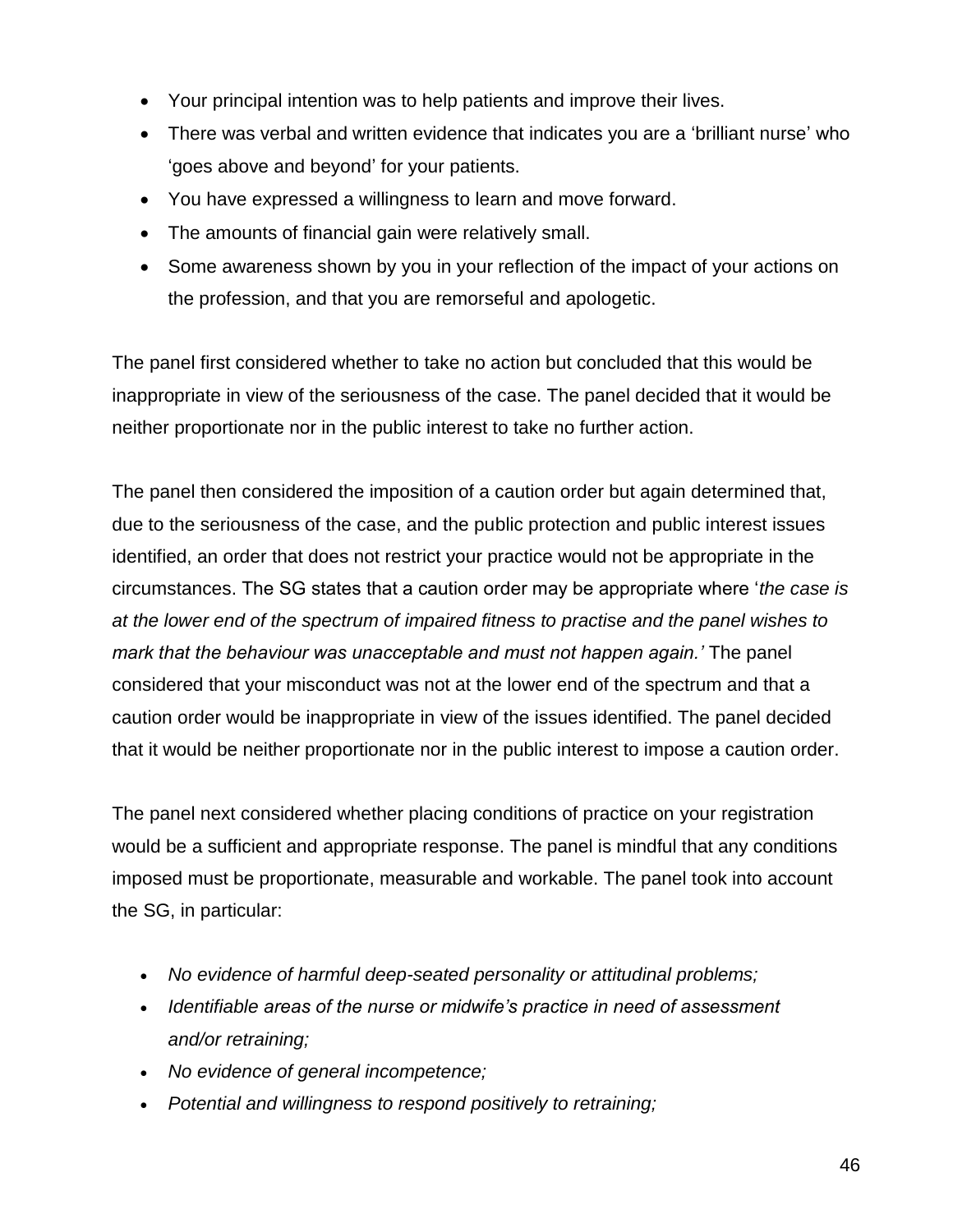- Your principal intention was to help patients and improve their lives.
- There was verbal and written evidence that indicates you are a 'brilliant nurse' who 'goes above and beyond' for your patients.
- You have expressed a willingness to learn and move forward.
- The amounts of financial gain were relatively small.
- Some awareness shown by you in your reflection of the impact of your actions on the profession, and that you are remorseful and apologetic.

The panel first considered whether to take no action but concluded that this would be inappropriate in view of the seriousness of the case. The panel decided that it would be neither proportionate nor in the public interest to take no further action.

The panel then considered the imposition of a caution order but again determined that, due to the seriousness of the case, and the public protection and public interest issues identified, an order that does not restrict your practice would not be appropriate in the circumstances. The SG states that a caution order may be appropriate where '*the case is at the lower end of the spectrum of impaired fitness to practise and the panel wishes to mark that the behaviour was unacceptable and must not happen again.'* The panel considered that your misconduct was not at the lower end of the spectrum and that a caution order would be inappropriate in view of the issues identified. The panel decided that it would be neither proportionate nor in the public interest to impose a caution order.

The panel next considered whether placing conditions of practice on your registration would be a sufficient and appropriate response. The panel is mindful that any conditions imposed must be proportionate, measurable and workable. The panel took into account the SG, in particular:

- *No evidence of harmful deep-seated personality or attitudinal problems;*
- *Identifiable areas of the nurse or midwife's practice in need of assessment and/or retraining;*
- *No evidence of general incompetence;*
- *Potential and willingness to respond positively to retraining;*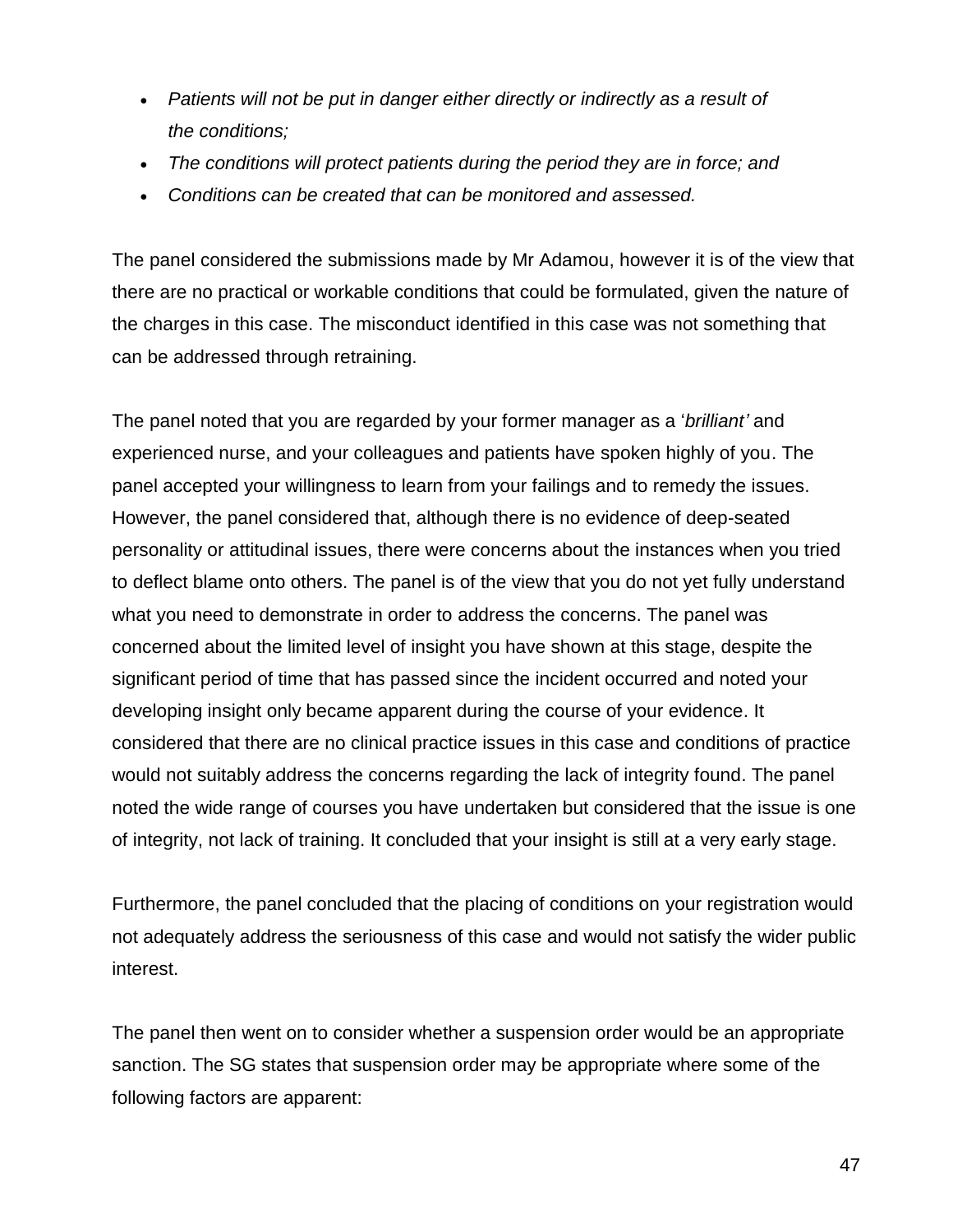- *Patients will not be put in danger either directly or indirectly as a result of the conditions;*
- *The conditions will protect patients during the period they are in force; and*
- *Conditions can be created that can be monitored and assessed.*

The panel considered the submissions made by Mr Adamou, however it is of the view that there are no practical or workable conditions that could be formulated, given the nature of the charges in this case. The misconduct identified in this case was not something that can be addressed through retraining.

The panel noted that you are regarded by your former manager as a '*brilliant'* and experienced nurse, and your colleagues and patients have spoken highly of you. The panel accepted your willingness to learn from your failings and to remedy the issues. However, the panel considered that, although there is no evidence of deep-seated personality or attitudinal issues, there were concerns about the instances when you tried to deflect blame onto others. The panel is of the view that you do not yet fully understand what you need to demonstrate in order to address the concerns. The panel was concerned about the limited level of insight you have shown at this stage, despite the significant period of time that has passed since the incident occurred and noted your developing insight only became apparent during the course of your evidence. It considered that there are no clinical practice issues in this case and conditions of practice would not suitably address the concerns regarding the lack of integrity found. The panel noted the wide range of courses you have undertaken but considered that the issue is one of integrity, not lack of training. It concluded that your insight is still at a very early stage.

Furthermore, the panel concluded that the placing of conditions on your registration would not adequately address the seriousness of this case and would not satisfy the wider public interest.

The panel then went on to consider whether a suspension order would be an appropriate sanction. The SG states that suspension order may be appropriate where some of the following factors are apparent: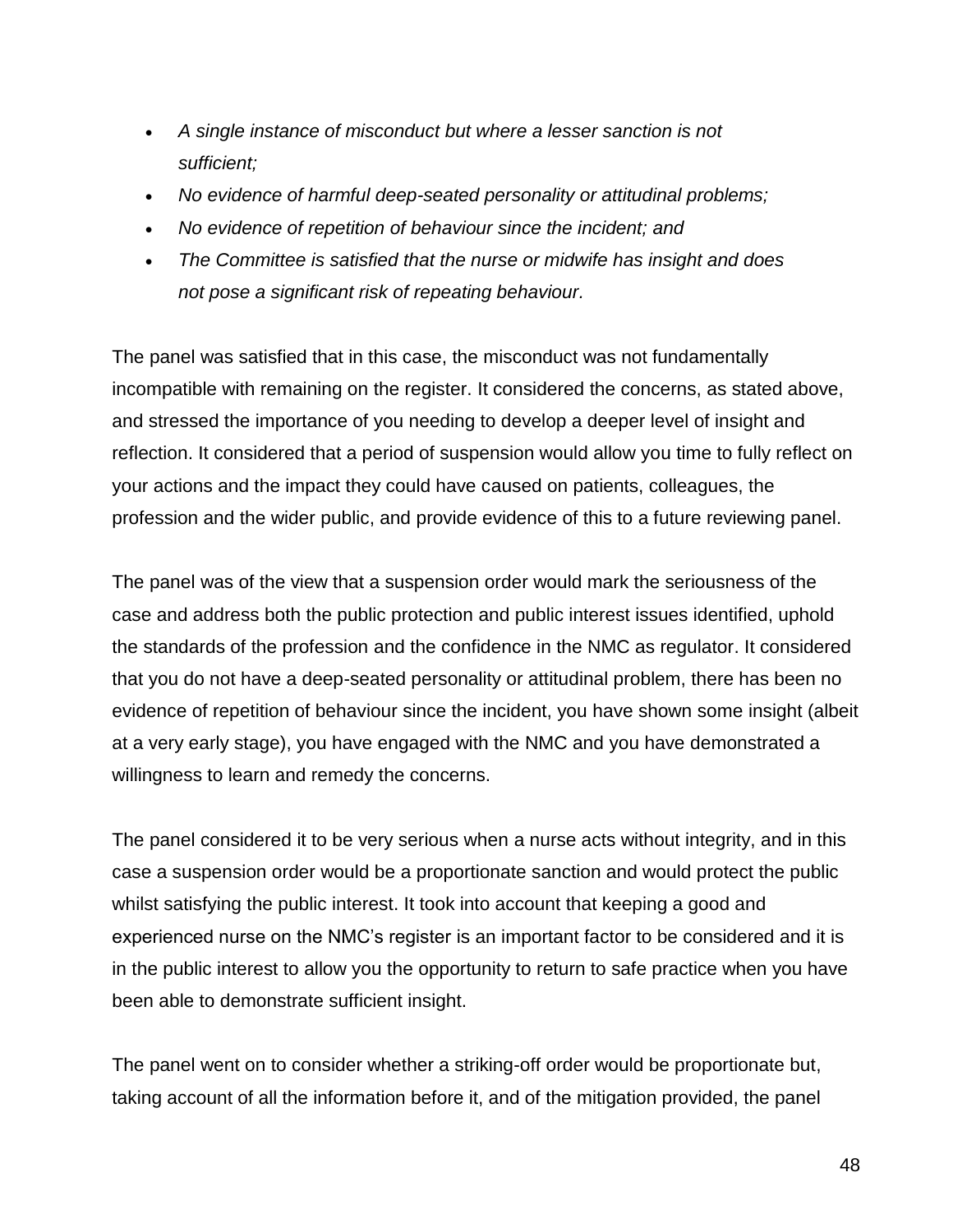- *A single instance of misconduct but where a lesser sanction is not sufficient;*
- *No evidence of harmful deep-seated personality or attitudinal problems;*
- *No evidence of repetition of behaviour since the incident; and*
- *The Committee is satisfied that the nurse or midwife has insight and does not pose a significant risk of repeating behaviour.*

The panel was satisfied that in this case, the misconduct was not fundamentally incompatible with remaining on the register. It considered the concerns, as stated above, and stressed the importance of you needing to develop a deeper level of insight and reflection. It considered that a period of suspension would allow you time to fully reflect on your actions and the impact they could have caused on patients, colleagues, the profession and the wider public, and provide evidence of this to a future reviewing panel.

The panel was of the view that a suspension order would mark the seriousness of the case and address both the public protection and public interest issues identified, uphold the standards of the profession and the confidence in the NMC as regulator. It considered that you do not have a deep-seated personality or attitudinal problem, there has been no evidence of repetition of behaviour since the incident, you have shown some insight (albeit at a very early stage), you have engaged with the NMC and you have demonstrated a willingness to learn and remedy the concerns.

The panel considered it to be very serious when a nurse acts without integrity, and in this case a suspension order would be a proportionate sanction and would protect the public whilst satisfying the public interest. It took into account that keeping a good and experienced nurse on the NMC's register is an important factor to be considered and it is in the public interest to allow you the opportunity to return to safe practice when you have been able to demonstrate sufficient insight.

The panel went on to consider whether a striking-off order would be proportionate but, taking account of all the information before it, and of the mitigation provided, the panel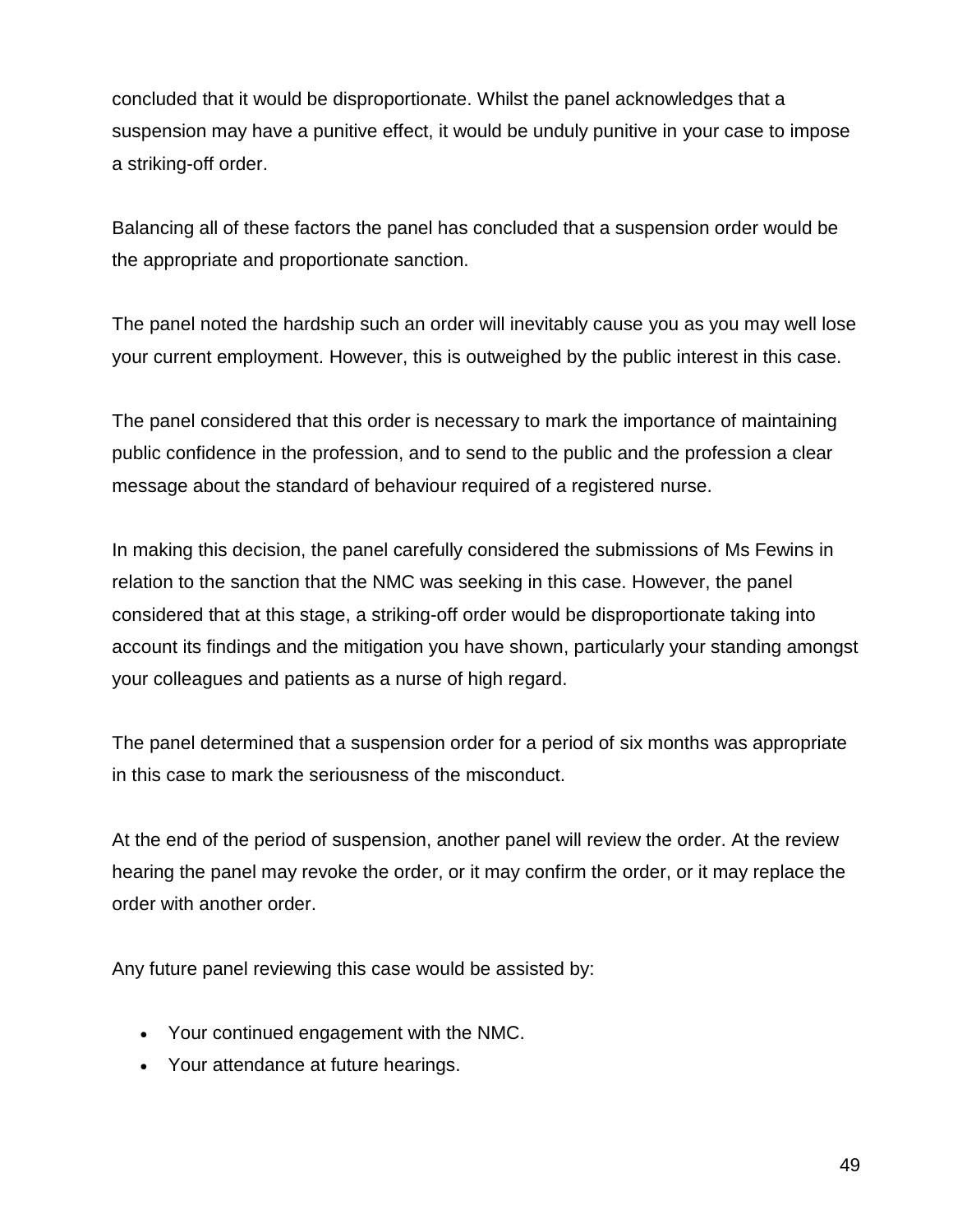concluded that it would be disproportionate. Whilst the panel acknowledges that a suspension may have a punitive effect, it would be unduly punitive in your case to impose a striking-off order.

Balancing all of these factors the panel has concluded that a suspension order would be the appropriate and proportionate sanction.

The panel noted the hardship such an order will inevitably cause you as you may well lose your current employment. However, this is outweighed by the public interest in this case.

The panel considered that this order is necessary to mark the importance of maintaining public confidence in the profession, and to send to the public and the profession a clear message about the standard of behaviour required of a registered nurse.

In making this decision, the panel carefully considered the submissions of Ms Fewins in relation to the sanction that the NMC was seeking in this case. However, the panel considered that at this stage, a striking-off order would be disproportionate taking into account its findings and the mitigation you have shown, particularly your standing amongst your colleagues and patients as a nurse of high regard.

The panel determined that a suspension order for a period of six months was appropriate in this case to mark the seriousness of the misconduct.

At the end of the period of suspension, another panel will review the order. At the review hearing the panel may revoke the order, or it may confirm the order, or it may replace the order with another order.

Any future panel reviewing this case would be assisted by:

- Your continued engagement with the NMC.
- Your attendance at future hearings.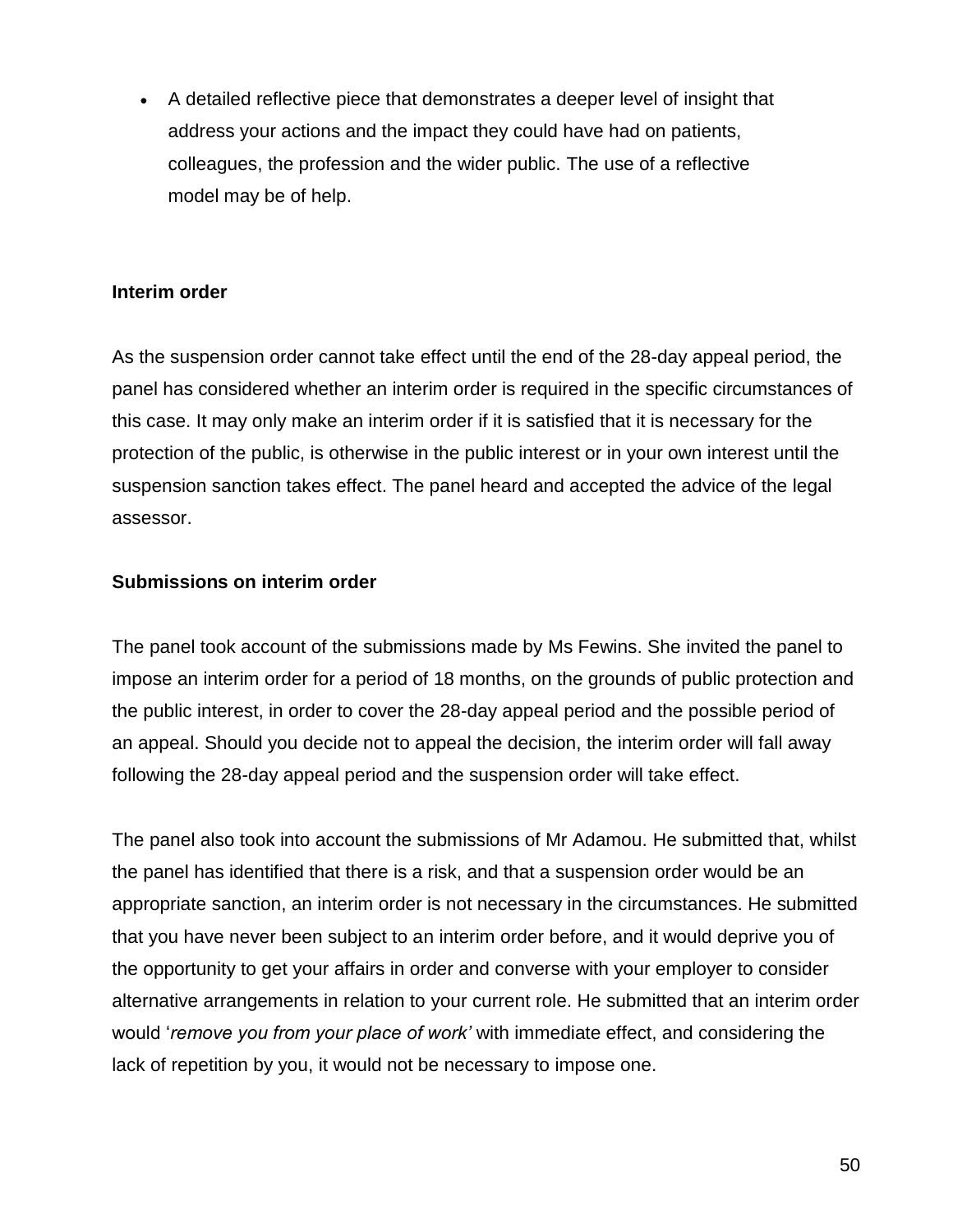A detailed reflective piece that demonstrates a deeper level of insight that address your actions and the impact they could have had on patients, colleagues, the profession and the wider public. The use of a reflective model may be of help.

#### **Interim order**

As the suspension order cannot take effect until the end of the 28-day appeal period, the panel has considered whether an interim order is required in the specific circumstances of this case. It may only make an interim order if it is satisfied that it is necessary for the protection of the public, is otherwise in the public interest or in your own interest until the suspension sanction takes effect. The panel heard and accepted the advice of the legal assessor.

#### **Submissions on interim order**

The panel took account of the submissions made by Ms Fewins. She invited the panel to impose an interim order for a period of 18 months, on the grounds of public protection and the public interest, in order to cover the 28-day appeal period and the possible period of an appeal. Should you decide not to appeal the decision, the interim order will fall away following the 28-day appeal period and the suspension order will take effect.

The panel also took into account the submissions of Mr Adamou. He submitted that, whilst the panel has identified that there is a risk, and that a suspension order would be an appropriate sanction, an interim order is not necessary in the circumstances. He submitted that you have never been subject to an interim order before, and it would deprive you of the opportunity to get your affairs in order and converse with your employer to consider alternative arrangements in relation to your current role. He submitted that an interim order would '*remove you from your place of work'* with immediate effect, and considering the lack of repetition by you, it would not be necessary to impose one.